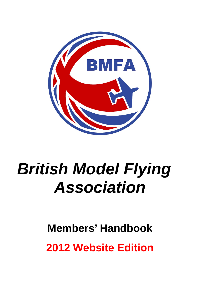

# *British Model Flying Association*

# **Members' Handbook 2012 Website Edition**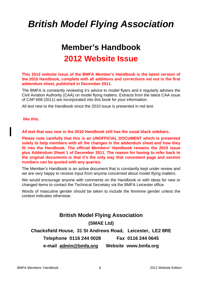# *British Model Flying Association*

# **Member's Handbook 2012 Website Issue**

# **This 2012 website issue of the BMFA Member's Handbook is the latest version of the 2010 Handbook, complete with all additions and corrections set out in the first addendum sheet, published in December 2011.**

The BMFA is constantly reviewing it's advice to model flyers and it regularly advises the Civil Aviation Authority (CAA) on model flying matters. Extracts from the latest CAA issue of CAP 658 (2011) are incorporated into this book for your information.

All text new to the Handbook since the 2010 issue is presented in red text.

**like this.** 

**All text that was new in the 2010 Handbook still has the usual black sidebars.** 

**Please note carefully that this is an UNOFFICIAL DOCUMENT which is presented solely to help members with all the changes in the addendum sheet and how they fit into the Handbook. The official Members' Handbook remains the 2010 issue plus Addendum Sheet 1 of December 2011. The reason for having to refer back to the original documents is that it's the only way that consistent page and section numbers can be quoted with any queries.** 

The Member's Handbook is an active document that is constantly kept under review and we are very happy to receive input from anyone concerned about model flying matters.

We would encourage anyone with comments on the Handbook or with ideas for new or changed items to contact the Technical Secretary via the BMFA Leicester office.

Words of masculine gender should be taken to include the feminine gender unless the context indicates otherwise.

# **British Model Flying Association (SMAE Ltd) Chacksfield House, 31 St Andrews Road, Leicester, LE2 8RE Telephone 0116 244 0028 Fax 0116 244 0645**

**e-mail [admin@bmfa.org](mailto:admin@bmfa.org) Website www.bmfa.org**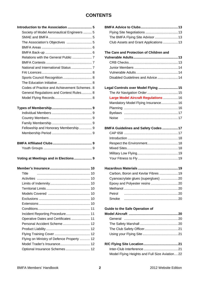# **CONTENTS**

| Society of Model Aeronautical Engineers  5   |                                         |  |
|----------------------------------------------|-----------------------------------------|--|
|                                              | The BMFA Flying Site Advisor  13        |  |
| The Association's Objectives  5              | Club Assets and Grant Applications  13  |  |
|                                              |                                         |  |
|                                              | The Care and Protection of Children and |  |
|                                              |                                         |  |
|                                              |                                         |  |
|                                              |                                         |  |
|                                              |                                         |  |
|                                              | Disabled Guidelines and Advice  14      |  |
|                                              |                                         |  |
| Codes of Practice and Achievement Schemes. 8 | Legal Controls over Model Flying  15    |  |
| General Regulations and Contest Rules 8      |                                         |  |
|                                              | Large Model Aircraft Regulations  16    |  |
|                                              | Mandatory Model Flying Insurance 16     |  |
|                                              |                                         |  |
|                                              |                                         |  |
|                                              | <b>Noise</b>                            |  |
|                                              |                                         |  |
| Fellowship and Honorary Membership 9         | BMFA Guidelines and Safety Codes  17    |  |
|                                              |                                         |  |
|                                              |                                         |  |
|                                              |                                         |  |
|                                              |                                         |  |
|                                              |                                         |  |
| Voting at Meetings and in Elections 9        |                                         |  |
|                                              |                                         |  |
| Title                                        | Carbon, Boron and Kevlar Fibres  19     |  |
|                                              | Cyanoacrylate glues (superglues) 20     |  |
|                                              |                                         |  |
|                                              |                                         |  |
|                                              | Petrol                                  |  |
|                                              | Smoke                                   |  |
|                                              |                                         |  |
|                                              | <b>Guide to the Safe Operation of</b>   |  |
| Incident Reporting Procedure 11              |                                         |  |
| Operative Dates and Certificates  11         |                                         |  |
|                                              |                                         |  |
|                                              |                                         |  |
|                                              |                                         |  |
| Flying on Ministry of Defence Property  12   |                                         |  |
|                                              |                                         |  |
| Optional Insurance Schemes  12               |                                         |  |

| roduction to the Association  5              |                                         |  |
|----------------------------------------------|-----------------------------------------|--|
| Society of Model Aeronautical Engineers  5   |                                         |  |
|                                              | The BMFA Flying Site Advisor  13        |  |
|                                              | Club Assets and Grant Applications  13  |  |
|                                              |                                         |  |
|                                              | The Care and Protection of Children and |  |
| Relations with the General Public  7         |                                         |  |
|                                              |                                         |  |
|                                              |                                         |  |
|                                              |                                         |  |
| Sports Council Recognition 8                 | Disabled Guidelines and Advice  14      |  |
|                                              |                                         |  |
| Codes of Practice and Achievement Schemes. 8 | Legal Controls over Model Flying  15    |  |
| General Regulations and Contest Rules 8      |                                         |  |
|                                              | Large Model Aircraft Regulations  16    |  |
|                                              | Mandatory Model Flying Insurance 16     |  |
|                                              |                                         |  |
|                                              |                                         |  |
|                                              |                                         |  |
|                                              |                                         |  |
| Fellowship and Honorary Membership 9         | BMFA Guidelines and Safety Codes  17    |  |
|                                              |                                         |  |
|                                              |                                         |  |
|                                              |                                         |  |
|                                              |                                         |  |
|                                              |                                         |  |
| ting at Meetings and in Elections 9          |                                         |  |
|                                              |                                         |  |
| Title<br>-10                                 | Carbon. Boron and Kevlar Fibres  19     |  |
|                                              | Cyanoacrylate glues (superglues) 20     |  |
|                                              | Epoxy and Polyester resins 20           |  |
|                                              |                                         |  |
|                                              | Petrol                                  |  |
|                                              | Smoke                                   |  |
|                                              |                                         |  |
|                                              | <b>Guide to the Safe Operation of</b>   |  |
| Incident Reporting Procedure 11              |                                         |  |
| Operative Dates and Certificates  11         |                                         |  |
| Personal Accident Scheme  12                 |                                         |  |
|                                              |                                         |  |
|                                              |                                         |  |
| Flying on Ministry of Defence Property  12   |                                         |  |
| Model Trader's Insurance 12                  |                                         |  |

| Model Flying Heights and Full Size Aviation22 |
|-----------------------------------------------|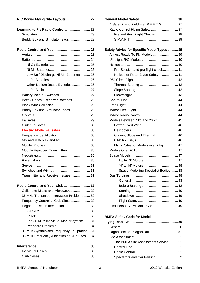| R/C Power Flying Site Layouts 22             |    |
|----------------------------------------------|----|
| Learning to Fly Radio Control  23            |    |
|                                              |    |
| Buddy Box and Simulator leads  23            |    |
|                                              |    |
| Aerials                                      |    |
|                                              |    |
|                                              |    |
|                                              |    |
| Low Self Discharge Ni-Mh Batteries  26       |    |
|                                              |    |
| Other Lithium Based Batteries  26            |    |
|                                              |    |
| Battery Isolator Switches 27                 |    |
| Becs / Ubecs / Receiver Batteries 28         |    |
|                                              |    |
| Buddy Box and Simulator Leads 29             |    |
|                                              |    |
|                                              |    |
|                                              |    |
|                                              |    |
|                                              |    |
|                                              |    |
|                                              |    |
| Module Equipped Transmitters  30             |    |
|                                              |    |
|                                              |    |
| Servos                                       | 31 |
|                                              |    |
| Transmitter and Receiver Issues 31           |    |
| Radio Control and Your Club  32              |    |
| Cellphone Masts and Microwaves 32            |    |
| 35 MHz Transmitter Interaction Problems 32   |    |
| Frequency Control at Club Sites  33          |    |
| Pegboard Recommendations 33                  |    |
|                                              |    |
|                                              |    |
| The 35 MHz Individual Marker system 34       |    |
|                                              |    |
| 35 MHz Synthesised Frequency Equipment 34    |    |
| 35 MHz Frequency Allocation at Club Sites 34 |    |
|                                              |    |
|                                              |    |
|                                              |    |

| A Safer Flying Field - S.W.E.E.T.S 37     |  |
|-------------------------------------------|--|
| Radio Control Flying Safety 37            |  |
| Pre and Post Flight Checks 38             |  |
|                                           |  |
|                                           |  |
| Safety Advice for Specific Model Types 39 |  |
| Almost Ready To Fly Models39              |  |
|                                           |  |
|                                           |  |
| Pre-Session and pre-flight check41        |  |
| Helicopter Rotor Blade Safety41           |  |
|                                           |  |
|                                           |  |
|                                           |  |
|                                           |  |
|                                           |  |
|                                           |  |
|                                           |  |
|                                           |  |
| Models Between 7 kg and 20 kg45           |  |
|                                           |  |
|                                           |  |
| Gliders, Slope and Thermal46              |  |
|                                           |  |
| Flying Sites for Models over 7 kg47       |  |
|                                           |  |
|                                           |  |
|                                           |  |
|                                           |  |
| Space Modelling Specialist Bodies48       |  |
|                                           |  |
|                                           |  |
|                                           |  |
|                                           |  |
|                                           |  |
|                                           |  |
| First Person View Radio Control 49        |  |
|                                           |  |
| <b>BMFA Safety Code for Model</b>         |  |
|                                           |  |
| General                                   |  |
| Organisers and Organisation51             |  |
|                                           |  |

 The BMFA Site Assessment Service..........51 Control Line.................................................51 Radio Control ..............................................51 Spectators and Car Parking........................52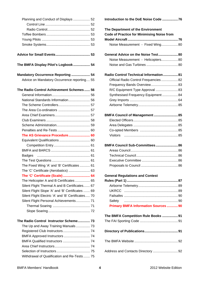| Planning and Conduct of Displays  52               |  |
|----------------------------------------------------|--|
|                                                    |  |
|                                                    |  |
|                                                    |  |
|                                                    |  |
|                                                    |  |
|                                                    |  |
|                                                    |  |
| The BMFA Display Pilot's Logbook 54                |  |
| Mandatory Occurrence Reporting  54                 |  |
| Advice on Mandatory Occurrence reporting 55        |  |
|                                                    |  |
| The Radio Control Achievement Schemes 56           |  |
|                                                    |  |
| National Standards Information 56                  |  |
|                                                    |  |
|                                                    |  |
|                                                    |  |
|                                                    |  |
|                                                    |  |
|                                                    |  |
| The AS Grievance Procedure 60                      |  |
|                                                    |  |
|                                                    |  |
|                                                    |  |
| <b>Badges</b>                                      |  |
|                                                    |  |
| The Fixed Wing 'A' and 'B' Certificates  61        |  |
|                                                    |  |
| The 'C' Certificate (Scale)  64                    |  |
| The Helicopter A and B Certificates  65            |  |
| Silent Flight Thermal A and B Certificates 67      |  |
| Silent Flight Slope 'A' and 'B' Certificates  69   |  |
| Silent Flight Electric 'A' and 'B' Certificates 70 |  |
| Silent Flight Personal Achievements 71             |  |
|                                                    |  |
|                                                    |  |
| The Radio Control Instructor Scheme 73             |  |
| The Up and Away Training Manuals 73                |  |
|                                                    |  |
|                                                    |  |
|                                                    |  |
|                                                    |  |
|                                                    |  |
| Withdrawal of Qualification and Re-Tests 75        |  |

**Introduction to the DoE Noise Code .................76** 

| The Department of the Environment                 |  |
|---------------------------------------------------|--|
| <b>Code of Practice for Minimising Noise from</b> |  |
|                                                   |  |
| Noise Measurement - Fixed Wing80                  |  |
| General Advice on the Noise Test80                |  |
| Noise Measurement - Helicopters80                 |  |
|                                                   |  |
| Radio Control Technical Information81             |  |
| Official Radio Control Frequencies 82             |  |
| Frequency Bands Overview 83                       |  |
| R/C Equipment Type Approval  83                   |  |
| Synthesised Frequency Equipment84                 |  |
|                                                   |  |
|                                                   |  |
| BMFA Council of Management  85                    |  |
|                                                   |  |
|                                                   |  |
|                                                   |  |
| <b>Visitors</b>                                   |  |
| BMFA Council Sub-Committees 86                    |  |
|                                                   |  |
|                                                   |  |
|                                                   |  |
|                                                   |  |
|                                                   |  |
| <b>General Regulations and Contest</b>            |  |
|                                                   |  |
|                                                   |  |
|                                                   |  |
|                                                   |  |
| Safety                                            |  |
| <b>Primary BMFA Information Sources  90</b>       |  |
| The BMFA Competition Rule Books 91                |  |
|                                                   |  |
|                                                   |  |
|                                                   |  |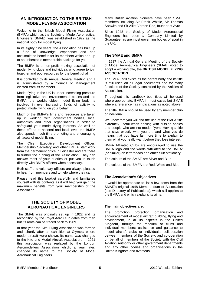# **AN INTRODUCTION TO THE BRITISH MODEL FLYING ASSOCIATION**

Welcome to the British Model Flying Association (BMFA) which, as the Society of Model Aeronautical Engineers (SMAE), was established in 1922 as the national body for model flying.

In its eighty nine years, the Association has built up a fund of knowledge, experience and has accumulated benefits for its members which add up to an unbeatable membership package for you.

The BMFA is a non-profit making association of model flying clubs and individuals who agree to join together and pool resources for the benefit of all.

It is controlled by its Annual General Meeting and it is administered by a Council of Management elected from its members.

Model flying in the UK is under increasing pressure from legislative and environmental bodies and the BMFA, the world's oldest model flying body, is involved in ever increasing fields of activity to protect model flying on your behalf.

Much of the BMFA's time and resources are taken up in working with government bodies, local authorities and other organisations in order to safeguard your model flying interests. As well as these efforts at national and local level, the BMFA also spends much time promoting and encouraging all facets of model flying.

The Chief Executive, Development Officer, Membership Secretary and other BMFA staff work from the permanent office in Leicester and are there to further the running of the Association. They can answer most of your queries or put you in touch directly with BMFA officers when necessary.

Both staff and voluntary officers are always pleased to hear from members and to help where they can.

Please read this booklet carefully and familiarise yourself with its contents as it will help you gain the maximum benefits from your membership of the **Association** 

# **THE SOCIETY OF MODEL AERONAUTICAL ENGINEERS**

The SMAE was originally set up in 1922 and its recognition by the Royal Aero Club dates from then but its roots can be traced back to 1909.

In that year the Kite Flying Association was formed and, shortly after an exhibition at Olympia where model aircraft were shown, its name was changed to the Kite and Model Aircraft Association. In 1921 this association was replaced by the London Aeromodellers Association which, a year later, changed its name to the Society of Model Aeronautical Engineers.

Many British aviation pioneers have been SMAE members including Sir Frank Whittle, Sir Thomas Sopwith and Sir Alliot Verdon Roe, founder of Avro.

Since 1948 the Society of Model Aeronautical Engineers has been a Company Limited by Guarantee, as are most governing bodies of sport in the UK.

# **The SMAE and BMFA**

In 1987 the Annual General Meeting of the Society of Model Aeronautical Engineers (SMAE) voted to adopt a working title, the **BRITISH MODEL FLYING ASSOCIATION.** 

The SMAE still exists as the parent body and its title is still used on all legal documents and for many functions of the Society controlled by the Articles of Association.

Throughout this handbook both titles will be used where appropriate, BMFA in most cases but SMAE where a reference has implications as noted above.

The title BMFA should be used by any member club or individual.

We know that you will find the use of the BMFA title extremely useful when dealing with outside bodies and people who are not model flyers. Having a title that says exactly who you are and what you do means that you have far more time to explain to them what you really want before they lose interest.

BMFA Affiliated Clubs are encouraged to use the BMFA logo and the words 'Affiliated to the BMFA' (or similar) on letterheads and other club stationery.

The colours of the SMAE are Silver and Blue.

The colours of the BMFA are Red, White and Blue.

# **The Association's Objectives**

It would be appropriate to list a few items from the SMAE's original 1948 Memorandum of Association (see Directory of Publications), which still applies to the BMFA and which explains its aims.

#### **The main objectives are;**

The promotion, protection, organisation and encouragement of model aircraft building, flying and development, in all its aspects in the United Kingdom, through the medium of clubs and individual members; assistance and guidance to model aircraft clubs or individuals; collaboration between members of the Society; and co-operation on behalf of members of the Society with the Civil Aviation Authority or other government departments and any other bodies and organisations in the United Kingdom and overseas.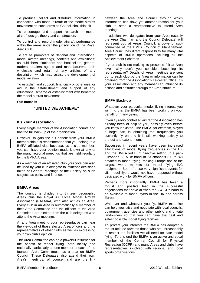To produce, collect and distribute information in connection with model aircraft or the model aircraft movement on such terms as Council shall think fit.

To encourage and support research in model aircraft design, theory and construction.

To control and record model aircraft performance within the areas under the jurisdiction of the Royal Aero Club.

To act as promoters of National and International model aircraft meetings, contests and exhibitions; as publishers, stationers and booksellers, general traders, dealers agents and manufacturers, both wholesale and retail, of any articles of any description which may assist the development of model aviation.

To establish and support, financially or otherwise, or aid in the establishment and support of any educational scheme or establishment with benefit to the model aircraft movement.

#### **Our motto is**

# **"UNITED WE ACHIEVE"**

#### **It's Your Association**

Every single member of the Association counts and has the full back-up of the organisation.

However, to gain the full benefit from your BMFA membership it is recommended that you belong to a BMFA affiliated club because, as a club member, you can have your opinion made known at any of the many regional meetings that are held regularly by the BMFA Areas.

As a member of an affiliated club your vote can also be used by your club delegate to influence decisions taken at General Meetings of the Society on such subjects as policy and finance.

#### **BMFA Areas**

The country is divided into thirteen geographic Areas plus the Royal Air Force Model Aircraft Association (RAFMAA) who also act as an Area. Every club in an Area is automatically a member of their Area Committee and the officers of the Area Committee are elected from the club delegates who attend the Area meetings.

At any Area meeting your representative can hear the viewpoint of those elected Area officers and the representatives of other clubs as well as expressing your own club's opinion.

The Area Committee can be a powerful influence for the benefit of model flying, both locally and nationally particularly as one member of each of the fourteen Area Committees has a seat on BMFA Council. These Delegates also attend their own Area's meetings, of course, and are the link between the Area and Council through which information can flow; yet another reason for your club to send a representative to attend Area meetings.

In addition, two delegates from your Area (usually the Area Chairman and the Council Delegate) will represent you at Areas Council, a powerful subcommittee of the BMFA Council of Management. Area Council has direct responsibility for many vital aspects of BMFA operations including all the Achievement Schemes.

If your club is not making its presence felt at Area level, why don't you consider becoming its representative? Details of Area meetings are sent out to each club by the Area or information can be obtained from the Association's Leicester Office. It's your Association and any member can influence its actions and attitudes through the Area structure.

#### **BMFA Back-up**

Whatever your particular model flying interest you will find that the BMFA has been working on your behalf for many years.

If you fly radio controlled aircraft the Association has already been of help to you, possibly even before you knew it existed. The BMFA, for example, played a large part in obtaining the frequencies you currently fly on and it is still working actively to protect and extend them.

Successes in recent years have been increased allocations of model flying frequencies in the UK and the BMFA led EEC directive setting up a pan-European 35 MHz band of 23 channels (60 to 82) devoted to model flying, making Europe one of the largest world markets for model flying R/C equipment. Both of these very significant events for UK model flyers would not have happened without dedicated work by BMFA officers.

Perhaps more importantly, BMFA has taken a robust and positive lead in the successful negotiations that have allowed the 2.4 GHz band to be available to model flyers in the UK and across Europe.

Wherever and whatever you fly, BMFA expertise can help you liaise and negotiate with local councils, government agencies and other public and private landowners so that you can have the best and safest possible model flying facilities.

To protect your interests the BMFA has adopted a robust attitude towards those who act unreasonably to restrict the facilities we all need for safe model flying. To this end the BMFA is an active and vocal member of the Central Council for Physical Recreation (CCPR) and many Areas and clubs have representatives involved with regional and local sports organisations.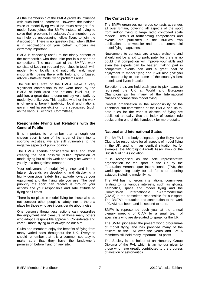As the membership of the BMFA grows its influence with such bodies increases. However, the national voice of model flying would be much stronger if all model flyers joined the BMFA instead of trying to solve their problems in isolation. As a member, you can help by encouraging fellow flyers to join the Association. There is no question that, when BMFA is in negotiations on your behalf, numbers are extremely important.

BMFA is especially useful to the ninety percent of the membership who don't take part in our sport as competitors. The major part of the BMFA's work consists of keeping you and your clubs in touch with model flying locally and nationally and, most importantly, being there with help and unbiased advice whatever model flying problems arise.

The full time staff of the BMFA make a very significant contribution to the work done by the BMFA at both area and national level but, in addition, a great deal is done entirely voluntarily by model flyers like you. This applies whether the work is of general benefit (publicity, local and national government liaison etc.) or more specialised (such as the various Technical Committees).

# **Responsible Flying and Relations with the General Public**

It is important to remember that although our chosen sport is one of the larger of the minority sporting activities, we are still vulnerable to the negative aspects of public opinion.

The BMFA spends considerable time and effort creating the best possible public impression of model flying but all this work can easily be wasted if you fly in a thoughtless manner.

Your enjoyment of model flying, now and in the future, depends on developing and displaying a highly conscious 'safety first' attitude towards your equipment and the flying site you use. The best publicity the sport can receive is through your actions and your responsible and safe attitude to flying at all times.

There is no place in model flying for those who do not consider other people's safety; nor is there a place for those who are inconsiderate about noise.

One person's thoughtless actions can jeopardise the enjoyment and pleasure of those many others who adopt a responsible approach. Considerate and careful model flying must always be our aim.

Clubs and members enjoy the benefits of flying from many varied sites throughout the UK. Everyone should remember that it is a common courtesy to make sure that they have the landowner's permission before flying on any site.

# **The Contest Scene**

The BMFA organises numerous contests at venues all over Britain, covering all aspects of the sport from indoor flying to large radio controlled scale models. Details of forthcoming competitions and events are published in the BMFA's own publications and website and in the commercial model flying magazines.

Newcomers to contests are always welcome and should not be afraid to participate, for there is no doubt that competition will improve your skills and even the experts can be beaten. Taking part in competitive events can add a great deal of eniovment to model flying and it will also give you the opportunity to see some of the country's best models and flyers in action.

Selection trials are held each year to pick teams to represent the UK at World and European Championships for many of the International classes of competition model flying.

Contest organisation is the responsibility of the Technical sub-committees of the BMFA and up-todate rules for the various classes of flying are published annually. See the index of contest rule books at the end of this handbook for more details.

#### **National and International Status**

The BMFA is the body delegated by the Royal Aero Club to be responsible for all aspects of model flying in the UK, and is in an identical situation to, for example, the Microlight Aircraft Association or the British Gliding Association.

It is recognised as the sole representative organisation for the sport in the UK by the Federation Aeronautique Internationale (FAI), the world governing body for all forms of sporting aviation, including model flying.

The FAI has numerous international committees relating to its various interests, such as gliding, aerobatics, space and model flying and the Commission Internationale d'Aeromodelisme (CIAM) is the committee responsible for our sport. The BMFA's reputation and contribution to the work of CIAM has been, and is, second to none.

BMFA is represented each year at the annual plenary meeting of CIAM by a small team of specialists who are delegated to speak for the UK.

The SMAE pioneered the present world programme of model flying and has provided many of the officers of the FAI over the years and BMFA members still hold many important FAI posts.

The Society is the holder of an Honorary Group Diploma of the FAI, which is an honour given to those who have greatly contributed to the progress of aviation or astronautics.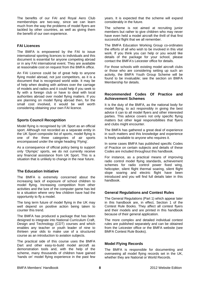The benefits of our FAI and Royal Aero Club memberships are two-way, since we can learn much from the way the problems of model flyers are tackled by other countries, as well as giving them the benefit of our own experience.

# **FAI Licences**

The BMFA is empowered by the FAI to issue international sporting licences to individuals and this document is essential for anyone competing abroad or in any FAI international event. They are available at reasonable cost on request from the BMFA office.

An FAI Licence could be of great help to anyone flying model abroad, not just competitors, as it is a document that is recognised world wide. It may be of help when dealing with airlines over the carriage of models and radios and it could help if you seek to fly with a foreign club or have to deal with local authorities abroad over model flying matters. If you are planning on model flying abroad then, for the small cost involved, it would be well worth considering obtaining your own FAI licence.

# **Sports Council Recognition**

Model flying is recognised by UK Sport as an official sport. Although not recorded as a separate entity in the UK Sport composite list of sports, model flying is one of the three categories of air sports encompassed under the single heading 'Flying'.

As a consequence of official policy being to support only 'Olympic' sports, we do not currently receive any financial assistance from UK Sport. This is a situation that is unlikely to change in the near future.

# **The Education Initiative**

The BMFA is extremely concerned about the increasing lack of exposure of school children to model flying. Increasing competition from other activities and the lure of the computer game has led to a situation where very few children have had the opportunity to fly a model.

The long term future of model flying in the UK may well depend on positive action being taken to counter this trend.

The BMFA has produced a package that has been designed to integrate into National Curriculum Craft, Design and Technology (CDT) courses and which enables any teacher or youth leader of nine to thirteen year olds to make use of a structured course as an introduction to aviation subjects.

The practical side of this course uses the BMFA Dart and other easy-to-build model aircraft as demonstration tools and, with the help of the scheme, many thousands of children have gained 'hands on' model flying experience in the past few years. It is expected that the scheme will expand considerably in the future.

The scheme is not aimed at recruiting junior members but rather to give children who may never have even held a model aircraft the thrill of that first successful flight that we all remember.

The BMFA Education Working Group co-ordinates the efforts of all who wish to be involved in this vital work. If you think you can help or you would like details of the package for your school, please contact the BMFA's Leicester office for details.

For those schools with existing model aircraft clubs or those who are considering setting up such an activity, the BMFA Youth Group Scheme will be found to be invaluable; see the section on BMFA Membership for details.

#### **Recommended Codes Of Practice and Achievement Schemes**

It is the duty of the BMFA, as the national body for model flying, to act responsibly in giving the best advice it can to all model flyers and other interested parties. This advice covers not only specific flying matters but other legal responsibilities that flyers and clubs might encounter.

The BMFA has gathered a great deal of experience in such matters and this knowledge and experience is freely available to anyone who requires it.

In some cases BMFA has published specific Codes of Practice on certain subjects and details of these Codes are included throughout this handbook.

For instance, as a practical means of improving radio control model flying standards, achievement schemes for radio control power fixed wing, helicopter, silent flight thermal soaring, silent flight slope soaring and electric flight have been introduced and you will find full details later in this handbook.

# **General Regulations and Contest Rules**

The General Regulations (Part 1) which appear later in this handbook are, in effect, Section 1 of the Contest Rule Books. They affect all contest flyers and their models and are printed in this handbook because of their general application.

The more complex and detailed individual contest rules are published separately and can be obtained from the Leicester office or the BMFA website (see BMFA Contest Rule Books).

# **Model Flying Records**

The BMFA is responsible for documenting and overseeing all model flying records set in the UK, whether they are National or World Records.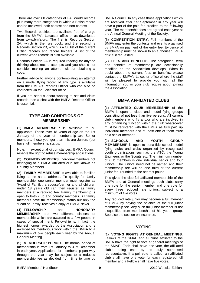There are over 80 categories of FAI World records plus many more categories in which a British record can be achieved, both contest and non-contest.

Two Records booklets are available free of charge from the BMFA's Leicester office or as downloads from www.bmfa.org. The first is Records Section 2A, which is the rule book, and the second is Records Section 2B, which is a full list of the current British records and record holders. A list of the current World records is also available.

Records Section 2A is required reading for anyone thinking about record attempts and you should not consider making an attempt without obtaining a copy.

Further advice to anyone contemplating an attempt on a model flying record of any type is available from the BMFA's Records Officer who can also be contacted via the Leicester office.

If you are serious about wanting to set and claim records then a chat with the BMFA Records Officer is essential.

# **TYPE AND CONDITIONS OF MEMBERSHIP**

(1) **BMFA MEMBERSHIP** is available to all applicants. Those over 18 years of age on the 1st January of the year of membership are Senior members, those younger than this are Juniors (but have full membership status.

Note: In exceptional circumstances, BMFA Council reserve the right to refuse membership applications.

(2) **COUNTRY MEMBERS**. Individual members not belonging to a BMFA Affiliated club are known as Country Members.

(3) **FAMILY MEMBERSHIP** is available to families living at the same address. To qualify for family membership, one senior member must register as 'Head of Family'; a spouse/partner and all children under 18 years old can then register as family members at a reduced fee. Family membership is open to both club and country members. All family members have full membership status but only the 'Head of Family' receives a copy of BMFA News.

(4) **FELLOWSHIP** and **HONORARY MEMBERSHIP** are two different classes of membership which are awarded to a few people in cases of special merit. Fellowship is, in fact, the highest honour awarded by the Association and is awarded for meritorious work within the BMFA to a maximum of two people each year by the Annual General Meeting.

(5) **MEMBERSHIP PERIOD.** The normal period of membership is from 1st January to 31st December in each year. Applications for membership part way through the year may be subject to a reduced membership fee as decided from time to time by

BMFA Council. In any case those applications which are received after 1st September in any year will have a part of the paid fee credited to the following year. The membership fees are agreed each year at the Annual General Meeting of the Society.

(6) **COMPETITION ENTRY**. Full members of the BMFA may enter the contests and events organised by BMFA on payment of the entry fee. Evidence of membership must be shown to an authorised BMFA official if requested.

(7) **FEES AND BENEFITS**. The categories, term and benefits of membership are occasionally modified as the Association develops. When in doubt about the current fees or benefits, please contact the BMFA's Leicester office where the staff will be pleased to provide you with all the information you or your club require about joining the Association.

# **BMFA AFFILIATED CLUBS**

(1) **AFFILIATED CLUB MEMBERSHIP** of the BMFA is open to clubs and model flying groups consisting of not less than five persons. All current club members who fly and/or who are involved in any organising function within the club whatsoever must be registered with the BMFA as fully paid up individual members and at least one of them must be a senior member.

(2) **SCHOOLS AND YOUTH GROUP MEMBERSHIP** is open to bona-fide school model flying clubs and clubs organised by recognised youth organisations such as the ATC, the Young Engineers or the Scouts etc. The minimum number of club members is one individual senior and four juniors. The juniors need not be named and their membership fee will be one third of the current junior fee, rounded to the nearest pound.

This gives the club full affiliated membership of the BMFA and at General meetings such clubs carry one vote for the senior member and one vote for every three reduced rate juniors, subject to a minimum of five votes.

Any reduced rate junior may become a full member of BMFA by paying the balance of the full junior membership fee. Any such full junior member is not disqualified from membership of his youth group. See also the section on insurance.

#### **VOTING**

(1) **VOTING RIGHTS AT GENERAL MEETINGS**. Fellows of the SMAE and all clubs affiliated to the BMFA have the right to vote at general meetings of the SMAE. Each shall have one vote, the affiliated club's being cast by its duly authorised representative. If a poll vote is called, an affiliated club shall have one vote for each registered full member and a Fellow shall have five votes.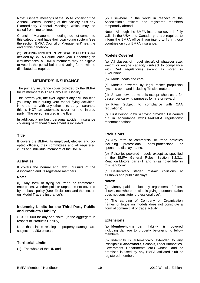Note: General meetings of the SMAE consist of the Annual General Meeting of the Society plus any Extraordinary General Meetings which may be called from time to time.

Council of Management meetings do not come into this category and have their own voting system (see the section 'BMFA Council of Management' near the end of this handbook).

(2) **VOTING RIGHTS IN POSTAL BALLOTS** are decided by BMFA Council each year. Depending on circumstances, all BMFA members may be eligible to vote in the postal ballot and voting forms will be distributed as required.

# **MEMBER'S INSURANCE**

The primary insurance cover provided by the BMFA for its members is Third Party Civil Liability.

This covers you, the flyer, against any civil liabilities you may incur during your model flying activities. Note that, as with any other third party insurance, this is NOT an automatic cover for the 'injured party'. The person insured is the flyer.

In addition, a 'no fault' personal accident insurance covering permanent disablement is included.

# **Title**

It covers the BMFA, its employed, elected and coopted officers, their committees and all registered clubs and individual members of the BMFA.

# **Activities**

It covers the normal and lawful pursuits of the Association and its registered members.

#### **Notes:**

(I) Any form of flying for trade or commercial enterprises, whether paid or unpaid, is not covered by the basic policy (See 'Exclusions' and the section on 'Model Traders Insurance').

#### **Indemnity Limits for the Third Party Public and Products Liability**

£10,000,000 for any one claim, (in the aggregate in respect of Products Liability).

Note that claims relating to property damage are subject to a £50 excess.

# **Territorial Limits**

(1) The whole of the UK and

(2) Elsewhere in the world in respect of the Association's officers and registered members temporarily abroad.

Note - Although the BMFA insurance cover is fully valid in the USA and Canada, you are required to inform the BMFA office if you intend to fly in those countries on your BMFA insurance.

# **Models Covered**

(a) All classes of model aircraft of whatever size, weight or engine capacity (subject to compliance with CAA regulations) except as noted in 'Exclusions'.

(b) Model boats and cars.

(c) Models powered by legal rocket propulsion systems up to and including 'M' size motors.

(d) Steam powered models except when used for passenger carrying purposes for hire or reward.

(e) Kites (subject to compliance with CAA regulations).

(f) First Person View RC flying provided it is carried out in accordance with CAA/BMFA regulations/ recommendations.

# **Exclusions**

(a) Any form of commercial or trade activities including professional, semi-professional or sponsored display teams.

(b) Pulse jet powered models except as specified in the BMFA General Rules, Section 1.2.3.1, Reaction Motors, parts (1) and (2) as noted later in this handbook.

(c) Deliberately staged mid-air collisions at airshows and public displays.

#### **Notes:**

(i) Money paid to clubs by organisers of fetes, shows, etc, where the club is giving a demonstration does not constitute 'professional use'.

(ii) The carrying of Company or Organisation names or logos on models does not constitute a 'form of commercial or trade activity'.

# **Extensions**

(a) **Member-to-member** liability is covered including damage to property belonging to fellow members.

(b) Indemnity is automatically extended to any Principals (**Landowners**, Schools, Local Authorities, Government Departments etc.) whose land or premises is used by any BMFA affiliated club or registered member.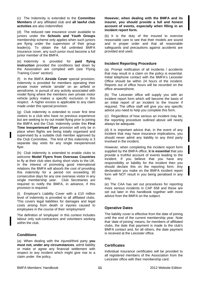(c) The Indemnity is extended to the **Committee Members** of any affiliated club and **all lawful club activities** are also indemnified.

(d) The reduced rate insurance cover available to juniors under the **Schools and Youth Groups** membership scheme only applies when such juniors are flying under the supervision of their group leader(s). To obtain the full unlimited BMFA insurance cover, any such junior must become a full junior member of the BMFA.

(e) Indemnity is provided for **paid flying instruction** provided the conditions laid down by the Association are complied with (see 'Flying Training Cover' section).

(f) In the BMFA **Airside Cover** special provision, indemnity is provided for members operating their private motor vehicle 'airside' on an airfield or aerodrome, in pursuit of any activity associated with model flying where the members own private motor vehicle policy makes a specific exclusion in this respect. A higher excess is applicable to any claim made under this special provision.

(g) Club indemnity is extended to cover first time visitors to a club who have no previous experience but are seeking to try out model flying prior to joining the BMFA and the Club. Indemnity under this **First Time Inexperienced Flyer** provision will only be in place when flights are being totally organised and supervised by a suitable club member approved by the Club Committee. The limit of this indemnity is 3 separate day visits for any single inexperienced flyer.

(h) Club indemnity is extended to enable clubs to welcome **Model Flyers from Overseas Countries** to fly at their club sites during short visits to the UK. In the interest of promoting good international relations the BMFA will absorb the cost of providing this indemnity for a period not exceeding 30 consecutive days for any one overseas visitor in any single membership year. Club Secretaries are required to notify the BMFA, in advance, if this provision is required.

(i) Employer's Liability Cover with a £10 million level of indemnity is provided to all affiliated clubs. This covers legal liabilities for damages and legal costs arising from death or injuries caused to employees in the course of their 'employment'

The definition of 'employee' in this context includes labour only sub-contractors and volunteers working within the club.

# **Conditions**

(a) When dealing with the injured/third party **you must not, under any circumstances**, admit liability or make or agree any financial settlement with respect to any incident which might give rise to a claim under the policy.

**However, when dealing with the BMFA and its insurer, you should provide a full and honest account of events, especially when filling in an incident report form.** 

(b) It is the duty of the insured to exercise reasonable care to see that their models are sound and in proper order and that all reasonable safeguards and precautions against accidents are provided and used.

# **Incident Reporting Procedure**

(a) Prompt notification of all incidents / accidents that may result in a claim on the policy is essential. Initial telephone contact with the BMFA's Leicester Office should be within 24 hours of the incident. Reports out of office hours will be recorded on the office answerphone.

(b) The Leicester office will supply you with an incident report form which will become the basis of an initial report of an incident to the Insurer if required. The office staff will give you any specific advice you need to help you complete this form.

(c) Regardless of how serious an incident may be, the reporting procedure outlined above will nearly always be adequate.

(d) It is important advice that, in the event of any incident that may have insurance implications, you should never admit any liability to any third party involved in the incident.

However, when completing the incident report form supplied by the BMFA office, **it is essential** that you provide a truthful account of events leading to the incident. If you believe that you have any responsibility or liability for the incident then you should declare this on the reporting form. Any declaration you make on the BMFA incident report form will NOT result in you being penalised in any way.

(e) The CAA has set out procedures for reporting more serious incidents in CAP 658 and these are set out later in this handbook together with more advice from the BMFA on the subject.

# **Operative Dates**

The liability cover is effective from the date of joining until the end of the current membership year. Note that 'date of joining' means, for members of affiliated clubs, the date that payment is made to the club's BMFA contact and, for all others, the date payment is received at the Leicester office.

# **Certificates**

Individual insurance certificates will be provided to all registered members of the Association from the Leicester office with their membership card.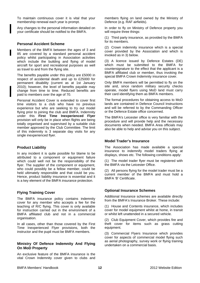To maintain continuous cover it is vital that your membership renewal each year is prompt.

Any changes to the personal information detailed on your certificate should be notified to the BMFA.

#### **Personal Accident Scheme**

Members of the BMFA between the ages of 3 and 85 are covered by a standard personal accident policy whilst participating in Association activities which include the building and flying of model aircraft for sport and recreational purposes as well as travel to and from the flying site.

The benefits payable under this policy are £5000 in respect of accidental death and up to £25000 for permanent disability (current as at 1st January 2010); however, the level of benefits payable may change from time to time. Reduced benefits are paid to members over the age of 70.

Personal Accident Cover is extended to cover first time visitors to a club who have no previous experience but who are seeking to try out model flying prior to joining the club and BMFA. Indemnity under this **First Time Inexperienced Flyer** provision will only be in place when flights are being totally organised and supervised by a suitable club member approved by the Club Committee. The limit of this indemnity is 3 separate day visits for any single inexperienced flyer.

#### **Product Liability**

In any incident it is quite possible for blame to be attributed to a component or equipment failure which could well not be the responsibility of the flyer. The supplier of the component or equipment, who could possibly be a fellow member, could be held ultimately responsible and that could be you. Hence, product liability insurance is essential and it is a key element of the BMFA insurance protection.

#### **Flying Training Cover**

The BMFA insurance policy contains indemnity cover for any member who accepts a fee for the teaching of R/C flying. This cover is only available for instruction carried out in the environment of a BMFA affiliated club and not in a commercial organisation.

In all cases, other than those covered by the First Time Inexperienced Flyer provisions, both the instructor and the pupil must be BMFA members.

#### **Ministry Of Defence Indemnity And Flying On MoD Property**

An exclusive feature of the BMFA insurance is the vital Crown Indemnity cover given to clubs and members flying on land owned by the Ministry of Defence (e.g. RAF airfields).

In order to fly on Ministry of Defence property you will require three things:

(1) Third party insurance, as provided by the BMFA for its members.

(2) Crown indemnity insurance which is a special cover provided by the Association and which is invoked as in 3) below.

(3) A licence issued by Defence Estates (DE) which must be submitted to the BMFA for countersignature to the effect that the applicant is a BMFA affiliated club or member, thus invoking the special BMFA Crown Indemnity insurance cover.

Only BMFA members will be permitted to fly on the site and, since random military security checks operate, model flyers using MoD land must carry their card identifying them as BMFA members.

The formal procedures for obtaining access to MoD lands are contained in Defence Council Instructions and will be referred to by the Commanding Officer or the Defence Estate office concerned.

The BMFA's Leicester office is very familiar with the procedure and will provide help and the necessary documents when needed. BMFA Area officials may also be able to help and advise you on this subject.

#### **Model Trader's Insurance**

The Association has made available a special insurance to indemnify model traders flying at displays, shows etc. The following conditions apply:

(1) The model trader flyer must be registered with the BMFA via the Leicester Office.

(2) All persons flying for the model trader must be a current member of the BMFA and must hold a BMFA 'B' Certificate.

#### **Optional Insurance Schemes**

Additional Insurance schemes are available directly from the BMFA's Insurance Broker. These include:

(1) House and Contents insurance, which includes cover for model equipment whilst at home, in transit or whilst left unattended in a secured vehicle.

(2) Club Equipment Cover, which provides fire and theft cover for items such as grass cutting equipment.

(3) Commercial Flyers Insurance which provides cover for aspects of commercial model flying such as aerial photography, survey work or flying training undertaken on a commercial basis.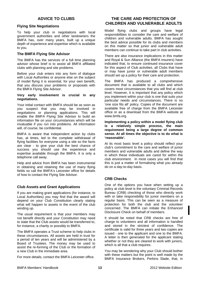# **ADVICE TO CLUBS**

# **Flying Site Negotiations**

To help your club in negotiations with local government authorities and other landowners the BMFA has, over many years, built up a unique depth of experience and expertise which is available to you.

# **The BMFA Flying Site Advisor**

The BMFA has the services of a full time planning advisor whose brief is to assist all BMFA affiliated clubs with planning and site problems.

Before your club enters into any form of dialogue with Local Authorities or anyone else on the subject of model flying it is essential, for your own benefit, that you discuss your problems or proposals with the BMFA Flying Site Advisor.

#### **Very early involvement is crucial in any negotiations.**

Your initial contact with BMFA should be as soon as you suspect that you may be involved in negotiations or planning applications. This will enable the BMFA Flying Site Advisor to build an information file on your circumstances which will be invaluable if you run into problems. All information will, of course, be confidential.

BMFA is aware that independent action by clubs has, at times, led to the complete withdrawal of flying facilities for everyone using a site so the facts are clear - to give your club the best chance of success you should use the experience and expertise available through the BMFA. It is only a telephone call away.

Help and advice from BMFA has been instrumental in obtaining and retaining the use of many flying fields so call the BMFA's Leicester office for details of how to contact the Flying Site Advisor.

# **Club Assets and Grant Applications**

If you are making grant applications (for instance, to Local Authorities) you may find that the award will depend on your Club Constitution clearly stating what will happen to assets in the event of the club winding up.

The usual requirement is that your members may not benefit directly and your Constitution may need to state that the Club assets would be transferred to, for instance, a charity or possibly to BMFA.

The BMFA operates a Trust scheme to help clubs in these circumstances. All assets are held in trust for a period of ten years and will be administered by a Board of Trustees. The money may be used to assist the re-forming of the Club or the formation of a new Club in the immediate area.

For more details, contact the BMFA Leicester office.

# **THE CARE AND PROTECTION OF CHILDREN AND VULNERABLE ADULTS**

Model flying clubs and groups have legal responsibilities to consider the care and welfare of children and vulnerable adults. BMFA has sought the best advice possible for its clubs and members on this matter so that junior and vulnerable adult members can continue to take part in club activities.

There are also insurance implications in this matter and Royal & Sun Alliance (the BMFA insurers) have indicated that, to ensure continued insurance cover for this aspect of Club activities, all Clubs that have or may have junior or vulnerable adult members should set up a policy for their care and protection.

The BMFA has produced a comprehensive document that is available to all clubs and which covers most circumstances that you will find at club level. However, it is important that any policy which you implement within your club is one that suits your particular needs and circumstances. There is no 'one size fits all' policy. Copies of the document are available free of charge from the BMFA Leicester office or as a download from the BMFA website at www.bmfa.org.

**Implementing a policy within a model flying club is a relatively simple process, the main requirement being a large degree of common sense. At all times the objective is to do what is 'reasonable'.** 

At its most basic level a policy should reflect your club's commitment to the care and welfare of junior members and vulnerable adults and define the way in which these individuals are cared for within the club environment. In most cases you will find that this is just a matter of formalising what you already do on a day-to-day basis.

# **CRB Checks**

One of the options you have when setting up a policy at club level is the voluntary Criminal Records Bureau (CRB) checking of those who directly work with or take responsibility for junior members on a regular basis. This can be seen as a measure of protection for both the club and the volunteer concerned. The BMFA can initiate the Enhanced Disclosure Check on behalf of members.

It should be noted that CRB checks are free of charge to volunteers and all information is handled and stored in the strictest of confidence. The certificate is valid for three years and two copies are issued - one to the applicant and one to the BMFA. A letter is then generated for the applicant stating whether or not they are cleared to work with juniors, which is all that a club requires.

You may be wondering why your Club should bother with these matters but the point is well made by the BMFA Insurance Brokers, Perkins Slade, that, in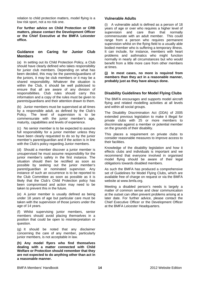relation to child protection matters, model flying is a low risk sport, not a no risk one.

**For further advice on Child Protection or CRB matters, please contact the Development Officer or the Chief Executive at the BMFA Leicester office.** 

#### **Guidance on Caring for Junior Club Members**

(a) In setting out its Child Protection Policy, a Club should have clearly defined who takes responsibility for junior club members. Depending on what has been decided, this may be the parents/guardians of the juniors, it may be club members or it may be a shared responsibility. Whatever the situation is within the Club, it should be well publicised to ensure that all are aware of any division of responsibilities. Club rules should carry this information and a copy of the rules must be given to parents/guardians and their attention drawn to them.

(b) Junior members must be supervised at all times by a responsible adult, as defined by the Club's Policy. The level of supervision is to be commensurate with the junior member's age, maturity, capabilities and levels of experience.

(c) No senior member is to be expected to assume full responsibility for a junior member unless they have been clearly requested to do so by the junior member's parent/guardian and if the action is in line with the Club's policy regarding Junior members.

(d) Should a member discover a junior member is unsupervised he must assume responsibility for the junior member's safety in the first instance. The situation should then be rectified as soon as possible by seeking out the junior member's parent/guardian or nominated supervisor. Any instance of such an occurrence is to be reported to the Club Committee as soon as possible as it is likely that the Club's Child Protection policy has been compromised and action may need to be taken to prevent this in the future.

(e) A junior member is usually defined as being under 18 years of age but particular care must be taken with the supervision of those juniors under the age of 14 years.

(f) Whilst supervising junior members, senior members should avoid placing themselves in a position that could be open to misinterpretation or question.

(g) It should be noted that any disclaimer concerning the care of any member, particularly junior members, is not acceptable in law.

**(h) Any model flyers who find themselves dealing with a matter connected with Child Welfare or Protection should remember that they are not expected to do anything other than act in a reasonable manner.** 

# **Vulnerable Adults**

(i) A vulnerable adult is defined as a person of 18 years of age or over who requires a higher level of supervision and care than that normally supervision and care than that normally commensurate with an adult member. This could range from a person who requires permanent supervision whilst on the flying field to a usually able bodied member who is suffering a temporary illness. It can include, for instance, members with heart problems and asthmatics who might function normally in nearly all circumstances but who would benefit from a little more care from other members at times.

**(j) In most cases, no more is required from members than they act in a reasonable manner, probably just as they have always done.** 

# **Disability Guidelines for Model Flying Clubs**

The BMFA encourages and supports model aircraft flying and related modelling activities at all levels and within all social groups.

The Disability Discrimination Act (DDA) of 2005 extended previous legislation to make it illegal for private clubs with 25 or more members to discriminate against a member or potential member on the grounds of their disability.

This places a requirement on private clubs to consider reasonable measures to improve access to their facilities.

Knowledge of the disability legislation and how it effects clubs and individuals is important and we recommend that everyone involved in organised model flying should be aware of their legal obligations towards disabled members.

As such the BMFA has produced a comprehensive set of Guidelines for Model Flying Clubs, which are available free of charge on request or via the BMFA website at www.bmfa.org.

Meeting a disabled person's needs is largely a matter of common sense and clear communication at the outset can often prevent problems arising at a later date. For further advice, please contact the Chief Executive Officer or the Development Officer at the BMFA Leicester Headquarters.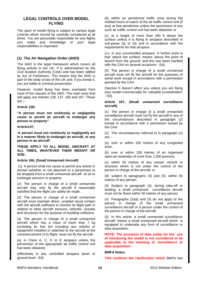# **LEGAL CONTROLS OVER MODEL FLYING**

The sport of model flying is subject to various legal controls which should be carefully considered at all times. You are personally responsible for any flights you make and knowledge of your legal responsibilities is important.

# **(1) The Air Navigation Order (ANO)**

The ANO is the legal framework which covers all flying activity in the UK. It is administered by the Civil Aviation Authority (CAA) and has been ratified by Act of Parliament. This means that the ANO is part of the body of law of the UK and, if you break it, you are liable to criminal prosecution.

However, model flying has been exempted from most of the clauses of the ANO. The main ones that still apply are Articles 138, 137, 166 and 167. These are ;-

#### **Article 138;**

**"A person must not recklessly or negligently cause or permit an aircraft to endanger any person or property"** 

#### **Article137;**

**'A person must not recklessly or negligently act in a manner likely to endanger an aircraft, or any person in an aircraft'** 

**THESE APPLY TO ALL MODEL AIRCRAFT AT ALL TIMES, WHATEVER THEIR WEIGHT OR SIZE.** 

#### **Article 166, (Small Unmanned Aircraft)**

 (1) A person shall not cause or permit any article or animal (whether or not attached to a parachute) to be dropped from a small unmanned aircraft so as to endanger persons or property

(2) The person in charge of a small unmanned aircraft may only fly the aircraft if reasonably satisfied that the flight can safely be made.

(3) The person in charge of a small unmanned aircraft must maintain direct, unaided visual contact with the aircraft sufficient to monitor its flight path in relation to other aircraft, persons, vehicles, vessels and structures for the purpose of avoiding collisions.

(4) The person in charge of a small unmanned aircraft which has a mass of more than 7 kg excluding its fuel but including any articles or equipment installed or attached to the aircraft at the commencement of its flight, must not fly the aircraft .

(a) in Class A, C, D or E airspace unless the permission of the appropriate air traffic control unit has been obtained.

(effectively in any controlled airspace down to ground level - Ed)

(b) within an aerodrome traffic zone during the notified hours of watch of the air traffic control unit (if any) at that aerodrome unless the permission of any such air traffic control unit has been obtained; or

(c) at a height of more than 400 ft above the surface unless it is flying in airspace described in sub-paras (a) or (b) and in accordance with the requirements for that airspace.

(i.e. in any uncontrolled airspace. A further point is that 'above the surface' means 'above the point of launch from the ground' and this has been clarified with the CAA on several occasions - Ed).

(5) The person in charge of a small unmanned aircraft must not fly the aircraft for the purposes of aerial work except in accordance with a permission granted by the CAA.

(Section 5 doesn't affect you unless you are flying your model commercially for 'valuable consideration' - Ed).

#### **Article 167, (Small unmanned surveillance aircraft)**

(1) The person in charge of a small unmanned surveillance aircraft must not fly the aircraft in any of the circumstances described in paragraph (2) except in accordance with a permission issued by the CAA.

(2) The circumstances referred to in paragraph (1) are :-

(a) over or within 150 metres of any congested area;

(b) over or within 150 metres of an organised open-air assembly of more than 1,000 persons;

(c) within 50 metres of any vessel, vehicle or structure which is not under the control of the person in charge of the aircraft; or

(d) subject to paragraphs (3) and (4), within 50 metres of any person.

(3) Subject to paragraph (4), during take-off or landing, a small unmanned surveillance aircraft must not be flown within 30 metres of any person.

(4) Paragraphs (2)(d) and (3) do not apply to the person in charge of the small unmanned surveillance aircraft or a person under the control of the person in charge of the aircraft.

(5) In this article 'a small unmanned surveillance aircraft' means a small unmanned aircraft which is equipped to undertake any form of surveillance or data acquisition.

**NOTE: The provision of data solely for the use of monitoring the model is not considered to be applicable to the meaning of 'surveillance or data acquisition'.** 

#### **BMFA Notes.**

**This confirms the clarification which** BMFA has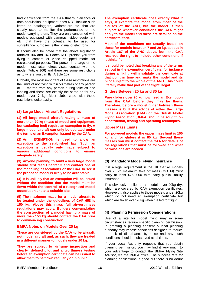had clarification from the CAA that 'surveillance or data acquisition' equipment does NOT include such items as dataloggers, variometers etc. that are clearly used to monitor the performance of the model carrying them. They are only concerned with models equipped with cameras, video equipment etc. that have the potential to be used for surveillance purposes, either visual or electronic.

It should also be noted that the above legislation (articles 166 and 167) does NOT prohibit you from flying a camera or video equipped model for recreational purposes. The person in charge of the model must retain direct visual contact with the model (Article 166) and there are some restrictions as to where you can fly (Article 167).

Probably the most important of these restrictions are the limits of not flying within 50 metres of any person or 30 metres from any person during take off and landing and these are exactly the same as for any model over 7 kg. Most clubs cope with these restrictions quite easily.

# **(2) Large Model Aircraft Regulations**

**(1) All large model aircraft having a mass of more than 20 kg (mass of model and equipment, but excluding fuel) require an exemption to fly. A large model aircraft can only be operated under the terms of an Exemption issued by the CAA.** 

**(2) An EXEMPTION is used to allow an exception to the established law. Such an exception is usually only made subject to various additional conditions to ensure adequate safety.** 

**(3) Anyone planning to build a very large model should first read Chapter 3 and contact one of the modelling associations or the CAA to see if the proposed model is likely to be acceptable.** 

**(4) It is unlikely that an exemption will be issued without the condition that the model must be flown within the 'control' of a recognised model association and at a suitable site.** 

**(5) The maximum mass for a model aircraft to be treated under the guidelines of CAP 658 is 150 kg. Above this mass full airworthiness regulations may apply. Builders contemplating the construction of a model having a mass of more than 150 kg should contact the CAA prior to commencing construction.** 

#### **BMFA Notes on Models Over 20 kg**

**These are considered by the CAA to be aircraft, not model aircraft and, as such, they are treated in a different manner to models under 20 kg.** 

**They are subject to airframe inspection and clearly defined pilot and airworthiness testing before an exemption certificate can be issued to allow them to be flown regularly or in public.** 

**The exemption certificate does exactly what it says, it exempts the model from most of the clauses of the ANO, but the model is then subject to whatever conditions the CAA might apply to the model and these are detailed on the certificate itself.** 

**Most of the conditions are usually based on those for models between 7 and 20 kg, set out in Article 167 of the ANO above, but the CAA reserves the right to include other conditions if it thinks fit.** 

**It should be noted that breaking any of the terms set out in the exemption certificate, for instance during a flight, will invalidate the certificate at that point in time and make the model and its pilot subject to the whole of the ANO. This could literally make that part of the flight illegal.** 

#### **Gliders Between 20 kg and 80 kg**

**Pure gliders over 20 kg now need an Exemption from the CAA before they may be flown. Therefore, before a model glider between these masses is built the advice of either the Large Model Association (LMA) or the British Model Flying Association (BMFA) should be sought on construction, testing and operating techniques.** 

#### **Upper Mass Limits**

**For powered models the upper mass limit is 150 kg and for gliders it is 80 kg. Beyond these masses you must contact the CAA for details of the regulations that must be followed and what permissions are needed.** 

# **(3) Mandatory Model Flying Insurance**

It is a legal requirement in the UK that all models over 20 kg maximum take off mass (MOTM) must carry at least £750,000 third party public liability insurance.

This obviously applies to all models over 20kg dry, which are covered by CAA exemption certificates. However, it also applies to those models under 20kg which do not need an exemption certificate but which are taken over 20kg when fuelled for flight.

# **(4) Planning Permission Considerations**

Use of a site for model flying may in some circumstances require specific planning permission. In granting a planning consent a local planning authority may impose conditions designed to reduce the risk of disturbance by noise and any such conditions should be observed at all times.

If your Local Authority requests that you obtain planning permission, you may find it very much to your advantage to contact the BMFA Flying Site Advisor, via the BMFA office. The success rate for planning applications is good but there is no doubt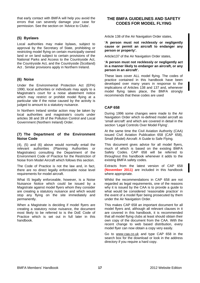that early contact with BMFA will help you avoid the errors that can severely damage your case for permission. See the section on 'Advice to Clubs'.

# **(5) Byelaws**

Local authorities may make bylaws, subject to approval by the Secretary of State, prohibiting or restricting model flying on certain municipally owned land or on land subject to certain provisions of the National Parks and Access to the Countryside Act, the Countryside Act, and the Countryside (Scotland) Act . Similar provisions apply in Northern Ireland.

# **(6) Noise**

Under the Environmental Protection Act (EPA) 1990, local authorities or individuals may apply to a Magistrate's court for a noise abatement notice which may restrict or prohibit model flying at a particular site if the noise caused by the activity is judged to amount to a statutory nuisance.

In Northern Ireland similar action may be taken by local authorities and magistrate's courts under articles 38 and 39 of the Pollution Control and Local Government (Northern Ireland) Order.

#### **(7) The Department of the Environment Noise Code**

(4), (5) and (6) above would normally entail the relevant authorities (Planning Authorities or Magistrates) consulting the Department of the Environment Code of Practice for the Restriction of Noise from Model Aircraft which follows this section.

The Code of Practice is not the law and, in fact, there are no direct legally enforceable noise level requirements for model aircraft.

What IS legally enforceable, however, is a Noise Nuisance Notice which could be issued by a Magistrate against model flyers whom they consider are creating a statutory nuisance and which would stop any flying on the site immediately and permanently.

When a Magistrate is deciding if model flyers are creating a statutory noise nuisance, the document most likely to be referred to is the DoE Code of Practice which is set out in full later in this handbook.

# **THE BMFA GUIDELINES AND SAFETY CODES FOR MODEL FLYING**

Article 138 of the Air Navigation Order states,

**'A person must not recklessly or negligently cause or permit an aircraft to endanger any person or property'.** 

Article137 of the Air Navigation Order states,

#### **'A person must not recklessly or negligently act in a manner likely to endanger an aircraft, or any person in an aircraft'.**

These laws cover ALL model flying. The codes of practice contained in this handbook have been developed over many years in response to the implications of Articles 138 and 137 and, whenever model flying takes place, the BMFA strongly recommends that these codes are used

# **CAP 658**

During 1996 some changes were made to the Air Navigation Order which re-defined model aircraft as 'small aircraft' and which are covered in detail in the section 'Legal Controls Over Model Flying'.

At the same time the Civil Aviation Authority (CAA) issued Civil Aviation Publication 658 (CAP 658), Small (Model) Aircraft: A Guide to Safe Flying.

This document gives advice for all model flyers, much of which is based on the existing BMFA Safety Codes. CAP 658 will be referred to throughout this handbook whenever it adds to the existing BMFA safety codes.

Extracts from the latest version of CAP 658 **(November 2011)** are included in this handbook where appropriate.

Whilst the recommendations in CAP 658 are not regarded as legal requirements, one of the reasons why it is issued by the CAA is to provide a guide to what would be considered 'reasonable practice' in the event of a model flyer being prosecuted by them under the Air Navigation Order.

This makes CAP 658 an important document for all model flyers and, although all relevant clauses in it are covered in this handbook, it is recommended that all model flying clubs at least should obtain their own copy of the document from the CAA. With the recent change to web based distribution, every model flyer can now obtain a copy very easily.

Go to [www.caa.co.uk](http://www.caa.co.uk/) and type CAP 658 in the search box for the download or look in the address directory if you require a hard copy.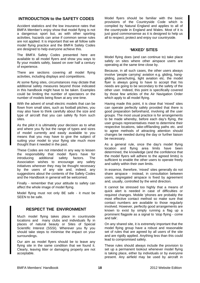# **INTRODUCTION to the SAFETY CODES**

Accident statistics and the low insurance rates that BMFA Member's enjoy show that model flying is not a dangerous sport but, as with other sporting activities, hazards can arise if common sense rules are not applied. It is important that we all follow safe model flying practice and the BMFA Safety Codes are designed to help everyone achieve this.

The BMFA Safety Codes presented here are available to all model flyers and show you ways to fly your models safely, based on over half a century of experience.

There are sections covering all model flying activities, including displays and competitions.

At some flying sites, circumstances may dictate that additional safety measures beyond those indicated in this handbook might have to be taken. Examples could be limiting the number of spectators or the number of models being flown at any one time.

With the advent of small electric models that can be flown from small sites, such as football pitches, you may also have to think carefully about the size and type of aircraft that you can safely fly from such sites.

As the pilot it is ultimately your decision as to what and where you fly but the range of types and sizes of model currently and easily available to you means that you may have to give the subject of suiting your model to your flying site much more thought than it needed in the past.

These Codes are not intended in any way to lessen the responsibility that model flyers have for introducing additional safety factors. The Association wishes to encourage any safety initiatives wherever they may be thought necessary by the users of any site and, indeed, any suggestions about the contents of the Safety Codes and the Handbook in general will be welcomed.

Finally - remember that your attitude to safety can affect the whole image of model flying.

Model flying must not only BE safe - it must be SEEN to be safe.

# **RESPECT THE ENVIRONMENT**

Much model flying takes place in countryside locations and many clubs and individuals fly in places of natural beauty or Sites of Special Scientific Interest (SSSI). Wherever you fly you should take steps to minimise the impact on your surroundings.

Our aim as model flyers should be to leave any flying site in the same condition that we found it. Clearly, leaving litter or damaging property are not acceptable.

Model flyers should be familiar with the basic provisions of the Countryside Code which is compiled by Natural England and applies to all of the countryside in England and Wales. Most of it is just good commonsense as it is designed to help us all to respect, protect and enjoy our countryside.

# **'MIXED' SITES**

Model flying does (and can continue to) take place safely on sites where other airspace users are operating at the same time close by.

Because, in all such cases, the other users always involve 'people carrying' aviation e.g. gliding, hanggliding, parachuting, light aviation etc. the model flyer is always going to have to accept that his needs are going to be secondary to the safety of the other user. Indeed, this point is specifically covered by those few articles of the Air Navigation Order which apply to all model flying.

Having made this point, it is clear that 'mixed' sites can operate perfectly safely provided that there is good preparation beforehand, involving all the user groups. The most usual practice is for arrangements to be made whereby, before each day's flying, the user groups representatives meet to determine their respective locations, take-off/landing paths etc. and to agree methods of attracting attention should changes be needed during the day or further liaison be necessary.

As a general rule, once the day's model flying location and flying area limits have been determined, the knowledge (and the confidence that the model flyers will adhere to the agreed limits) is sufficient to enable the other users to operate freely and safely within their own limits.

In essence, therefore, 'mixed' sites generally do not share airspace - instead, in consultation between users, segregated airspace is fixed by agreement and, usually, controlled by the wind direction.

It cannot be stressed too highly that a means of quick alert is needed in case of difficulties or required changes. Mobile 'phones are probably the most effective contact method so make sure that contact numbers are available to those regularly involved. However, perfectly good arrangements are known to exist by simply running a flag up a prominent flagpole as a signal to 'stop flying - come and talk'.

On any shared site, it is extremely important that the model flying group have a robust and reasonable set of rules that are agreed by all users of the site and are rigidly applied. Anything less than this could lead to compromised safety.

These rules should always include the provision to set up a permanent lookout whenever model flying is taking place, either by individuals or by everyone present. Any airfield may be used by aircraft in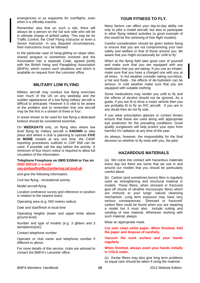emergencies or as waypoints for overflights, even when it is officially inactive.

Remember also that on such a site, there will always be a person on the full size side who will be in ultimate charge of airfield safety. This may be Air Traffic Control, the Chief Flying Instructor or even a Senior Instructor. In any disputed circumstances, their instructions must be followed

In the particular case of hang-gliding on slope sites, shared airspace is sometimes involved and the Association has a separate Code, agreed jointly with the British Hang and Paragliding Association (BHPA), which covers such situations and which is available on request from the Leicester office.

# **MILITARY LOW FLYING**

Military aircraft may conduct low flying exercises over much of the UK on any weekday and the sudden appearance of a low flying military aircraft is difficult to anticipate. However it is vital to be aware of the problem and to remember that one aircraft may be the first in a stream of three or four.

In areas known to be used for low flying a dedicated lookout should be considered essential.

On **WEEKDAYS** only, on flying sites where low level flying by military aircraft is **KNOWN** to take place and where a club is planning to operate **FIVE or MORE** models at any one time, the CANP reporting procedures outlined in CAP 658 can be used. If possible call the day before the activity. A minimum of four hours notice is required to allow full circulation of the information.

#### **Telephone Freephone on 0800 515544 or Fax on 0500 300120** or **e-mail**

**[cas-gmbaslfoslfbc@wittering.raf.mod.uk](mailto:cas-gmbaslfoslfbc@wittering.raf.mod.uk)**

and give the following information;

Civil low flying - recreational activity

Model aircraft flying

Location (ordnance survey grid reference or position in relation to the nearest town)

Operating area (e.g. 500 metres radius)

Date and start/finish in local time

Operating heights (lower and upper limits above ground level)

Number and type of models (e.g. 3 gliders and 3 aeroplanes)(sic)

Contact telephone number

Operator or club name and telephone number if different to above.

For more details of this service, clubs are advised to contact the BMFA's Leicester office.

# **YOUR FITNESS TO FLY.**

Many factors can affect your day-to-day ability not only to pilot a model aircraft, but also to participate in other flying related activities (a good example of this would be the retrieving of free flight models).

Careful consideration should be given before flying to ensure that you are not compromising your own safety and welfare or that of those around you. Be aware that you might occasionally be 'unfit to fly'.

When at the flying field take good care of yourself and make sure that you are equipped with any medication that you are taking. If you use an inhaler, make sure that you have a charged one with you at all times. In hot weather consider taking sun-block, a hat and fluids - the effects of de-hydration can be serious. In cold weather make sure that you are equipped with suitable clothing.

Some medications may render you unfit to fly and the effects of alcohol should not be ignored. As a guide, if you are fit to drive a motor vehicle then you are probably fit to fly an R/C aircraft. If you are in any doubt then do not fly solo.

If you wear prescription glasses or contact lenses ensure that these are used along with appropriate eye protection for the prevailing conditions. Good quality sunglasses will help protect your eyes from harmful UV radiation at any time of the year.

As always, however, the responsibility for the final decision on whether to fly rests with you, the pilot.

# **HAZARDOUS MATERIALS**

(a) We come into contact with hazardous materials every day but there are some that we use in and around our models that you should be particularly careful about.

(b) Carbon (and sometimes boron) fibre is regularly used as strengthening and structural material in models. These fibres, when stressed or fractured give off clouds of ultrafine microscopic fibres which are immune to your lungs' natural cleansing mechanism. Long term exposure may have very serious consequences. 'Stressed or fractured' carbon fibre could be found when you are repairing a model but it must also include cutting and sanding of new material. Whenever working with such material, always

Wear an appropriate mask.

**Cut over clean white paper. When finished, fold the paper and dispose of carefully.** 

#### **Vacuum the work surface and your hands regularly**

#### **When finished, always wash your hands initially in COLD water.**

(c) Kevlar fibres may also give long term problems so equal care should be taken if using the material.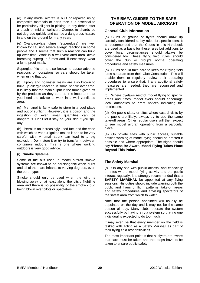(d) If any model aircraft is built or repaired using composite materials or parts then it is essential to be particularly diligent in picking up any debris after a crash or mid-air collision. Composite shards do not degrade quickly and can be a dangerous hazard in and on the ground for many years

(e) Cyanoacrylate glues (superglues) are well known for causing severe allergic reactions in some people and it seems that such a reaction can build up over time. Work in a well ventilated area, avoid breathing superglue fumes and, if necessary, wear a fume proof mask.

Superglue 'kicker' is also known to cause adverse reactions on occasions so care should be taken when using that too.

(f) Epoxy and polyester resins are also known to build up allergic reaction in some people over time. It is likely that the main culprit is the fumes given off by the products as they cure so it is important that you heed the advice to work in a well ventilated area.

(g) Methanol is fairly safe to store in a cool place and out of sunlight. However, it is a poison and the ingestion of even small quantities can be dangerous. Don't let it stay on your skin if you spill any.

(h) Petrol is an increasingly used fuel and the ease with which its vapour ignites makes it one to be very careful with. A small spark can lead to a big explosion. Don't store it or try to transfer it between containers indoors. This is one where working outdoors is very good advice.

#### **(i) Smoke Systems**

Some of the oils used in model aircraft smoke systems are known to be carcinogenic when burnt and all of them are irritants to varying degrees, even the purer types.

Smoke should only be used when the wind is blowing away or at least along the pits / flightline area and there is no possibility of the smoke cloud being blown over pilots or spectators.

# **THE BMFA GUIDES TO THE SAFE OPERATION OF MODEL AIRCRAFT**

# **General Club Information**

(a) Clubs or groups of flyers should draw up carefully considered safety rules for specific sites. It is recommended that the Codes in this Handbook are used as a basis for these rules but additions to cover local circumstances should always be considered too. These 'flying field' rules, should cover the club or group's normal operating procedures and safety measures.

(b) Clubs should take care to keep their flying field rules separate from their Club Constitution. This will enable them to regularly review their operating procedures to ensure that, if any additional safety measures are needed, they are recognised and implemented.

(c) Where byelaws restrict model flying to specific areas and times, model flyers should encourage local authorities to erect notices indicating the restrictions.

(d) On public sites, or sites where casual visits by the public are likely, always try to use the same take-off areas. Other regular users will then expect to see model aircraft operating from a particular place.

(e) On private sites with public access, suitable notices warning of model flying should be erected if possible and where appropriate. The signs should say **'Please Be Aware. Model Flying Takes Place Beyond This Point'.** 

# **The Safety Marshal**

(f) On any site with public access, and especially on sites where model flying activity and the public interact regularly, it is strongly recommended that a **SAFETY MARSHAL** be appointed at any flying sessions. His duties should include warning both the public and flyers of flight patterns, take-off areas and safety procedures and advising spectators of the safest area from which to watch.

Note that the person appointed will usually be appointed on the day and it may not be the same person all day. Many clubs operate the system successfully by having a rota system so that no one individual is expected to do too much.

It may even be that every member on the field is tasked with acting as a Safety Marshall as part of their flying field responsibilities.

The most important point is that all flyers are aware that care must be taken and that steps have to be taken to ensure public safety.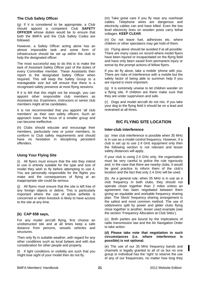# **The Club Safety Officer**

(g) If it is considered to be appropriate, a Club should appoint a competent Club **SAFETY OFFICER** whose duties would be to ensure that both the BMFA and the Club Safety Codes are followed.

However, a Safety Officer acting alone has an almost impossible task and some form of infrastructure should be set up within the club to help the designated officer.

The most successful way to do this is to make the task of Assistant Safety Officer part of the duties of every Committee member. These Assistants then report to the designated Safety Officer when required. This will keep the Safety Group to a manageable size but will ensure that there is a recognised safety presence at most flying sessions.

If it is felt that this might not be enough, you can appoint other responsible club members as Assistants too. Examiners, Instructors or senior club members might all be candidates.

It is not recommended that you appoint 'all club members' as their own safety officers. Such an approach loses the focus of a smaller group and can become ineffective.

(h) Clubs should educate and encourage their members, particularly new or junior members, to conform to Club safety requirements and should have no hesitation in disciplining persistent offenders.

# **Using Your Flying Site**

(i) All flyers must ensure that the site they intend to use is entirely suitable for the type and size of model they wish to fly before attempting to use it. You are personally responsible for the flights you make and the consequences of flying at an inappropriate site could be serious.

(j) All flyers must ensure that the site is left free of any foreign objects or debris. This is particularly important where the use of active airfields is concerned or when livestock is likely to have access to the site at any time.

# **(k) CAP 658 says,**

For any model aircraft flying, first choose an unobstructed site and at all times keep a safe distance from persons, vessels vehicles and structures.

Then only fly in suitable weather, with regard for any other conditions such as local bylaws and with due consideration for other people and property.

(l) If light conditions or visibility are such that you might lose sight of your model then do not fly.

(m) Take great care if you fly near any overhead cables. Telephone wires are dangerous and electricity cables can and have killed. Even the low level electricity lines on wooden posts carry lethal voltages. **KEEP CLEAR**.

(n) Do not leave fuel, adhesives etc. where children or other spectators may get hold of them.

(o) Flying alone should be avoided if at all possible. There are many cases on record where model flyers have been injured or incapacitated on the flying field and have only been saved from permanent injury or worse by the prompt actions of fellow flyers.

If you do fly alone, take a mobile 'phone with you. There are risks of interference with a mobile but the safety factor of being able to summon help if you are injured is more important.

(q) It is extremely unwise to let children wander on a flying site. If children are there make sure that they are under supervision and safe.

(r) Dogs and model aircraft do not mix. If you take your dog to the flying field it should be on a lead and restrained at all times.

# **R/C FLYING SITE LOCATION**

# **Inter-club interference**

(a) Inter club interference is possible when 35 MHz is in use as a model control frequency. However, if a club is set up to use 2.4 GHz equipment only then the following section is not relevant and lesser safety distances will apply.

If your club is using 2.4 GHz only, the organisation must be very careful to police the rule rigorously and, in the case that there are nearby clubs, it would be good practice to inform them of the club's location and the fact that only 2.4 GHz will be used.

(b) As a general rule, when 35 MHz is in use as a club frequency in both clubs, they should not operate closer together than 2 miles unless an agreement has been negotiated between them giving an equitable and workable frequency sharing plan. The 'block' frequency sharing arrangement is the safest and most common method. The use of odds/evens split by power and glider clubs flying close together is another, lesser used example (see the section 'Frequency Allocation at Club Sites').

(c) Both parties are bound by the implications of radio transmission law and the Air Navigation Order to take action.

#### **(d) Please take note that negotiation in such circumstances (i.e. where interference is possible) is not optional.**

(e) The use of our 35 MHz frequency bands and channels is legally granted to all of us but no one group or individual has the 'right' to reserve the use of any of our frequencies, no matter how long they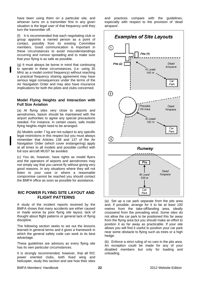have been using them on a particular site, and whoever turns on a transmitter first in any given situation is the legal user of that frequency until they turn the transmitter off.

(f) It is recommended that each negotiating club or group appoints a named person as a point of contact, possibly from its existing Committee members. Good communication is important in these circumstances to avoid misunderstandings occurring and rumour spreading and to make sure that your flying is as safe as possible.

(g) It must always be borne in mind that continuing to operate in these circumstances, (i.e. using 35 MHz as a model control frequency) without reaching a practical frequency sharing agreement may have serious legal consequences under the terms of the Air Navigation Order and may also have insurance implications for both the pilots and clubs concerned.

#### **Model Flying Heights and Interaction with Full Size Aviation**

(a) At flying sites very close to airports and aerodromes, liaison should be maintained with the airport authorities to agree any special precautions needed. For instance, in certain cases, safe model flying heights might need to be arranged.

(b) Models under 7 kg are not subject to any specific legal restrictions in this respect but you must always remember that Articles 138 and 137 of the Air Navigation Order (which cover endangering) apply at all times to all models and possible conflict with full size aircraft MUST be avoided.

(c) You do, however, have rights as model flyers and the operators of airports and aerodromes may not simply say that you cannot fly without giving very good reasons. In any situations where they will not listen to your case or where a reasonable compromise cannot be reached you should contact the BMFA office as soon as possible for assistance.

# **R/C POWER FLYING SITE LAYOUT AND FLIGHT PATTERNS**

A study of the incident reports received by the BMFA shows that many accidents are either caused or made worse by poor flying site layout, lack of thought about flight patterns or general lack of flying discipline.

The following section seeks to set out the lessons learned in general terms and it gives a framework in which the general safety code can work to its best advantage.

These guidelines are advisory as every flying site has its own particular circumstances.

It is strongly recommended, however, that all R/C power oriented clubs, both fixed wing and helicopter, study this section and see how their sites and practices compare with the guidelines, especially with respect to the provision of 'dead airspace'.



(a) Set up a car park separate from the pits area and, if possible, arrange for it to be at least 100 metres from the take-off/landing area, ideally crosswind from the prevailing wind. Some sites do not allow the car park to be positioned this far away from the flying area but you should make an effort to position it as far away as practicable. If your site allows you will find it useful to position your car park near some obstacle to flying such as trees or a high hedge.

(b) Enforce a strict ruling of no cars in the pits area. An exception could be made for any of your disabled members but only for loading and unloading.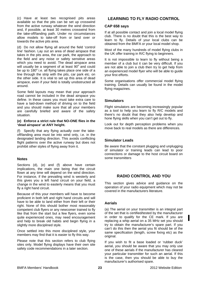(c) Have at least two recognised pits areas available so that the pits can be set up crosswind from the active runway whatever the wind direction and, if possible, at least 30 metres crosswind from the take-off/landing path. Under no circumstances allow models to take-off from or land over or towards the active pits area.

(d) Do not allow flying all around the field 'control line' fashion. Lay out an area of dead airspace that takes in the pits area, the car park, the approach to the field and any noise or safety sensitive areas which you need to avoid. The dead airspace area will usually be a segment of at least  $90^\circ$  and could be up to  $180^\circ$  i.e. all flying takes place one side of a line through the strip with the pits, car park etc. on the other side. It is vital to set up this area of dead airspace, even if your field is totally unobstructed all around.

Some field layouts may mean that your approach road cannot be included in the dead airspace you define. In these cases you must take extra care to have a laid-down method of driving on to the field and you should make sure that all your members are carefully briefed and aware of the safety situation.

#### **(e) Enforce a strict rule that NO-ONE flies in the 'dead airspace' at ANY height.**

Specify that any flying actually over the takeoff/landing area must be into wind only, i.e. in the designated landing direction. This avoids conflicting flight patterns over the active runway but does not prohibit other styles of flying away from it.

# **Notes**

Sections (d), (e) and (f) above have certain implications, the main one being that the circuit flown at any time will depend on the wind direction. For instance, if the prevailing wind is westerly and this gives you a left hand circuit on your field, a change in the wind to easterly means that you must fly a right hand circuit.

Because of this your members will have to become proficient in both left and right hand circuits and will have to be able to land either from their left or their right. None of this should bother most reasonably competent club flyers or any newcomer trained to fly like that from the start but a few flyers, even some quite experienced ones, may need encouragement and help to break old habits and begin flying in a slightly more disciplined style.

Once settled into this more disciplined style, your members may find that it is easier to fly this way.

Please note that this section refers to club flying sites only. Model flying displays have their own site safety code recommendations in a later section.

# **LEARNING TO FLY RADIO CONTROL**

# **CAP 658 says**

If at all possible contact and join a local model flying club. There is no doubt that this is the best way to learn to fly. Details of your local clubs can be obtained from the BMFA or your local model shop.

Most of the many hundreds of model flying clubs in the UK offer training in R/C flying to beginners.

It is not impossible to learn to fly without being a member of a club but it can be very difficult. If you are not able to join a club then try to get help from an experienced model flyer who will be able to guide your first efforts.

Some organisations offer commercial model flying training. Details can usually be found in the model flying magazines.

# **Simulators**

Flight simulators are becoming increasingly popular as a tool to help you learn to fly R/C models and there's no doubt that they also help develop and hone flying skills when you can't get out to fly.

Look out for depth perception problems when you move back to real models as there are differences.

# **Simulator Leads**

Be aware that the constant plugging and unplugging of simulator or training leads can lead to poor connections or damage to the host circuit board on some transmitters

# **RADIO CONTROL AND YOU**

This section gives advice and guidance on the operation of your radio equipment which may not be covered in the manufacturers literature.

# **Aerials**

(a) The aerial on your transmitter is an integral part of the set that is certified/tested by the manufacturer in order to qualify for the CE mark. If you are replacing a whip aerial on a 35 MHz set you should try to obtain the manufacturer's spare part. If you can't do this then the aerial you fit should be of the same specification (length, screw fixing etc) as the original.

If you wish to fit a base loaded or 'rubber duck' aerial, you should be aware that you may only use one of these aerials if the manufacturer has cleared your particular transmitter for such an aerial. If this is the case, then you should be able to buy the manufacturer's authorised spare.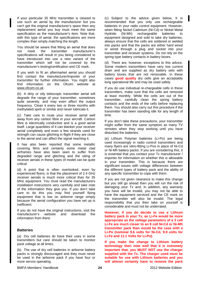If your particular 35 MHz transmitter is cleared to use such an aerial by the manufacturer but you can't get the original manufacturer's spare then any replacement aerial you buy must meet the same specification as the manufacturer's item. Note that, with this type of aerial, the specifications are more complex than simply matching the length.

You should be aware that fitting an aerial that does not meet the transmitter manufacturer's specifications will result in you being considered to have introduced into use a new variant of the transmitter which will not be covered by the manufacturer's testing/certification and CE mark.

If you wish to fit an aftermarket aerial you should first contact the manufacturer/importer of your transmitter for further information. You might also find information on the Ofcom website at [www.ofcom.co.uk](http://www.ofcom.co.uk/)

(b) A dirty or oily telescopic transmitter aerial will degrade the range of your transmitter, sometimes quite severely, and may even affect the output frequency. Clean it every two or three months with methylated spirit or similar and never lubricate it.

(c) Take care to route your receiver aerial well away from any carbon fibre in your aircraft. Carbon fibre is electrically conductive and is a good aerial itself. Large quantities of it can blanket your receiver aerial completely and even a few strands used for strength can cause glitching in flight if they are close to the aerial and can affect the signal reaching it.

It has also been reported that some metallic covering films and certainly some metal clad airframes have also been seen to suffer from degraded range and glitching and the siting of receiver aerials in these types of model can be quite critical.

(d) A point that is often overlooked, even by experienced flyers, is that the placement of 2.4 GHz receiver aerials is much more critical than for 35 MHz equipment. You must read the manufacturers installation instructions very carefully and take note of the information they give you. If you don't take care to do this you may find yourself flying equipment that is low on airborne range simply because the aerial configuration you have set up is inefficient.

If you do not have the original instructions, visit the manufacturer's website and download the information from there.

#### **Batteries**

(a) Dry cell batteries do have their uses in some transmitters but care should be taken to monitor pack voltage at all times.

(b) The use of dry cell batteries in airborne battery packs is strongly discouraged and they must never be used in the airborne pack if you have four or more servos operating.

(c) Subject to the advice given below, It is recommended that you only use rechargeable batteries in your radio control equipment. However, when fitting Nickel Cadmium (Ni-Cd) or Nickel Metal Hydride (Ni-Mh) rechargeable batteries to equipment designed and sold to take dry batteries, always ensure that the cells are soldered or welded into packs and that the packs are either hard wired or wired through a plug and socket into your transmitter and receiver systems. Do not rely on the spring type battery contacts in battery boxes.

(d) There are, however, exceptions to this advice. Some modern transmitters have very low current drain and are supplied as dry battery sets with battery boxes that are not removable. In these cases **good quality** dry cells give an acceptably long operational life and may be used safely.

If you do use individual re-chargeable cells in these transmitters, make sure that the cells are removed at least monthly. While the cells are out of the transmitter, carefully clean the spring battery contacts and the ends of the cells before replacing them. You should also carry out this procedure if the transmitter has been standing idle for any length of time.

If you don't take these precautions, your transmitter might suffer from the same symptom as many TV remotes when they stop working until you have disturbed the batteries.

(e) Lithium Polymer batteries (Li-Po) are being used increasingly in radio control transmitters and many flyers are retro-fitting Li-Pos in place of Ni-Cd or Ni-Mh battery packs. If you are considering this, it is essential that you contact your Tx manufacturer / importer for information on whether this is allowable in your transmitter. This is because there are significant issues with voltage differences between the different types of battery pack and the ability of any specific transmitter to cope with them.

If you are not given clearance to make this change but you still go ahead then you will run the risk of damaging your Tx and, in addition, any warranty you have will be invalid, you may not be able to have the equipment serviced and the CE mark on the transmitter will also be invalid. The legal responsibility that you then take on yourself is considerable and must not be underrated.

**However, If you do decide to use a Lithium battery pack in your Tx, an Li-Fe would be more appropriate as the voltage parameters of a 3 cell Li-Fe are much closer to an 8 cell Ni-Cd or Ni-Mh transmitter pack than would be the case with a Li-Po (nominal 9.6 volts for Ni-Cd, 9.9 volts for Li-Fe and 11.1 Volts for Li-Po).** 

**If you make the change to Lithium battery technology then note well that it is extremely important that, you MUST NOT use the charger supplied with the Tx. The charger used must be suitable for use with Lithium batteries and you will almost certainly have to remove the pack** 

BMFA Members' Handbook 2012 Website Edition **24**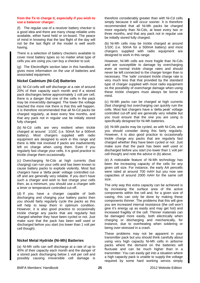#### **from the Tx to charge it, especially if you wish to use a balancer charger.**

(f) The regular use of a receiver battery checker is a good idea and there are many cheap reliable units available, either hand held or on-board. The peace of mind in knowing that the last flight of the day will not be the last flight of the model is well worth having.

There is a selection of battery checkers available to cover most battery types so no matter what type of cells you are using you can buy a checker to suit.

(g) The Electroflight section later in this handbook. gives more information on the use of batteries and associated equipment.

# **Nickel Cadmium (Ni-Cd) Batteries**

(a) Ni-Cd cells will self discharge at a rate of around 20% of their capacity each month and if a stored pack discharges below approximately 1 volt per cell, there is a danger that one of the cells in the pack may be irreversibly damaged. The lower the voltage reached the more risk there is that this will happen. It is therefore recommended that all Ni-Cd packs be charged regularly, at least every few months, and that any pack not in regular use be initially stored fully charged.

(b) Ni-Cd cells are very resilient when trickle charged at around 1/10C (i.e. 50mA for a 500mA battery). Most chargers supplied with radio equipment are designed to work in this range and there is little risk involved if packs are inadvertently left on charge when using them. Even if you regularly fast charge your cells, it is good practice to trickle charge them occasionally.

(c) Overcharging Ni-Cds at high currents (fast charging) can ruin your cells and has been known to cause battery packs to explode violently. Most fast chargers have a 'delta peak' voltage controlled cutoff and are generally very reliable. If you don't have such a charger and wish to fast charge your cells then, as a minimum, you should use a charger with a timer or temperature controlled cut-off.

(d) If you have a charger capable of both discharging and charging your battery packs then you should fairly regularly cycle the packs as this will help to keep them in optimum condition. However, it is also good practice to occasionally trickle charge any packs that are regularly fast charged whether they have been cycled or not. Just make sure that the pack has been well used or discharged before you start (no lower than 1 volt per cell though).

#### **Nickel Metal Hydride (Ni-Mh) Batteries**

(a) Ni-Mh cells can self discharge at a rate of up to 40% of their capacity each month and the danger of a stored pack discharging below 1 volt per cell and possibly causing irreversible cell damage is

therefore considerably greater than with Ni-Cd cells simply because it will occur sooner. It is therefore recommended that all Ni-Mh packs be charged more regularly than Ni-Cds, at least every two or three months, and that any pack not in regular use be initially stored fully charged.

(b) Ni-Mh cells may be trickle charged at around 1/10C (i.e. 50mA for a 500mA battery) and most chargers supplied with radio equipment are designed to work in this range.

However, Ni-Mh cells are more fragile than Ni-Cds and are susceptible to damage by overcharging even at normal trickle charge rates and should never be left connected to the charger longer than is necessary. The 'safe' constant trickle charge rate is very much less that that provided by the standard type of charger supplied with most radio equipment so the possibility of overcharge damage when using these trickle chargers must always be borne in mind.

(c) Ni-Mh packs can be charged at high currents (fast charging) but overcharging can quickly ruin the cells. Most fast chargers have a 'delta peak' voltage controlled cut-off and are generally very reliable but you must ensure that the one you are using is specifically designed for Ni-Mh batteries.

(d) Ni-Mh packs may be cycled, as with Ni-Cds, and you should consider doing this fairly regularly. However, it is also good practice to occasionally trickle charge any packs that are regularly fast charged whether they have been cycled or nor. Just make sure that the pack has been well used or discharged before you start (no lower than 1 volt per cell though) and note the advice in (b) above.

(e) A noticeable feature of Ni-Mh technology has been the increasing capacity of the cells for any given cell size. For instance, the early AA pencells were rated at around 700 mAH but you now see capacities of around 2000 mAH for the same cell size.

The only way this extra capacity can be achieved is by increasing the surface area of the active components within the cell and, for a given size of casing, this can only be done by making these components thinner. The problems that this will give you are increased internal resistance (the cell won't give it's energy up as easily and may get hot) and increased fragility of the cell. Thinner materials can be damaged more easily, both electrically when charging or discharging and mechanically, for instance, due to overheating when soldering or being over-stressed in a crash.

These problems may not be apparent in your transmitter pack but you should think carefully about using very high capacity Ni-Mh cells in airborne packs where the demand on the batteries will fluctuate and can be much higher than in a transmitter. You can easily get into a situation where a high capacity pack is unable to supply the voltage required by some hard working servos simply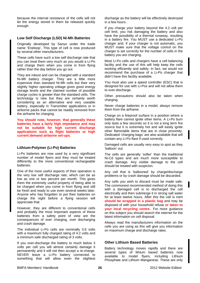because the internal resistance of the cells will not let the energy stored in them be released quickly enough.

#### **Low Self Discharge (LSD) Ni-Mh Batteries**

Originally developed by Sanyo under the trade name 'Eneloop', This type of cell is now produced by several other manufacturers.

These cells have such a low self discharge rate that you can treat them very much as you would a Li-Po and charge them when you come in from flying rather than the day before you go out.

They are robust and can be charged with a standard Ni-Mh battery charger. They are a little more expensive than standard Ni-Mh cells but their very slightly higher operating voltage gives good energy storage levels and the claimed number of possible charge cycles is greater than the standard cells. The technology is new but they are certainly worth considering as an alternative and very useable battery, especially in Transmitter applications or in airborne packs that cannot be readily removed from the airframe for charging.

**You should note, however, that generally these batteries have a fairly high impedance and may not be suitable for high current discharge applications such as flight batteries or high current demand airborne set-ups.** 

#### **Lithium-Polymer (Li-Po) Batteries**

Li-Po batteries are now used by a very significant number of model flyers and they must be treated differently to the more conventional rechargeable batteries.

One of the most useful aspects of their operation is the very low self discharge rate, which can be as low as one or two percent per month. This gives them the extremely useful property of being able to be charged when you come in from flying and still be fresh and ready to use even several weeks later. Anyone who has forgotten to put their batteries on charge the night before a flying session will appreciate that.

However, they are different to conventional cells and probably the most important aspects of these batteries from a safety point of view are the consequences of over charging, over discharging and crash damage.

The individual Li-Po cells are nominally 3.6 volts with a maximum fully charged rating of 4.2 volts and a minimum safe discharged rating of 3 volts.

If you over-discharge the battery to much below 3 volts per cell you will almost certainly damage it permanently and it will not then accept a re-charge. NEVER leave a Li-Po battery connected to something that will allow even the slightest discharge as the battery will be effectively destroyed in a few hours.

If you charge your battery beyond the 4.2 volt per cell limit, you risk damaging the battery and also have the possibility of a thermal runaway, resulting in a battery fire. You MUST use a dedicated Li-Po charger and, if your charger is not automatic, you MUST make sure that the voltage control on the charger is set correctly for the number of cells in the battery you are charging.

Most Li-Po cells and chargers have a cell balancing facility and the use of this will help keep the cells working efficiently and safely. In fact, we would not recommend the purchase of a Li-Po charger that didn't have this facility available.

You must also use a speed controller (ESC) that is designed for use with Li-Pos and will not allow them to over-discharge.

Other precautions should also be taken when charging.

Never charge batteries in a model, always remove them from the airframe.

Charge on a fireproof surface in a position where a battery flare cannot ignite other items. A Li-Po burn only lasts a few seconds so it is not a long term fire source but it is extremely hot and will easily ignite other flammable items that are in close proximity. Dedicated 'charging bags' are also available that will contain any Li-Po flare if used correctly.

Damaged cells are usually very easy to spot as they 'balloon' out.

The cells are generally 'softer' than the traditional Ni-Cd types and are much more susceptible to crash damage. Any visible damage to the cell should be treated with suspicion.

Any cell that is 'ballooned' by charge/discharge problems or by crash damage should be discarded.

Any cells you wish to discard must be made safe. The commonest recommended method of doing this with a damaged cell is to discharged the cell electrically and then submerge it in strong salt water for at least twelve hours. After this the cell is inert **should be wrapped in a plastic bag** and may be disposed of with your household refuse **or taken to your local recycling centre.**. For more guidance on this subject you should search the internet for the latest information on cell disposal.

Always read the manufacturers information on the cells you are using as this will give you information on maximum charge and discharge rates.

#### **Other Lithium Based Batteries**

Battery technology moves rapidly and there are several types of lithium based batteries now available to model flyers, including Lithium Phosphate and Lithium Manganese. These are only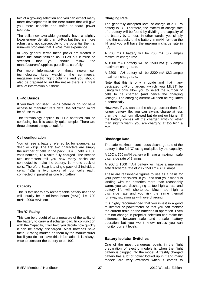two of a growing selection and you can expect many more developments in the near future that will give you more capable and safer on-board power sources.

The cells now available generally have a slightly lower energy density than Li-Pos but they are more robust and not susceptible to the potential thermal runaway problems that Li-Pos may experience.

In very general terms these packs are treated in much the same fashion as Li-Pos but it must be stressed that you should follow the manufacturers/suppliers guidelines carefully.

For more information on these newer cell technologies, keep watching the commercial magazine electric flight columns and you should also be prepared to surf the net as there is a great deal of information out there.

# **Li-Po Basics**

If you have not used Li-Pos before or do not have access to manufacturers data, the following might be of use to you.

The terminology applied to Li-Po batteries can be confusing but it is actually quite simple. There are three different things to look for.

#### **Cell configuration**

You will see a battery referred to, for example, as 3s1p or 2s1p. The first two characters are simply the number of cells in the pack;  $3s = 3$  cells =  $10.8$ volts nominal, 12.6 volts fully charged. The second two characters tell you how many packs are connected to make the battery.  $1p =$  one pack of cells. Therefore 3s1p is a single pack of 3 individual cells. 4s2p is two packs of four cells each, connected in parallel as one big battery.

#### **Capacity**

This is familiar to any rechargeable battery user and will usually be in milliamp hours (mAH), i.e. 700 mAH, 2000 mAH etc.

#### **The 'C' Rating**

This can be thought of as a measure of the ability of the battery to carry a discharge load. In conjunction with the Capacity, it will help you decide how quickly it can be safely discharged. Most batteries have their 'C' rating marked on them by the manufacturer but if you do not have this information it is always wise to consider the battery to be 10C.

#### **Charging Rate**

The generally accepted level of charge of a Li-Po battery is 1C. Therefore, the maximum charge rate of a battery will be found by dividing the capacity of the battery by 1 hour. In other words, you simply note the capacity of the battery in mAH, remove the 'H' and you will have the maximum charge rate in mA.

A 700 mAH battery will be 700 mA (0.7 amps) maximum charge rate.

A 1500 mAH battery will be 1500 mA (1.5 amps) maximum charge rate.

A 2200 mAH battery will be 2200 mA (2.2 amps) maximum charge rate.

Note that this is only a guide and that many dedicated Li-Po chargers (which you MUST be using) will only allow you to select the number of cells to be charged (and hence the charging voltage). The charging current will then be regulated automatically.

However, if you can set the charge current then, for longer battery life, you can always charge at less than the maximum allowed but do not go higher. If the battery comes off the charger anything other than slightly warm, you are charging at too high a rate.

# **Discharge Rate**

The safe maximum continuous discharge rate of the battery is the full 'C' rating multiplied by the capacity.

A 10C x 700 mAH battery will have a maximum safe discharge rate of 7 amps.

A 20C x 1500 mAH battery will have a maximum safe discharge rate of 20 x 1500 mA = 30 amps.

These are reasonable figures to use as a basis for your power decisions. If you find that your model is landing with the batteries more than reasonably warm, you are discharging at too high a rate and battery life will shortened. Much too high a discharge rate and you risk the same thermal runaway situation as with overcharging.

It is highly recommended that you invest in a good multimeter or powermeter so that you can monitor the current drain on the batteries in operation. Even a minor change in propeller selection can make the difference between safe and unsafe battery operation but you won't know unless you can monitor current levels.

#### **Battery Isolator Switches**

One of the most dangerous points in the flight preparation of electric models is when the flight battery is plugged into the model. A freshly charged battery has a lot of power locked up in it and many models are very awkward when it comes to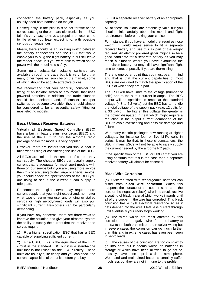connecting the battery pack, especially as you usually need both hands to do the job.

Consequently, if the pilot fails to set throttle to the correct setting or the onboard electronics in the ESC fail, it's very easy to have a propeller or rotor come to life when you least expect it to, with possible serious consequences.

Ideally, there should be an isolating switch between the battery connections and the ESC that would enable you to plug the flight battery in but still leave the model 'dead' until you were able to switch on the power with the model held safely.

Some quite substantial isolating switches are available through the trade but it is very likely that many other types will soon be on the market, some of which should be at quite attractive prices.

We recommend that you seriously consider the fitting of an isolator switch to any model that uses powerful batteries. In addition, the trade situation should be monitored and, if smaller, cheaper switches do become available, they should almost be considered to be an essential safety fitting for most electric models.

# **Becs / Ubecs / Receiver Batteries**

Virtually all Electronic Speed Controllers (ESC) have a built in battery eliminator circuit (BEC) and the use of the BEC to run the airborne radio package of electric models is very popular.

However, there are factors that you should bear in mind when using or considering the use of the BEC.

All BECs are limited in the amount of current they can supply. The cheaper BECs can usually supply current that is adequate for most sport models with three or four servos but if you are using more servos than this or are using digital, large or special servos, you should check the specifications of the BEC you are using to see if the current it can supply is adequate.

Remember that digital servos may require more current supply that you might expect and, no matter what type of servo you use, any binding or stalled servos or high aerodynamic loads will also pull significant current. Helicopters can be particularly demanding.

If you have any concerns, there are three ways to improve the situation and give your airborne system the ability to supply the current that the receiver and servos require.

1) Fit a higher specification ESC that has a BEC capable of supplying sufficient current.

2) Fit a UBEC. This is the equivalent of the BEC circuit in the standard ESC but it is a stand-alone unit that is not reliant on the ESC circuitry. These units are usually quite cheap and you can check the current capabilities of the units before you buy.

3) Fit a separate receiver battery of an appropriate capacity.

All of these solutions are potentially valid but you should think carefully about the model and flight requirements before making your choice.

For instance, if you have a model that requires nose weight, it would make sense to fit a separate receiver battery and use this as part of the weight required. An electric powered glider might also be a good candidate for a separate battery as you may reach a situation where you have exhausted the propulsion battery but may still have significant flight time to come, especially if you are thermalling.

There is one other point that you must bear in mind and that is that the current capabilities of most BECs are designed to match the specification of the ESCs of which they are a part.

The ESC will have limits to the voltage (number of cells) and to the output current in amps. The BEC output will be specified in amps at the standard voltage (4.8 to 5.2 volts) but the BEC has to handle the total voltage of the supply pack (e.g. 12 volts for a 3S Li-Po). The higher this voltage the greater is the power dissipated in heat which might require a reduction in the output current demanded of the BEC to avoid overheating and possible damage and failure.

With many electric packages now running at higher voltages, for instance four or five Li-Po cells in series, it may be that, in these circumstances, the BEC in many ESCs will not be able to safely supply the current needed by the airborne RC pack.

If the specification of the ESC or UBEC that you are using confirms that this is the case then a separate receiver battery will almost be essential.

# **Black Wire Corrosion**

(a) Systems fitted with rechargeable batteries can suffer from **black wire corrosion**. When this happens the surface of the copper strands in the core of the negative (black) wire in a circuit receive a coating of black material which works inwards until all of the copper in the wire has corroded. This black corrosion has a high electrical resistance so as it gets deeper into the wire it lets less current through until eventually your radio stops working.

(b) The wires which are most affected by this corrosion are the negative wires from the battery to the switch in both transmitter and receiver wiring but in severe cases the corrosion can go much further than this and in extreme cases has even been seen in servo leads.

(c) The causes of the corrosion are too complex to go into here but it seems worse on batteries in storage or which have been allowed to go flat or, possibly, have been kept in a damp atmosphere. Well used and maintained batteries certainly suffer much less but they are not immune to the problem.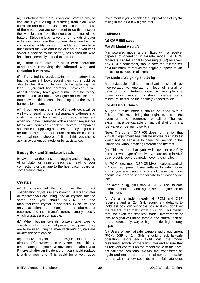(d) Unfortunately, there is only one practical way to find out if your wiring is suffering from black wire corrosion and that is a visual inspection of the core of the wire. If you are competent to do this, inspect the wire leading from the negative terminal of the battery. Stripping back a very short length of outer will show if you have the problem. Be aware that the corrosion is highly resistant to solder so if you have unsoldered the wire and it looks clear but you can't solder it back on to the battery easily then the wire has almost certainly started to corrode.

#### **(e) There is no cure for black wire corrosion other than removing the affected wire and replacing it with new.**

(f) If you find the black coating on the battery lead but the wire still looks sound then you should be able to clear the problem simply by replacing that lead. If you find bad corrosion, however, it will almost certainly have gone further into the wiring harness and you must investigate and eliminate all traces even if this means discarding an entire switch harness for instance.

(g) If you are unsure of any of this advice, it will be well worth sending your rechargeable batteries and switch harness back with your radio equipment when you have it serviced with a specific request for black wire corrosion checking. Several companies specialise in supplying batteries and they might also be able to help. Another source of advice could be your local model shop but failing all this you should ask an experienced modeller for assistance.

#### **Buddy Box and Simulator Leads**

Be aware that the constant plugging and unplugging of simulator or training leads can lead to poor connections or damage to the host circuit board on some transmitters

# **Crystals**

(a) It is essential that you use the correct specification crystals in any non-2.4 GHz transmitter or receiver you are using. Not all crystals are the same and you should **NEVER** use one manufacturer's crystal in another's Tx or Rx. The only exceptions are many of the aftermarket receivers and their manufacturers actually specify which crystals are compatible.

(b) When buying crystals, always take care to specify in which individual piece of equipment they are to be used. Original manufacturer's crystals are always the best choice.

(c) Receiver crystals are a fragile point in any airborne R/C system and they are susceptible to crash damage. If you have any concerns about your Rx crystal after an incident then you should replace it with a new one. This could be a very good investment if you consider the implications of crystal failing in the air a few flights later.

# **Failsafes**

**(a) CAP 658 says:** 

#### **For All Model Aircraft**

Any powered model aircraft fitted with a receiver capable of operating in failsafe mode (i.e. PCM receivers, Digital Signal Processing (DSP) receivers or 2.4 GHz equipment) should have the failsafe set, as a minimum, to reduce the engine(s) speed to idle on loss or corruption of signal.

#### **For Models Weighing 7 to 20 kg**

A serviceable 'fail-safe' mechanism should be incorporated to operate on loss of signal or detection of an interfering signal. For example on a power driven model this should operate, as a minimum, to reduce the engine(s) speed to idle.

#### **For All Gas Turbines**

All gas turbine models should be fitted with a failsafe. This must bring the engine to idle in the event of radio interference or failure. The fuel system must be capable of manual shut off via a fuel valve or fuel pump switch.

**Note:** The current CAP 658 does not mention that 2.4 GHz equipment has failsafe modes built in but it would not be sensible to have this section in the Handbook without making reference to the fact.

(b) This means that you will have to carefully consider what type of receiver you are using in ANY i/c or electric powered model, even the smallest.

All PCM sets, most DSP 35 MHz receivers and all 2.4 GHz equipment have settable failsafe modes and if you are using any one of these then you should take care to set the failsafe to at least engine idle.

For over 7 kg, you should ONLY use failsafe settable equipment and, again, set to engine idle as a minimum.

(c) As a reminder, nearly all PCM and DSP receivers and all 2.4 GHz equipment defaults to 'hold last position' out of the box so if you don't set the failsafe, then that's what it will do. This means that, for even the smallest model, interference or loss of signal will mean throttle and control lock-on and a potential flyaway or high throttle, high energy impact.

(d) Users of any failsafe capable radio equipment (PCM, DSP or 2.4 GHz) should check fail-safe operation before each flight. With the model restrained, switch off the transmitter and ensure that all relevant controls on the model move to their preset fail-safe positions. Switch the transmitter on again and make sure that normal control operation returns within a few seconds. If the fail-safe does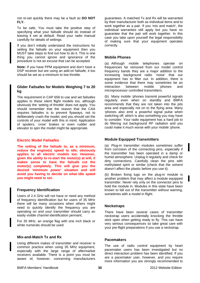not re-set quickly there may be a fault so **DO NOT FLY.**

To be safe, You must take the positive step of specifying what your failsafe should do instead of leaving it set at default. Read your radio manual carefully for details of settings.

If you don't initially understand the instructions for setting the failsafe on your equipment then you MUST take steps to find out how to do it. This is one thing you cannot ignore and ignorance of the procedure is not an excuse that can be accepted.

**Note:** If you have PPM equipment and don't have a DSP receiver but are using an add-on failsafe, it too should be set as a minimum to low throttle.

# **Glider Failsafes for Models Weighing 7 to 20 kg**

The requirement in CAP 658 to use and set failsafes applies to these silent flight models too, although obviously the 'setting of throttle' does not apply. You should remember that the reason that the CAA requires failsafes is to prevent flyaways, not to deliberately crash the model, and you should set the controls of your model with this in mind. Application of spoilers, 'crow' brakes or even rudder and elevator to spin the model might be appropriate.

# **Electric Model Failsafes**

**The setting of the failsafe to, as a minimum, reduce the engine(s) speed to idle, obviously applies to all electric models too. However, given the ability to re-start the motor(s) at will, it makes sense to have the failsafe cut the motor(s) completely. This will give you the desired 'minimum power' situation and will avoid you having to decide on what idle speed you might need to set.** 

# **Frequency Identification**

Users of 2.4 GHz will not have or need any method of frequency identification but for users of 35 MHz there will be many occasions when others might need to quickly identify the frequency you are operating on and your transmitter should carry an easily visible channel identification pennant;

For 35 MHz, an orange flag with one inch black or white numerals should be used

# **Mix-and-Match Tx and Rx**

Using different makes of transmitter and receiver is common practice when using 35 MHz equipment, especially with the large range of aftermarket receivers available. There is a point you must be aware of, however, concerning manufacturers guarantees. A matched Tx and Rx will be warranted by their manufacturer both as individual items and to work together as a pair. If you 'mix and match', the individual warranties still apply but you have no guarantee that the pair will work together. In this case you take upon yourself the legal responsibility of making sure that your equipment operates correctly.

# **Mobile Phones**

(a) Although mobile telephones operate on frequencies far removed from our model control frequency bands they are a major addition to the increasing background radio 'noise' that our equipment has to filter out. In addition, there is some evidence that there may sometimes be an interaction between mobile 'phones and microprocessor controlled transmitters.

(b) Many mobile 'phones transmit powerful signals regularly even when on standby and BMFA recommends that they are not taken into the pits area and especially not on to the flying area. Many 'phones also emit a powerful signal pulse when switching off, which is also something you may have to consider. Your radio equipment has a hard job to do filtering out background RF radiation and you could make it much worse with your mobile 'phone.

# **Module Equipped Transmitters**

(a) Plug-in transmitter modules sometimes suffer from corrosion of the connecting pins, especially if the transmitter has been operated in a damp or humid atmosphere. Unplug it regularly and check for dirty connections. Carefully clean the pins with methylated spirit or similar (check that the solvent doesn't affect the plastic before you use it).

(b) Broken fixing lugs on the plug-in module is another problem that may affect a module equipped transmitter. Never rely only on the connector pins to hold the module in. Modules in this state have been known to fall out of the transmitter without warning, sometimes with a model in flight.

# **Neckstraps**

There have been several cases of transmitter neckstrap users accidentally knocking the throttle stick open when getting ready to fly. This can have very serious consequences so take great care with your pre-flight preparations if you use a neckstrap.

#### **Pacemakers**

The use of radio control equipment by heart pacemaker users has been investigated but no direct interaction problem has been identified. If you are a pacemaker user, however, and you require more information you are strongly recommended to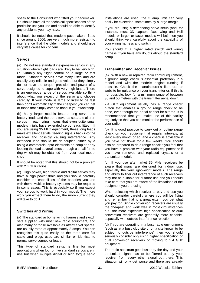speak to the Consultant who fitted your pacemaker. He should have all the technical specifications of the particular unit you use and should be able to identify any problems you may have.

It should be noted that modern pacemakers, fitted since around 2006, are very much more resistant to interference that the older models and should give very little cause for concern.

#### **Servos**

(a) Do not use standard inexpensive servos in any situation where flight loads are likely to be very high, i.e. virtually any flight control on a large or fast model. Standard servos have many uses and are usually very reliable and good value but they simply do not have the torque, precision and power of a servo designed to cope with very high loads. There is an enormous range of servos available so think about what you expect of the servo and choose carefully. If your model is large or likely to be fast then don't automatically fit the cheapest you can get or those that simply come to hand in your workshop.

(b) Many larger models feature long servo and battery leads and the trend towards separate aileron servos in each wing means that even quite small models might have extended servo leads fitted. If you are using 35 MHz equipment, these long leads make excellent aerials, feeding signals back into the receiver and possibly causing interference. Any extended lead should be de-coupled either by a using a commercial opto-electronic de-coupler or by looping the lead several times through a small ferrite ring which may be obtained from your local model shop.

It should be noted that this should not be a problem with 2.4 GHz radios.

(c) High power, high torque and digital servos may have a high power drain and you should carefully consider the capabilities of the batteries you use with them. Multiple battery systems may be required in some cases. This is especially so if you expect your servos to work hard in your model. The more work you expect them to do, the more current they will take to do it.

#### **Switches and Wiring**

(a) The standard airborne wiring harness and switch sets supplied with most new radio equipment, and also many of those available as aftermarket spares, are usually rated at approximately 3 amps. You can recognise this quite easily as the three core flat cable and plugs used are similar or identical to normal servo connector leads.

This type of standard setup is fine for most applications when four or five standard servos are in use but when multiple digital or high torque servo installations are used, the 3 amp limit can very easily be exceeded, sometimes by a large margin.

If you are using a demanding servo setup (and, for instance, most 3D capable fixed wing and Heli models or larger or faster models will be) then you should think very carefully about the capability of your wiring harness and switch.

You should fit a higher rated switch and wiring harness if you have any doubts about the standard setup.

#### **Transmitter and Receiver Issues**

(a) With a new or repaired radio control equipment, a ground range check is essential, preferably in a model and with the model's engine running if possible. Check the manufacturer's literature or website for guidance on your transmitter or, if this is not possible, look for a minimum range of between 30 and 50 metres with the transmitter aerial down.

2.4 GHz equipment usually has a 'range check' button that enables a ground range check to be done, even though the aerial cannot be altered. It is recommended that you make use of this facility regularly so that you can monitor the performance of your radio.

(b) It is good practice to carry out a routine range check on your equipment at regular intervals, at least every month or so, and a check is advisable if you have not flown for a few weeks. You should also be prepared to do a range check if you feel that you have a problem with your radio equipment or if you have removed and replaced crystals or a transmitter module.

(c) If you use aftermarket 35 MHz receivers be aware that many are designed for indoor use, especially the very lightweight models. The range and ability to filter out interference of such receivers may not be suitable for outdoor use and you should take care that you are aware of the limitations of the equipment you are using.

When selecting which receiver to buy and use you should consider carefully where you will be flying and remember that to a great extent you get what you pay for. Single conversion receivers are usually the cheapest and work well in most circumstances but the more expensive high specification or dual conversion receivers are generally more capable, especially with outside interference rejection.

(d) If you are operating in a busy radio environment (such as at a busy club site or on a site known to be subject to outside interference) then you should seriously consider only using higher specification or dual conversion receivers or moving to 2.4 GHz equipment.

The radio spectrum gets busier by the day and your transmitter signal has to be filtered out by your receiver from every other signal out there. This situation will only get worse and there are already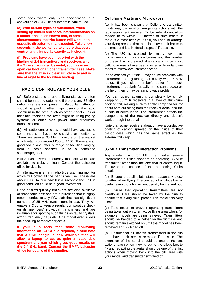some sites where only high specification, dual conversion or 2.4 GHz equipment is safe to use.

**(e) With certain types of transmitter, when setting up mixers and servo interconnections on a model it has been shown that, in some circumstances, the trim button will work in the opposite direction to that expected. Take a few seconds in the workshop to ensure that every control and trim works exactly as it should.** 

**(f) Problems have been reported with the binding of 2.4 transmitters and receivers when the Tx is surrounded by metal, such as in an open car boot or an open transmitter case. Make sure that the Tx is in 'clear air', close to and in line of sight to the Rx when binding.** 

# **RADIO CONTROL AND YOUR CLUB**

(a) Before starting to use a flying site every effort should be made to determine if there is any 35 MHz radio interference present. Particular attention should be paid to other major users of the radio spectrum in the area, such as other model clubs or hospitals, factories etc. (who might be using paging systems or other high power radio frequency transmissions).

(b) All radio control clubs should have access to some means of frequency checking or monitoring. There are several 35 MHz monitors on the market which retail from around £50 to £400. These are all good value and offer a range of facilities ranging from a basic scanner up to a combined scanner/pegboard.

BMFA has several frequency monitors which are available to clubs on loan. Contact the Leicester office for details.

An alternative is a ham radio type scanning monitor which will cover all the bands we use. These are about £400 to buy new but a second-hand unit in good condition could be a good investment.

Hand held **frequency checkers** are also available at reasonable cost and are a purchase that is highly recommended to any R/C club that has significant numbers of 35 MHz transmitters in use. They will enable a Club to keep a regular comparative check on its members' individual transmitters and are invaluable for spotting such things as faulty crystals, wrong frequency flags etc. One model even allows the checking of receiver crystals.

**If your club feels that some monitoring information on 2.4 GHz is required, please note that a USB dongle is now available that will allow a laptop to act as quite a reasonable spectrum analyser which gives good results on the 2.4 GHz band. Contact the BMFA Leicester office for details of the supplier.** 

#### **Cellphone Masts and Microwaves**

(a) It has been shown that Cellphone transmitter masts may cause short range interactions with the radio equipment we use. To be safe, do not allow models to fly within 100 metres of such masts. If there is a mast near your field, you should arrange your flying area so that the pilots have their backs to the mast and it is in 'dead airspace' if possible.

(b) The UK is crossed by many low level microwave communication beams and the number of these has increased dramatically since most cellphone masts have been converted from landline feeds to microwave interconnection.

If one crosses your field it may cause problems with interference and glitching, particularly with 35 MHz radios. If your club member's suffer from such interference regularly (usually in the same place on the field) then it may be a microwave problem.

You can guard against it completely by simply wrapping 35 MHz receivers in a layer of aluminium cooking foil, making sure to tightly crimp the foil for about 5cm out along both the receiver aerial and the bundle of servo leads. The interference affects the components of the receiver directly and doesn't work through the aerial.

Note that some receivers already have a conductive coating of carbon sprayed on the inside of their plastic case which has the same effect as the external foil wrap.

#### **35 MHz Transmitter Interaction Problems**

Any model using 35 MHz can suffer severe interference if it flies closer to an operating 35 MHz transmitter other than the one that is controlling it. To avoid the chance of this happening Clubs should:

(a) Ensure that all pilots stand reasonably close together when flying. The concept of a 'pilot's box' is useful, even though it will not usually be marked out.

(b) Ensure that operating transmitters are not overflown. Care should be taken by the club to ensure that flying field procedures make this very clear.

(e) Take action to prevent operating transmitters being taken out on to an active flying area when, for example, models are being retrieved. Transmitters should be handed to a helper on the flightline and should remain switched on until the model has been retrieved and switched off.

(f) Ensure that all inactive transmitters in the pits area have their aerials retracted if possible. The extension of the aerial should be one of the last actions taken when moving out to the pilot's box to fly and retracting the aerial should be one of the first actions when moving back into the pits area with your model and transmitter switched off.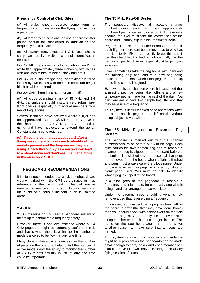#### **Frequency Control at Club Sites**

(a) All clubs should operate some form of frequency control system on the flying site, such as a peg-board

(b) At larger flying sessions the use of a transmitter pound should be considered in addition to the frequency control system.

(c) All transmitters, except 2.4 GHz sets, should carry an easily visible channel identification pennant;

For 27 MHz, a correctly coloured ribbon and/or a white flag, approximately three inches by two inches with one inch minimum height black numerals.

For 35 MHz, an orange flag, approximately three inches by two inches with one inch minimum height black or white numerals.

For 2.4 GHz, there is no need for an identifier.

(d) All clubs operating a mix of 35 MHz and 2.4 GHz transmitters should institute very robust preflight checks, especially if individual members fly a mix of frequencies.

Several incidents have occurred where a flyer has not appreciated that the 35 MHz set they have in their hand is not the 2.4 GHz set they are used to using and have neglected to extend the aerial. Constant vigilance is required.

**(e) If you are setting out a pegboard after a flying session starts, take care to identify all the models present and the frequencies they are using. Check thoroughly as a mistake can lead to a shoot down and don't assume that a model in the air is on 2.4 GHz.** 

# **PEGBOARD RECOMMENDATIONS**

It is highly recommended that all club pegboards are clearly marked with the GPS co-ordinates or map reference of the flying field. This will enable emergency services to find your location easily in the event of a serious incident, even in isolated areas.

#### **2.4 GHz**

2.4 GHz radios do not need a pegboard system to be set up to control radio frequency safety.

However, there is one circumstance where a 2.4 GHz pegboard might be extremely useful to a club and that is when there is a limit to the number of models allowed to be flown at any one time.

Many clubs in these circumstances use the number of pegs 'on the board' to help control the number of active models and the ability to monitor the number of 2.4 GHz sets actually in use at any one time could be important.

#### **The 35 MHz Peg-Off System**

The pegboard displays all useable channel number/colours each with an appropriately numbered peg or marker clipped to it. To reserve a channel the flyer must take the correct peg off the board and, usually, clip it to his transmitter aerial.

Pegs must be returned to the board at the end of each flight or there can be confusion as to who has the right to fly. Flyers can easily forget this and it can then be difficult to find out who actually has the peg for a specific channel, especially at larger flying sessions.

Flyers sometimes take the peg home with them and the 'missing peg' can lead to a new peg being made. The problems when both pegs then turn up at the field can be imagined.

Even worse is the situation where it is assumed that a missing peg has been taken off-site and a new temporary peg is made for the rest of the day. You can very easily have two people both thinking that they have use of a frequency.

This system is useful for fixed base operations when the board and its pegs can be left on site without being subject to vandalism.

# **The 35 MHz Peg-on or Reversed Peg System**

The pegboard is marked out with the channel numbers/colours as before but with no pegs. Each flyer carries his own named peg and to reserve a channel the peg is clipped on to the board before a transmitter is switched on. It is essential that pegs are removed from the board when a flight is finished and pegs must always carry the pilot's name. Under no circumstances may pegs be shared by pilots or blank pegs used. You must be able to identify whose peg is clipped to the board.

If a pilot goes to the pegboard to reserve a frequency and it is in use, he can easily see who is using it and can arrange to reserve it later.

Under no circumstances should anyone simply remove a peg that is reserving a frequency.

If, however, you suspect that a peg has been left on the board in error (the flyer may have gone home) then you should check with senior flyers on the field and the peg may then only be removed after stringent checks that it is no longer in use. The name on the peg helps again here and is yet another reason to make sure that all pegs are named.

This system is useful for sites where vandalism might be a problem as the pegboards can be made small enough to carry easily and each member of a club can have his own, only one being used at any flying session of course.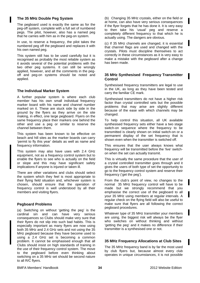# **The 35 MHz Double Peg System**

The pegboard used is exactly the same as for the peg-off system, complete with a full set of numbered pegs. The pilot, however, also has a named peg that he carries with him as in the peg-on system.

In use, to reserve a frequency, the pilot takes the numbered peg off the pegboard and replaces it with his own named peg.

This system still has to be used carefully but it is recognised as probably the most reliable system as it avoids several of the potential problems with the two other peg systems. It can still be wrongly applied, however, and all the comments in the pegoff and peg-on systems should be noted and applied.

#### **The Individual Marker System**

A further popular system is where each club member has his own small individual frequency marker board with his name and channel number marked on it. These are stuck side by side in the ground by the flyers as they arrive on the site making, in effect, one large pegboard. Flyers on the same frequency place their markers one behind the other and use a peg or similar to reserve the channel between them.

This system has been known to be effective on beach and hill sites as the marker boards can carry 'permit to fly this year' details as well as name and frequency information.

This system may also have uses with 2.4 GHz equipment, not as a frequency control system but to enable the flyers to see who is actually on the field or slope and this may have significant safety implications if anyone is injured or taken ill.

There are other variations and clubs should select the system which they feel is most appropriate to their flying field situation and, whichever system is chosen, should ensure that the operation of frequency control is well understood by all their members and visiting flyers.

#### **Pegboard Problems**

(a) Switching on without 'getting the peg' is the cardinal sin and can have very serious consequences so Clubs should make very sure that their flyers do not slip into such bad habits. This is especially important as many flyers are now using both 35 MHz and 2.4 GHz sets and not using the 35 MHz pegboard because they have become used to using a 2.4 GHz set is becoming a common problem. It cannot be emphasised enough that all Clubs should insist on high standards of training in the use of their frequency control system. The move to the pegboard before even thinking about switching on a 35 MHz set should be second nature to all R/C flyers.

(b) Changing 35 MHz crystals, either on the field or at home, can also have very serious consequences if the flyer forgets that he has done it. It is very easy to then take his 'usual' peg and reserve a completely different frequency to that which he is actually using. The dangers are obvious.

(c) If 35 MHz channels are changed, it is essential that channel flags are used and changed with the crystals. Pilots must discipline themselves to act correctly in these circumstances as it is very easy to make a mistake with the pegboard after a change has been made.

#### **35 MHz Synthesised Frequency Transmitter Control**

Synthesised frequency transmitters are legal to use in the UK, as long as they have been tested and carry the familiar CE mark.

Synthesised transmitters do not have a higher risk factor than crystal controlled sets but the possible problems that may arise are slightly different because of the ease with which channels may be changed.

To help control this situation, all UK available synthesised frequency sets either have a two stage switch-on sequence where the frequency to be transmitted is clearly shown on initial switch-on or a permanent display of the set frequency that is shown even when the transmitter is switched off.

This ensures that the user always knows what frequency will be transmitted before the 'live' switchon when the set can actually transmit.

This is virtually the same procedure that the user of a crystal controlled transmitter goes through and it gives the users of both type of set the opportunity to go to the frequency control system and reserve their frequency ('get the peg').

From the club's point of view, no changes to the normal 35 MHz frequency control will have to be made but we strongly recommend that you emphasise the correct use of the pegboard to all your 35 MHz using members at regular intervals. A regular check on the flying field will also be useful to make sure that flyers are all following the correct pegboard procedures.

Whatever type of 35 MHz transmitter your members are using, the biggest risk will always be the flyer who switches on without thinking and without 'getting the peg' and it makes no difference if their transmitter is a synthesised one or not.

#### **35 MHz Frequency Allocations at Club Sites**

The 35 MHz frequency band is by far the most used by club flyers but, because almost every club operates in unique circumstances, it is not possible

#### BMFA Members' Handbook 2012 Website Edition **34**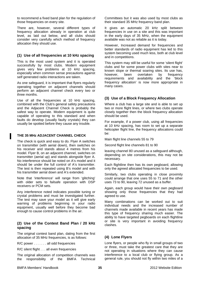to recommend a fixed band plan for the regulation of those frequencies on every site.

There are, however, several different types of frequency allocation already in operation at club level, as laid out below, and all clubs should consider very carefully which method of frequency allocation they should use.

# **(1) Use of all frequencies at 10 kHz spacing**

This is the most used system and it is operated successfully by most clubs. Modern equipment gives very few problems at 10 kHz spacing, especially when common sense precautions against self generated radio interactions are taken.

As one safeguard, it is important that flyers regularly operating together on adjacent channels should perform an adjacent channel check every two or three months.

Use of all the frequencies at 10 kHz spacing, combined with the Club's general safety precautions and the Adjacent Channel Check is probably the safest way to operate. Modern equipment is quite capable of operating to this standard and when faults do develop (usually faulty crystals) they can usually be spotted before they cause any trouble.

# **THE 35 MHz ADJACENT CHANNEL CHECK**

The check is quick and easy to do. Flyer A switches on transmitter (with aerial down), then switches on his receiver and stands about 4 metres from his model. Flyer B, on an adjacent channel, switches on transmitter (aerial up) and stands alongside flyer A. No interference should be noted on A's model and it should be under the full control of A's transmitter. The test is then repeated using B's model and with his transmitter aerial down and A's extended.

Note that 'interference' will range from 'glitching' with older sets to failsafe operation with DSP receivers or PCM sets.

Any interference noted indicates possible tuning or crystal problems and must be investigated further. The test may save your model as it will give early warning of problems beginning in your radio equipment, usually well before they become bad enough to cause control problems in the air.

# **(2) Use of the Contest Band Plan / 20 kHz spacing**

The original contest band plan, dating from the first allocation of 35 MHz frequencies, is as follows:

R/C power . . . . . . . all odd frequencies

R/C silent flight . . . all even frequencies

The original allocation of competition channels was the responsibility of the BMFA Technical Committees but it was also used by most clubs as their standard 35 MHz frequency band plan.

It gives an automatic 20 kHz split between frequencies in use on a site and this was important in the early days of 35 MHz, when the equipment available was not as reliable as it is today.

However, Increased demand for frequencies and better standards of radio equipment has led to this system becoming used much less, both at club level and in competitions.

This system may still be useful for some 'silent flight' clubs and for some power clubs with sites near to known slope or thermal soaring sites. Its use has, however, been overtaken by frequency requirements and availability and the 'block frequency allocation' is now more appropriate in many cases.

# **(3) Use of a Block Frequency Allocation**

Where a club has a large site and is able to set up two or more flight lines, or where two clubs operate closely together then the block frequency allocation should be used.

For example, if a power club, using all frequencies at 10 kHz spacing, has room to set up a separate helicopter flight line, the frequency allocations could be:

Main flight line channels 55 to 79

Second flight line channels 81 to 90

leaving channel 80 unused as a safeguard although, depending on site considerations, this may not be necessary.

Each flightline then has its own pegboard, allowing only the agreed allocated frequencies to be used.

Similarly, two clubs operating in close proximity could arrange that one uses 55 to 71 and the other uses 73 to 90, leaving 72 unused as a buffer.

Again, each group would have their own pegboard showing only those frequencies that they had agreed to use.

Many combinations can be worked out to suit individual needs and the increased number of channels made available in recent years has made this type of frequency sharing much easier. The ability to have targeted pegboards on each flightline or site is very important in avoiding frequency clashes.

# **(4) Lone Flyers**

Lone flyers, or people who fly in small groups of two or three, must take the greatest care that they are not operating in situations where they can cause interference to a local club or flying group. As a general rule, you should not fly within two miles of a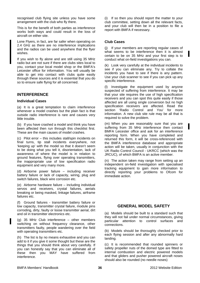recognised club flying site unless you have some arrangement with the club who fly there.

This is for the benefit of both parties as interference works both ways and could result in the loss of aircraft on either site.

Lone Flyers, in fact, are far safer when operating on 2.4 GHz as there are no interference implications and the radios can be used anywhere that the flyer wishes.

If you wish to fly alone and are still using 35 MHz radio but are not sure if there are clubs sites local to you, contact your local model shop or the BMFA's Leicester office for information. You will usually be able to get into contact with clubs quite easily through these sources and it is essential that you do so to ensure safe flying for all concerned.

## **INTERFERENCE**

### **Individual Cases**

(a) It is a great temptation to claim interference whenever a model crashes but the plain fact is that outside radio interference is rare and causes very little trouble.

(b) If you have crashed a model and think you have been affected then run through this checklist first. These are the main causes of model crashes.

(c) Pilot error – this includes stall/spin incidents on final turns, tip stall incidents everywhere, not 'keeping up' with the model so that it doesn't seem to be doing what you tell it, disorientation, lack of awareness of where the model is in relation to ground features, flying over operating transmitters, the inappropriate use of low specification radio equipment and very many more.

(d) Airborne power failure – including receiver battery failure or lack of capacity, wiring, plug and switch failures, black wire corrosion etc.

(e) Airborne hardware failure – including individual servos and receivers, crystal failures, aerials breaking or being masked, linkage failures, airframe failures etc.

(f) Ground failures - transmitter battery failure or low capacity, transmitter crystal failure, module pins corroding, dirty, faulty or loose transmitter aerial, dirt and oil in transmitter electronics etc.

(g) 35 MHz Club interference – other members switching on without frequency clearance, other transmitters faulty, people wandering over the field with operating transmitters etc.

(h) The list is by no means exhaustive and you can add to it if you give it some thought but these are the things that you should think about very carefully. If you can honestly say that you can eliminate all of these then you MAY have suffered from interference.

(i) If so then you should report the matter to your club committee, setting down all the relevant facts, and your club will then be in a position to file a report with BMFA if necessary.

### **Club Cases**

(j) If your members are reporting regular cases of what seems to be interference then it is almost certain to be on 35 MHz and your first step is to conduct what on-field investigations you can.

(k) Look very carefully at the individual incidents to see if you can eliminate any. Try to collate the incidents you have to see if there is any pattern. Use your club scanner to see if you can pick up any specific interference.

(l) Investigate the equipment used by anyone suspected of suffering from interference. It may be that your site requires the use of high specification receivers and you can spot this quite easily if those affected are all using single conversion but no high specification receivers are affected. Read the section 'Radio Control and You' for more information. A new club site rule may be all that is required to solve the problem.

(m) When you are reasonably sure that you are suffering from 35 MHz interference then contact BMFA Leicester office and ask for an interference reporting form. When you have completed and returned this form, it will be cross-referenced with the BMFA interference database and appropriate action will be taken, usually in conjunction with the UK Radio Control Council - UKRCC (which was the JRCUC), of which BMFA is an active member.

(n) The action taken may range from setting up an independent on-field investigation with specialised tracking equipment to gain more information to directly reporting your problems to Ofcom for immediate action.

## **GENERAL MODEL SAFETY**

(a) Models should be built to a standard such that they will not fail under normal circumstances, giving particular attention to control surfaces and connections.

(b) Models should be thoroughly checked prior to each flying session and after any abnormally hard landing.

(c) It is recommended that rounded spinners or safety propeller nuts of the domed type are fitted to internal combustion and electric powered models and that gliders and pusher powered aircraft noses should also be rounded (no needle noses)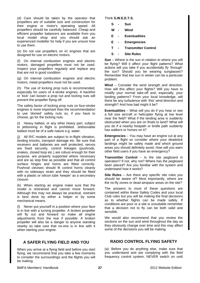(d) Care should be taken by the operator that propellers are of suitable size and construction for their engine or motor's operating speed. All propellers should be carefully balanced. Cheap and efficient propeller balancers are available from you local model shop and you should ask an experienced modeller for help if you are unsure how to use them.

(e) Do not use propellers on i/c engines that are designed for use on electric motors.

(f) On internal combustion engines and electric motors, damaged propellers must not be used. Inspect your propellers regularly and replace any that are not in good condition

(g) On internal combustion engines and electric motors, metal propellers must not be used.

(h) The use of locking prop nuts is recommended, especially for users of 4-stroke engines. A backfire or 'kick' can loosen a prop nut and locking nuts will prevent the propeller flying off.

The safety factor of locking prop nuts on four-stroke engines is more important than the recommendation to use 'domed' safety nuts so, if you have to choose, go for the locking nuts.

(i) Heavy ballast, or any other heavy part, subject to jettisoning in flight is prohibited. Jettisonable ballast must be of a safe nature e.g. water.

(j) All R/C models are subject to in-flight vibration, landing knocks, transport damage etc. Be sure that receivers and batteries are well protected, servos are fixed securely, control linkages (pushrods, snakes, closed loop etc.) are robust enough for their purpose, are properly supported where necessary and are as slop free as possible and that all control surface hinges and horns are fitted correctly. Pushrod clevises should fit control horns cleanly with no sideways strain and they should be fitted with a plastic or silicon tube 'keeper' as a secondary closure.

(k) When starting an engine make sure that the model is restrained and cannot move forward. Although this may not always be practical, restraint is best done by either a helper or by some mechanical means.

(l) Never put yourself in a position where your face is in line with a turning propeller. A broken propeller will fly out and forward so make all engine adjustments from the rear if possible. A broken propeller will also be a danger to anyone standing nearby so take care that no-one is in line with it when starting your engine.

# **A SAFER FLYING FIELD AND YOU**

When you arrive at a flying field and before you start flying, we recommend that you take a few moments to consider the surroundings and the flights you will be making.

Think **S.W.E.E.T.S.**

- **S Sun**
- **W Wind**
- **E Eventualities**
- **E Emergencies**
- **T Transmitter Control**
- **S Site Rules**

**Sun** – Where is the sun in relation to where you will be flying? Will it affect your flight patterns? What actions will you take if you accidentally fly 'through' the sun? Should you be wearing sunglasses? Remember that low sun in winter can be a particular problem.

**Wind** – Consider the wind strength and direction. How will this affect your flights? Will you have to modify your normal take-off and, especially, your landing patterns? From your local knowledge, will there be any turbulence with 'this' wind direction and strength? And how bad might it be?

**Eventualities** – What will you do if you hear or see a full size aircraft or helicopter flying at low level near the field? What if the landing area is suddenly obstructed when you are on finals to land? What will you do if a nearby footpath or bridle path suddenly has walkers or horses on it?

**Emergencies** – You may have an engine cut at any part of a flight so consider where your deadstick landings might be safely made and which ground areas you should definitely avoid. How will you warn other field users if you have an emergency?

**Transmitter Control** – Is the site pegboard in operation? If not, why not? Where has the pegboard been placed? Are you familiar with the system and understand how it works?

**Site Rules** – Are there any specific site rules you should be aware of? Most importantly, where are the no-fly zones or dead airspace areas on the site?

The answers to most of these questions are contained within these Safety Codes and your local Club rules but you will be making the final decisions as to whether flights can be made safely. If conditions are poor or a site is unsuitable remember that a decision not to fly can be both valid and sensible.

We would also recommend that you review the sections on the sun and wind throughout the day as they obviously change over time and this may affect some of the decisions you will be making.

# **RADIO CONTROL FLYING SAFETY**

(a) Before you do anything else, make sure that you understand and are complying with the field frequency control system. NEVER switch on until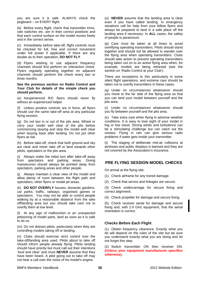you are sure it is safe. ALWAYS check the pegboard – on EVERY flight.

(b) Before every flight, check that transmitter trims, rate switches etc. are in their correct positions and that each control surface on the model moves freely and in the correct sense.

(c) Immediately before take-off, flight controls must be checked for full, free and correct movement under full power if applicable. If there are any doubts as to their operation, **DO NOT FLY**.

(d) Flyers wishing to use adjacent frequency channels should first perform an interaction check. Flyers regularly operating together on adjacent channels should perform the check every two or three months.

**See the previous section on Radio Control and Your Club for details of the simple check you should perform.** 

(e) Inexperienced R/C flyers should never fly without an experienced helper.

(f) Unless positive controls are in force, all flyers should use the same take-off area at any particular flying session.

(g) Do not taxi in or out of the pits area. Wheel or carry your model well clear of the pits before commencing taxying and stop the model well clear when taxying back after landing. Do not put other flyers at risk.

(h) Before take-off, check that both ground and sky are clear and never take off or land towards other pilots, spectators or the pits area.

(i) Always make the initial turn after take-off away from spectators and parking areas. Diving manoeuvres should always be pointed away from spectators, parking areas and other people.

(j) Always maintain a clear view of the model and allow plenty of room between the flight path and spectators, other flyers or model pit areas.

(k) **DO NOT OVERFLY** houses, domestic gardens, car parks, traffic, railways, organised games or spectators. You may not be able to control people walking by at a reasonable distance from the take off/landing area but you should take care not to overfly them at low level.

(l) At any sign of malfunction or an unexpected jettisoning of model parts, land as soon as it is safe to do so.

(m) Do not distract pilots, particularly when they are controlling models taking off or landing.

(n) Clubs should exercise strict control over the take-off/landing area used. Pilots about to take off should inform people already flying. Pilots landing should have priority but must call out their intentions 'loud and clear' and must **NEVER** assume that they have been heard. A pilot going out to take off may not hear a call over the noise of his model's engine.

(o) **NEVER** assume that the landing area is clear even if you have called landing. In emergency situations call for help from your fellow flyers and always be prepared to land in a safe place off the landing area if necessary. In **ALL** cases, the safety of people is paramount.

(p) Care must be taken at all times to avoid overflying operating transmitters. Pilots should stand together and should not be allowed to wander over the flying area when operating transmitters. Clubs should take action to prevent operating transmitters being taken out on to an active flying area when, for example, models are being retrieved (see the section on 'Radio Control at your Club').

There are exceptions to this particularly in some silent flight operations, and extreme care should be taken not to overfly transmitters in these cases.

(q) Under no circumstances whatsoever should you move to the far side of the flying area so that you can land your model between yourself and the pits area.

(r) Under no circumstances whatsoever should you fly between yourself and the pits area.

(s) Take extra care when flying in adverse weather conditions. It is easy to lose sight of your model in fog or low cloud. Strong winds and turbulence can be a stimulating challenge but can catch out the unwary. Flying in rain can give serious radio problems if water gets inside your transmitter.

(t) The staging of deliberate mid-air collisions at airshows and public displays is banned and they are not covered by the Association's insurance.

# **PRE FLYING SESSION MODEL CHECKS**

On arrival at the flying site:

(1) Check airframe for any transit damage.

(2) Check that servos and linkages are secure.

(3) Check undercarriage for secure fixing and correct alignment.

(4) Check propeller for damage and secure fixing.

(5) Check receiver aerial for damage and secure fixing and, with 2.4 GHz equipment, that the aerial orientation is correct.

## **Checks Before Each Flight**

(1) Obtain frequency clearance. Exactly what you do will depend on the rules of the site but be sure you understand exactly what you are doing and do not forget this step.

(2) Switch transmitter ON then receiver ON. **(Unless your equipment manufacturer specifies otherwise).**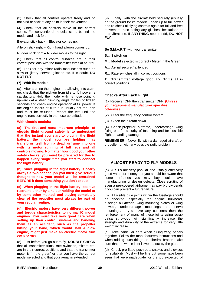(3) Check that all controls operate freely and do not bind or stick at any point in their movement.

(4) Check that all controls move in the correct sense. For conventional models, stand behind the model and look for;

Elevator stick back – Elevator comes up.

Aileron stick right – Right hand aileron comes up.

Rudder stick right – Rudder moves to the right.

(5) Check that all control surfaces are in their correct positions with the transmitter trims at neutral.

(6) Look for any minor radio malfunctions such as slow or 'jittery' servos, glitches etc. If in doubt, **DO NOT FLY.** 

#### **(7) With i/c models;**

(a) After starting the engine and allowing it to warm up, check that the pick-up from idle to full power is satisfactory. Hold the model with its nose pointing upwards at a steep climbing angle for ten or fifteen seconds and check engine operation at full power. If the engine falters or cuts it is usually set too lean and must be re-tuned. Repeat the test until the engine runs correctly in the nose-up attitude.

#### **With electric models:**

**(a) The first and most important principle of electric flight ground safety is to understand that the instant you start to plug in the flight battery, the model you are holding may transform itself from a dead airframe into one with its motor running at full revs and all controls moving. No matter how good your other safety checks, you must be prepared for this to happen every single time you start to connect the flight battery.** 

**(b) Since plugging in the flight battery is nearly always a two-handed job you must give serious thought to how your model will be restrained BEFORE it does something you don't expect.** 

**(c) When plugging in the flight battery, positive restraint, either by a helper holding the model or by some other method, and staying completely clear of the propeller must always be part of your regular routine.** 

**(d) Electric motors have very different power and torque characteristics to normal IC model engines. You must take very great care when setting up their control systems and handling them as an accident, such as the propeller hitting your hand, which would stall a glow engine, might just make an electric motor turn even harder.** 

(8) Just before you go out to fly, **DOUBLE CHECK** that all transmitter trims, rate switches, mixers etc. are in their correct positions and that the transmitter meter is 'in the green' or that you have the correct model selected and that your aerial is extended.

(9) Finally, with the aircraft held securely (usually on the ground for i/c models), open up to full power and re-check all flying controls again for full and free movement, also noting any glitches, hesitations or odd vibrations. If **ANYTHING** seems odd, **DO NOT FLY**

#### **Be S.M.A.R.T**. with your transmitter.

**S... Switch** on

**M... Model** selected is correct / **Meter** in the Green

**A... Aerial** secure / extended

**R... Rate** switches all in correct positions

**T... Transmitter voltage** good and **Trims** all in correct positions

#### **Checks After Each Flight**

(1) Receiver OFF then transmitter OFF **(Unless your equipment manufacturer specifies otherwise).**

(2) Clear the frequency control system.

(3) Clean the aircraft down

(4) Check propeller, airframe, undercarriage, wing fixing etc. for security of fastening and for possible flight or landing damage.

**REMEMBER** - Never fly with a damaged aircraft or propeller, or with any possible radio problem.

### **ALMOST READY TO FLY MODELS**

(a) ARTFs are very popular and usually offer very good value for money but you should be aware that some airframes you may buy could have manufacturing or design defects. Close scrutiny of even a pre-covered airframe may pay big dividends if you can prevent a future failure.

(b) All visible glue joints within the fuselage should be checked, especially the engine bulkhead, fuselage bulkheads, wing mounting plates or wing dowels, undercarriage mountings and servo mountings. If you have any concerns then the reinforcement of many of these joints using scrap balsa stripwood will significantly increase the strength and durability of the airframe for very little weight increase.

(c) Take particular care when gluing wing panels together. Follow the manufacturers instructions and when adding such things as dihedral braces make sure that the whole joint is wetted out by the glue.

(d) Check pre-fitted pushrods, snakes and clevises for suitability. Most will be fine but some have been seen that were inadequate for the job expected of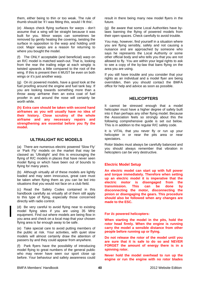them, either being to thin or too weak. The rule of thumb should be 'if I was fitting this, would I fit this'.

(e) Always check flying surfaces for warps - don't assume that a wing will be straight because it was built for you. Minor warps can sometimes be removed by gently heating the covering, twisting the surface in opposition to the warp and holding until cool. Major warps are a reason for returning to where you bought the model.

(f) The ONLY acceptable (and beneficial) warp on an R/C model is matched wash-out. That is, looking from the rear the trailing edge at each wingtip is twisted upwards a little compared to the root of the wing. If this is present then it MUST be even on both wings or it's just another warp.

(g) On i/c powered models, have a good look at the fuel proofing around the engine and fuel tank bay. If you are looking towards something more than a throw away airframe then an extra coat of fuel proofer in and around the nose will certainly be worth while.

**(h) Extra care should be taken with second hand airframes as you will usually have no idea of their history. Close scrutiny of the whole airframe and any necessary repairs and strengthening are essential before you fly the model.** 

## **ULTRALIGHT R/C MODELS**

(a) There are numerous electric powered 'Slow Fly' or 'Park Fly' models on the market that may be classed as 'Ultralight' and this is encouraging the flying of R/C models in places that have never seen model flying or which have been out of bounds to flying for many years.

(b) Although virtually all of these models are lightly loaded and may seen innocuous, great care must be taken when flying them as you can be led into situations that you would not face on a club field.

(c) Read the Safety Codes contained in this handbook carefully as virtually all of them still apply to this type of flying, especially those concerned directly with radio control.

(d) Be very careful to avoid flying near to existing model flying sites if you are using 35 MHz equipment. Find out where models are being flow in you area and check on a local map that your chosen flying area is far enough away to be safe.

(e) Take special care to avoid putting members of the public at risk. Your activities, with quiet slow models will almost certainly draw the attention of passers by and they could appear from anywhere.

(f) Park flyers have the possibility of introducing model flying to great numbers of the general public who may never have seen our sport close up before. Your behaviour and safety awareness could result in there being many new model flyers in the future.

(g) Be aware that some Local Authorities have bylaws banning the flying of powered models from their open spaces. Check carefully to avoid trouble.

You may, however, find yourself in a situation where you are flying sensibly, safely and not causing a nuisance and are approached by someone who says he represents the Local Authority or some other official body and who tells you that you are not allowed to fly. You are within your legal rights to ask to see a copy of the by-law that bans flying on the area you are using.

If you still have trouble and you consider that your rights as an individual and a model flyer are being overridden, then you should contact the BMFA office for help and advice as soon as possible.

## **HELICOPTERS**

It cannot be stressed enough that a model helicopter must have a higher degree of safety built into it than perhaps any other flying model. Because the Association feels so strongly about this the following comprehensive guide is set out below. This is in addition to the regular R/C safety code.

It is VITAL that you never fly or run up your helicopter in or near the pits area or near spectators.

Rotor blades must always be carefully balanced and you should always remember that vibration in helicopters can be very destructive.

## **Electric Model Setup**

**An electric model can start up with full power and torque immediately. Therefore when setting up an electric model it is imperative that the electric motor is disengaged from the transmission. This can be done by disconnecting the motor, disconnecting the pinion or disengaging the gears. This procedure should also be followed when any changes are made to the ESC.** 

**For i/c powered helicopters:** 

**When starting the model in the pits, hold the rotor head firmly. When the engine is running carry the model a sensible distance from other people before running up or flying.** 

**Do not release the rotor of the model until you are sure that it is safe to do so and NEVER FORGET the amount of energy there is in a spinning rotor.** 

**Never hold the model overhead to run up the engine or run the engine with no rotor blades**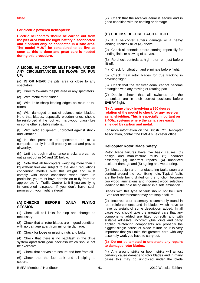**fitted.** 

**For electric powered helicopters:** 

**Electric helicopters should be carried out from the pits area with the flight battery disconnected and it should only be connected in a safe area. The model MUST be considered to be live as soon as this is done and great care is needed during this procedure.** 

**A MODEL HELICOPTER MUST NEVER, UNDER ANY CIRCUMSTANCES, BE FLOWN OR RUN UP:** 

(a) **IN OR NEAR** the pits area or close to any spectators.

(b) Directly towards the pits area or any spectators.

(c) With metal rotor blades.

(d) With knife sharp leading edges on main or tail rotors.

(e) With damaged or out of balance rotor blades. Note that blades, especially wooden ones, should be reinforced at the root with hardwood, glass-fibre or some other suitable material.

(f) With radio equipment unproofed against shock and vibration.

(g) In the presence of spectators or at a competition or fly-in until properly tested and proved airworthy.

(h) Until thorough maintenance checks are carried out as set out in (A) and (B) below.

(i) Note that all helicopters weighing more than 7 kg without fuel are subject to the ANO regulations concerning models over this weight and must comply with those conditions when flown. In particular, you must have permission to fly from the appropriate Air Traffic Control Unit if you are flying in controlled airspace. If you don't have such permission, your flight is illegal.

### **(A) CHECKS BEFORE DAILY FLYING SESSION**

(1) Check all ball links for slop and change as necessary.

(2) Check that all rotor blades are in good condition with no damage apart from minor tip damage.

(3) Check for loose or missing nuts and bolts.

(4) Check that there is no backlash in the drive system apart from gear backlash which should not be excessive.

(5) Check that servos are secure and free from oil.

(6) Check that the fuel tank and all piping is secure.

(7) Check that the receiver aerial is secure and in good condition with no chafing or damage.

## **(B) CHECKS BEFORE EACH FLIGHT**

(1) If a helicopter suffers damage or a heavy landing, recheck all of (A) above.

(2) Check all controls before starting especially for binding links or slowing of servos.

(3) Re-check controls at high rotor rpm just before lift-off.

(4) Check for vibration and eliminate before flight.

(5) Check main rotor blades for true tracking in hovering flight.

(6) Check that the receiver aerial cannot become entangled with any moving or rotating part.

(7) Double check that all switches on the transmitter are in their correct positions before **EVERY** flight.

#### **(8) A range check involving a 360 degree rotation of the model to check for any receiver aerial shielding. This is especially important on 2.4Ghz systems where the aerials are easily shielded by carbon and metal.**

For more information on the British R/C Helicopter Association, contact the BMFA's Leicester office.

### **Helicopter Rotor Blade Safety**

Rotor blade failures have five basic causes, (1) design and manufacture faults, (2) incorrect assembly, (3) incorrect repairs, (4) unnoticed accident damage and (5) ageing and weathering.

(1) Most design and manufacturing faults seen are centred around the rotor fixing hole. Typical faults are the hole being drilled on the junction between two wood laminations and incorrect wood selection leading to the hole being drilled in a soft lamination.

Blades with this type of fault should not be used. Even root reinforcement may not stop a failure.

(2) Incorrect user assembly is commonly found in root reinforcements and in blades which have to have tip weight of some description added. In all cases you should take the greatest care that any components added are fitted correctly and with suitable adhesive. Incorrect glue joints and badly applied reinforcing components are probably the biggest single cause of blade failure so it is very important that you take the greatest care with any assembly work you have to carry out.

#### **(3) Do not be tempted to undertake any repairs to damaged rotor blades.**

(4) Any ground strike or boom strike will almost certainly cause damage to rotor blades and in many cases this may go unnoticed under the blade

BMFA Members' Handbook 2012 Website Edition **41**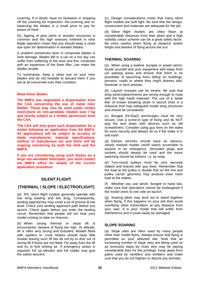covering. If in doubt, have no hesitation in stripping off the covering for inspection. Re-covering and rebalancing the blades is a small price to pay for peace of mind.

(5) Ageing of glue joints in wooden structures is common and the high stresses inherent in rotor blade operation mean that you should keep a close eye open for delamination in wooden blades.

A problem sometimes seen in composite blades is heat damage. Blades left in a car on a hot day can suffer from softening of the resin and this, combined with an expansion of the foam filler, can make the blades unsafe.

To summarise, keep a close eye on your rotor blades and do not hesitate to discard them if you are at all concerned over their condition.

#### **Metal Rotor Blades**

**The BMFA has negotiated a dispensation from the CAA concerning the use of metal rotor blades. These may now be used under certain restrictions on non-aerobatic models over 7 kg and strictly subject to a written permission from the CAA.** 

**The CAA will only grant such dispensation for a model following an application from the BMFA. All applications will be subject to scrutiny of blade manufacturer, material specifications, method of manufacture etc and there will be ongoing monitoring by both the AHA and the BMFA.** 

**If you are considering using such blades on a large non-aerobatic helicopter, you must contact the BMFA office for details of the current application procedure.** 

## **SILENT FLIGHT**

## **(THERMAL / SLOPE / ELECTROFLIGHT)**

(a) R/C silent flight models generally operate with low wing loading and low drag. Consequently, landing approaches may cover a lot of ground at low level. Check your landing approach path before you launch. Check again before you enter the landing circuit. Remember that people will not hear your model coming so take no chances.

(b) When strong thermal or slope lift is encountered, beware of flying too high. At altitude, lift is often very strong and turbulent. Models fitted with spoilers or 'crow' brakes should have little trouble leaving such lift but do not try to dive out of strong lift if these are not fitted. Fly away from the lift and try to find sinking air. If emergency action is required, full up elevator and full rudder may give the safest descent.

(c) Design considerations mean that many silent flight models are built light. Be sure that the design, construction and materials are adequate for the job.

(d) Silent flight models are often flown at considerable distances from their pilots and a high visibility colour scheme can be a great safety factor. Be extra careful when flying at distance and/or height and beware of flying across the sun.

### **THERMAL SOARING**

(a) When using a towline, bungee or power winch, locate yourself and your equipment well away from car parking areas and ensure that there is no possibility of launching lines falling on buildings, persons, roads or where they might distress wild, domestic or farm animals.

(b) Launch stresses can be severe. Be sure that wing joiners/attachments are strong enough to cope with the high loads imposed. The use of a 'weak link' of known breaking strain in launch lines is a measure that may safeguard model wing structures and should be considered.

(c) Bungee (Hi-Start) anchorages must be very secure. Use a screw-in type of fixing and do NOT peg the end down with devices such as old screwdrivers. Consider using guy lines on the stake for extra security and always do so if the stake is in soft earth.

(d) Electric winches should have an obvious, clearly marked master on/off switch accessible to anyone in an emergency. Shrouded plugs and sockets should always be used and the motor switching should be indirect, i.e. by relay.

(e) Turn-round pulleys must be very securely staked and braced with guy lines. Remember that the load at the pulley is double that on the line and pulley carrier geometry may produce even more load at the stakes.

(f) Whether you use winch, bungee or hand tow, make sure that spectators cannot be endangered if the model veers to one side on launch.

(g) Soaring pilots may tend not to stand together when flying. If this happens on your site then avoid overflying other transmitters at any distance from your own. It is your model that will suffer from interference and it could easily be damaged.

### **SLOPE SOARING**

(a) Slope sites are often used by many people other than model flyers. Always ensure that flying is permitted on your selected site. Note that an increasing number of slope sites are being used on an exclusive basis by clubs who may be paying considerable fees for the privilege. Keep away from paths used by ramblers and climbers and make sure that you do not frighten or disturb any animals.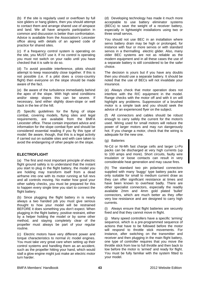(b) If the site is regularly used or overflown by full size gliders or hang gliders, then you should attempt to contact them and arrange shared use of airspace and land. We all have airsports participation in common and discussion is better than confrontation. Advice is available from the Association's Leicester office along with details of an agreed code of practice for shared sites.

(c) If a frequency control system is operating on the site, you MUST use it. If no control is operating you must not switch on your radio until you have checked that it is safe to do so.

(d) To avoid possible interference, pilots should attempt to keep reasonably close together. If this is not possible (i.e. if a pilot does a cross-country flight) then everyone on the slope should be made aware of the fact.

(e) Be aware of the turbulence immediately behind the apex of the slope. With high wind conditions and/or steep slopes this can be severe. If necessary, land either slightly down-slope or well back in the lee of the hill.

(f) Specific guidelines for the flying of slope combat, covering models, flying sites and legal requirements, are available from the BMFA Leicester office. These contain important advice and information for the slope combat flyer and should be considered essential reading if you fly this type of model. Be aware, though, that this is a legal activity if carried out on suitable sites and with care taken to avoid the endangering of other people on the slope.

## **ELECTROFLIGHT**

(a) The first and most important principle of electric flight ground safety is to understand that the instant you start to plug in the flight battery, the model you are holding may transform itself from a dead airframe into one with its motor running at full revs and all controls moving. No matter how good your other safety checks, you must be prepared for this to happen every single time you start to connect the flight battery.

(b) Since plugging the flight battery in is nearly always a two handed job you must give serious thought to how your model will be restrained BEFORE it does something you don't expect. When plugging in the flight battery, positive restraint, either by a helper holding the model or by some other method, and staying completely clear of the propeller must always be part of your regular routine.

(c) Electric motors have very different power and torque characteristics to normal i/c model engines. You must take very great care when setting up their control systems and handling them as an accident, such as the propeller hitting your hand, which would stall a glow engine might just make an electric motor turn harder.

(d) Developing technology has made it much more acceptable to use battery eliminator systems (BECs) to save the weight of a receiver battery, especially in lightweight installations using two or three small servos.

You should not use BEC in an installation where servo battery drain may be high or prolonged, for instance with four or more servos or with standard servos in a thermalling electric glider. Also, many older BEC systems are not as reliable as the modern equipment and in all these cases the use of a separate battery is still considered to be the safer choice.

The decision is yours but if you have any doubts then you should use a separate battery. It should be noted that the use of BECs will not invalidate your insurance.

(e) Always check that motor operation does not interfere with the R/C equipment in the model. Range checks with the motor off and with it on will highlight any problems. Suppression of a brushed motor is a simple task and you should seek the advice of an experienced flyer on the subject.

(f) All connectors and cables should be robust enough to carry safely the current for the motor/s used. Wiring used for small motors will reduce the power of larger motors and may run dangerously hot. If you change a motor, check that the wiring is adequate for the new one.

(g) Batteries

Ni-Cd or Ni-Mh fast charge cells and larger Li-Po packs can be discharged at very high currents (up to 100 amps and more). Short circuits, faulty wire insulation or loose contacts can result in very considerable heat generation and may cause fires.

(h) The standard two pin polarised connectors supplied with many 'buggy' type battery packs are only suitable for small to medium current draw as they can offer significant resistance at times and have been known to overheat badly. There are other specialist connectors, especially the readily available 2mm and 4mm gold plated 'bullet' connectors, which are much better as they offer very low resistance and are designed to carry high currents.

(i) Always ensure that flight batteries are securely fixed and that they cannot move in flight.

(j) Many speed controllers have a specific 'arming' sequence, which is a pre-programmed sequence of actions that have to be followed before the motor will respond to throttle stick movements. For instance, after switching on the transmitter and receiver and then plugging in the main flight battery. one type of controller requires that you move the throttle stick from low to full throttle and then back to low before the motor is 'armed' and ready for flight. You must be fully familiar with the system fitted to your model.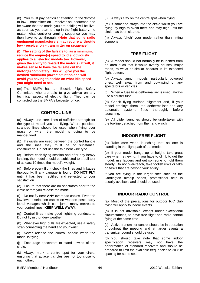(k) You must pay particular attention to the 'throttle to low - transmitter on - receiver on' sequence and be aware that the model you are holding will be 'live' as soon as you start to plug in the flight battery, no matter what controller arming sequence you may then have to go through. **(Note that some radio equipment manufacturers may require a 'throttle low - receiver on – transmitter on sequence').**

**(l) The setting of the failsafe to, as a minimum, reduce the engine(s) speed to idle, obviously applies to all electric models too. However, given the ability to re-start the motor(s) at will, it makes sense to have the failsafe cut the motor(s) completely. This will give you the desired 'minimum power' situation and will avoid you having to decide on what idle speed you might need to set.** 

(m) The BMFA has an Electric Flight Safety Committee who are able to give advice on any technical aspect of electric flight. They can be contacted via the BMFA's Leicester office.

### **CONTROL LINE**

(a) Always use steel lines of sufficient strength for the type of model you are flying. Where possible, stranded lines should be used when flying over grass or when the model is going to be manoeuvred.

(b) If swivels are used between the control handle and the lines they must be of substantial construction. Do not use the thin bent wire type.

(c) Before each flying session and after any heavy landing, the model should be subjected to a pull test of at least 10 times the model's weight.

(d) Before every flight check the lines and linkages thoroughly. If any damage is found, **DO NOT FLY** until it has been rectified and re-tested to your satisfaction.

(e) Ensure that there are no spectators near to the circle before you release the model.

(f) Do not fly near **ANY** overhead cables. Even the low level distribution cables on wooden posts carry lethal voltages which can 'jump' many metres to your control lines. **KEEP WELL AWAY**.

(g) Control lines make good lightning conductors. Do not fly in thundery weather.

(h) Whenever high pulls are expected, use a safety strap connecting the handle to your wrist.

(i) Never release the control handle when the model is flying.

(j) Encourage spectators to stand upwind of the circle.

(k) Always mark a centre spot for your circle, ensuring that adjacent circles are not too close to each other.

(l) Always stay on the centre spot when flying.

(m) If someone strays into the circle whilst you are flying, fly high to avoid them and stay high until the circle has been cleared.

(n) Always 'ditch' your model rather than hitting someone.

## **FREE FLIGHT**

(a) A model should not normally be launched from an area such that it would overfly houses, major roads, railways or similar hazards in its expected flight pattern.

(b) Always launch models, particularly powered ones, well away from and downwind of any spectators or vehicles.

(c) When a fuse type dethermaliser is used, always use a snuffer tube.

(d) Check flying surface alignment and, if your model employs them, the dethermaliser and any automatic systems fitted thoroughly before launching.

(e) All glider launches should be undertaken with the towline detached from the hand winch.

## **INDOOR FREE FLIGHT**

(a) Take care when launching that no one is standing in the flight path of the model.

(b) If your model hangs up at height, take great care when retrieving. If you have to climb to get the model, use ladders and get someone to hold them steady. Do not over-reach, take foolish risks or take on tasks that are beyond your ability.

If you are flying in the larger sites such as the Cardington airship sheds, professional help is usually available and should be used.

## **INDOOR RADIO CONTROL**

(a) Most of the precautions for outdoor R/C club flying will apply to indoor events.

(b) It is not advisable, except under exceptional circumstances, to have free flight and radio control flying at the same time.

(c) Active transmitter control should be in operation throughout the meeting and at larger events a transmitter pound should be used.

(d) You should take note that some indoor specification receivers may not have the performance of standard receivers and should be prepared to limit the available frequencies to 20 kHz spacing for some sets.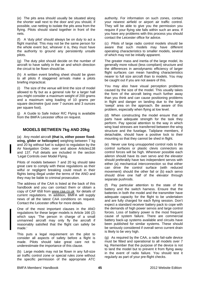(e) The pits area should usually be situated along the shorter wall next to the door and you should, if possible, use netting to isolate the pits area from the flying. Pilots should stand together in front of the nets.

(f) A 'duty pilot' should always be on duty to act a flight marshal. This may not be the same person for the whole event but, whoever it is, they must have the authority to ground any persistently unsafe pilots.

(g) The duty pilot should decide on the number of aircraft to have safely in the air and which direction the circuit to be flown should be.

(h) A written event briefing sheet should be given to all pilots if staggered arrivals make a pilots briefing impractical.

(i) The size of the venue will limit the size of model allowed to fly but as a general rule for a larger hall you might consider a maximum weight of 200 grams and a maximum wing loading of 10 grams per square decimetre (just over 7 ounces and 3 ounces per square foot).

(j) A Guide to Safe Indoor R/C Flying is available from the BMFA Leicester office on request.

# **MODELS BETWEEN 7kg AND 20kg**

(a) Any model aircraft **(that is, either power fixedwing, glider or helicopter)** weighing between 7 kg and 20 kg without fuel is subject to regulation by the Air Navigation Order, over and above Articles138 and 137. Full details are included in the section 'Legal Controls over Model Flying.

Pilots of models between 7 and 20 kg should take great care to comply with these regulations as their wilful or negligent breaking could result in their flights being illegal under the terms of the ANO and they may be liable to criminal prosecution.

The address of the CAA is listed at the back of this handbook and you can contact them or obtain a copy of CAP 658 from [www.caa.co.uk](http://www.ccc.co.uk/) for details of current regulations. In addition, BMFA will supply news of all the latest CAA conditions on request. Contact the Leicester office for more details.

One of the most important clauses in the ANO regulations for these larger models is Article 166 (2) which says 'The person in charge of a small unmanned aircraft may only fly the aircraft if reasonably satisfied that the flight can safely be made.'

This puts a legal requirement on the pilot to consider all aspects of safety before a flight is made. Pilots should take great care not to underestimate the importance of this clause.

(b) Large models may not be flown in any full-size air traffic control zone or special rules zone without the specific permission of the appropriate ATC authority. For information on such zones, contact your nearest airfield or airport air traffic control. They will be able to give you the permission you require if your flying site falls within such an area. If you have any problems with this process you should contact the Leicester office for advice.

(c) Pilots of large radio control models should be aware that such models may have different operating characteristics to smaller models, several of which may not be initially apparent.

The greater mass and inertia of the large model, its generally more robust (less compliant) structure and the differences in aerodynamic efficiency of larger flight surfaces can mean handling characteristics nearer to full size aircraft than to models. You may be caught out if you are not aware of this.

You may also have visual perception problems caused by the size of the model. This usually takes the form of the aircraft being much further away than you think and can cause positioning problems in flight and danger on landing due to the large 'swept' area on the approach. Be aware of this problem, especially when flying at low level.

(d) When constructing the model ensure that all parts have adequate strength for the task they perform. Pay special attention to the way in which wing load stresses are transferred between the wing structure and the fuselage. Tailplane members, if detachable, should have a positive lock to their mounting so that they cannot be shed in flight.

(e) Never use long unsupported control rods to the control surfaces or plastic clevis connectors as control forces will be high. Wherever possible each aileron should have its own servo and the elevator should preferably have two independent servos with either (a) mechanical interconnection so that either can drive the control surface (with reduced movement) should the other fail or (b) each servo should drive one half of the elevator through separate pushrods.

(f) Pay particular attention to the state of the battery and the switch harness. Ensure that the batteries in both the model and the transmitter have adequate capacity for the flight to be undertaken and are fully charged for each flying session. Don't expect a standard receiver battery pack to cope with the demands of high power servos and large control forces. Loss of battery power is the most frequent cause of system failure. There are commercial battery back-up systems available and circuits have been published for similar systems. These should be seriously considered if overall servo current drain is likely to be very high.

(g) As required by the CAA, a radio fail-safe device must be fitted and operational to all models over 7 kg. Remember that the purpose of the device is not to land the model but to prevent it from flying away in the event of radio failure. You should test it regularly as part of your pre-flight checks.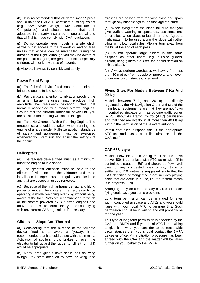(h) It is recommended that all 'large model' pilots should hold the BMFA 'B' certificate or its equivalent (e.g. SAA Silver Wings, LMA Certificate of Competence), and should ensure that both adequate third party insurance is operational and that all flights made comply with CAA regulations.

(i) Do not operate large models at a site which allows public access to the take-off or landing area unless that access can be marshalled during the duration of the flight. Although you may be aware of the potential dangers, the general public, especially children, will not know these of hazards.

(j) Above all always fly sensibly and safely.

## **Power Fixed Wing**

(a) The fail-safe device fitted must, as a minimum, bring the engine to idle speed.

(b) Pay particular attention to vibration proofing the airframe. Larger engines may produce high amplitude low frequency vibration unlike that normally associated with model aircraft engines. Ground test the airframe under full power until you are satisfied that nothing will loosen in flight.

(c) Take No Chances With a Running Engine. The greatest care should be taken when running the engine of a large model. Full-size aviation standards of safety and awareness must be exercised whenever you start, run and adjust the settings of the engine.

### **Helicopters**

(a) The fail-safe device fitted must, as a minimum, bring the engine to idle speed.

(b) The greatest attention must be paid to the effects of vibration on the airframe and radio installation. Linkages must be regularly checked and any that are suspect must be renewed.

(c) Because of the high airframe density and lifting power of modern helicopters, it is very easy to be operating a model weighing over 7 kg without being aware of the fact. Pilots are recommended to weigh all helicopters powered by '40' sized engines and above and to make certain that you are complying with any current CAA regulations if necessary.

### **Gliders - Slope And Thermal**

(a) Considering that the purpose of the fail-safe device fitted is to avoid a flyaway, it is recommended that it should be set with that in mind. Activation of spoilers, crow brakes or even the elevator to full up and the rudder to full left (or right) would be appropriate.

(b) Many large gliders have scale 'bolt on' wing fixings. Pay strict attention to how the wing load stresses are passed from the wing skins and spars through any such fixings to the fuselage structure.

(c) When flying from the slope be sure that you give audible warning to spectators, assistants and other pilots when about to launch or land. Agree a flight pattern to be used along the slope with other pilots or follow local rules. Always turn away from the hill at the end of each pass.

(d) Do not operate large gliders in the same airspace as other users, e.g. full-size gliders, aircraft, hang gliders etc. (see the earlier section on 'mixed sites').

(e) Always perform aerobatics well away (not less than 50 metres) from people or property and never, under any circumstances, overhead.

### **Flying Sites For Models Between 7 Kg And 20 Kg**

Models between 7 kg and 20 kg are directly regulated by the Air Navigation Order and two of the main legal requirements are that they are not flown in controlled airspace or in aerodrome traffic zones (ATZ) without Air Traffic Control (ATC) permission and that they are not flown at more than 400 ft agl without the permission of the relevant authority.

Within controlled airspace this is the appropriate ATC unit and outside controlled airspace it is the CAA itself.

### **CAP 658 says;**

Models between 7 and 20 kg must not be flown above 400 ft agl unless with ATC permission (if in controlled airspace – Ed) and should be flown well clear of any congested area of city, town or settlement; 150 metres is suggested. (note that the CAA definition of 'congested area' includes playing fields that are actually in use, i.e. if a football match is in progress - Ed).

Arranging to fly on a site already cleared for model flying could save you some problems.

Long term permission can be arranged for sites within controlled airspace and ATZs and you should liaise with your local ATC to arrange this. Such permission should be in writing and will probably be for one year.

This type of long term permission is endorsed by the CAA and BMFA and if your local ATC is not willing to give it in what you consider to be reasonable circumstances then you should contact the BMFA Leicester office. An arbitration procedure has been agreed with the CAA and the matter will be taken further on your behalf by the BMFA.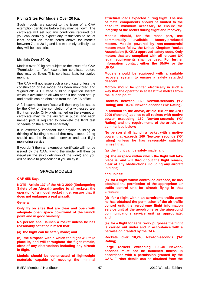### **Flying Sites For Models Over 20 Kg.**

Such models are subject to the issue of a CAA exemption certificate before they may be flown. The certificate will set out any conditions required but you can certainly expect any restrictions to be at least based on those noted above for models between 7 and 20 kg and it is extremely unlikely that they will be less strict.

## **Models Over 20 Kg**

Models over 20 kg are subject to the issue of a CAA 'Permission to Test' exemption certificate before they may be flown. This certificate lasts for twelve months.

The CAA will not issue such a certificate unless the construction of the model has been monitored and 'signed off'. A UK wide building inspection system which is available to all who need it has been set up and details can be obtained from the BMFA office.

A full exemption certificate will then only be issued by the CAA on the completion of a witnessed test flight schedule. Only pilots named on the exemption certificate may fly the aircraft in public and each named pilot is required to complete the flight test schedule on the aircraft separately.

It is extremely important that anyone building or thinking of building a model that may exceed 20 kg should use the inspection service and test flight monitoring service.

If you don't then an exemption certificate will not be issued by the CAA. Flying the model will then be illegal (in the strict definition of the word) and you will be liable to prosecution if you do fly it.

# **SPACE MODELS**

### **CAP 658 Says**

**NOTE: Article 137 of the ANO 2009 (Endangering Safety of an Aircraft) applies to all rockets: the operator of a model rocket must ensure that it does not endanger a real aircraft.** 

### **General**

**Only fly on sites that are clear and open with adequate open space downwind of the launch point and in good visibility.** 

**No person shall launch a rocket unless he has reasonably satisfied himself that:** 

**(a) the flight can be safely made; and** 

**(b) the airspace within which the flight will take place is, and will throughout the flight remain, clear of any obstructions including any aircraft in flight.** 

**Models should be constructed of lightweight materials capable of meeting the minimal**  **structural loads expected during flight. The use of metal components should be limited to the absolute minimum necessary to ensure the integrity of the rocket during flight and recovery.** 

**Models should, for the most part, use commercially available factory-produced motors. Models powered by non-commercial motors must follow the United Kingdom Rocket Association (UKRA) approved safety code. Only motors that are compliant with all relevant UK legal requirements shall be used. For further information contact either the BMFA or the UKRA.** 

**Models should be equipped with a suitable recovery system to ensure a safely retarded descent.** 

**Motors should be ignited electrically in such a way that the operator is at least five metres from the launch point.** 

**Rockets between 160 Newton-seconds ('G' Rating) and 10,240 Newton-seconds ('M' Rating)** 

**In addition to the above, article 168 of the ANO 2009 (Rockets) applies to all rockets with motive power exceeding 160 Newton-seconds ('G' Rating) and the requirements of the article are summarised below:** 

**No person shall launch a rocket with a motive power that exceeds 160 Newton- seconds ('G' rating) unless he has reasonably satisfied himself that:** 

**(a) the flight can be safely made; and** 

**(b) the airspace within which the flight will take place is, and will throughout the flight remain, clear of any obstructions including any aircraft in flight;** 

**and unless:** 

**(c) for a flight within controlled airspace, he has obtained the permission of the appropriate air traffic control unit for aircraft flying in that airspace;** 

**(d) for a flight within an aerodrome traffic zone he has obtained the permission of the air traffic control unit, the aerodrome flight information service unit at the aerodrome or the air/ground communications service unit as appropriate; and** 

**(e) for a flight for aerial work purposes the flight is carried out under and in accordance with a permission granted by the CAA.** 

**Rockets over 10,240 Newton-seconds ('M' Rating)** 

**Large rockets exceeding 10,240 Newtonseconds must not be launched unless in accordance with a permission granted by the CAA. Further details can be obtained from the**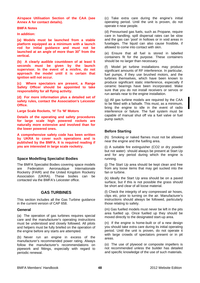**Airspace Utilisation Section of the CAA (see Annex A for contact details).** 

#### **BMFA Notes**

#### **In addition:**

**(a) Models must be launched from a stable platform equipped as a minimum with a launch rod for initial guidance and must not be**  launched at an angle of more than 30° from the **vertical.** 

**(b) A clearly audible countdown of at least 5 seconds must be given by the launch supervisor. In the event of a misfire, do not approach the model until it is certain that ignition will not occur.** 

**(c) Where spectators are present, a Range Safety Officer should be appointed to take responsibility for all flying activity.** 

**(d) For more information plus a detailed set of safety rules, contact the Association's Leicester Office.** 

**Large Scale Rockets, 'H' To 'M' Motors** 

**Details of the operating and safety procedures for large scale high powered rockets are naturally more extensive and involved than for the lower powered ones.** 

**A comprehensive safety code has been written by UKRA to cover such operations and is published by the BMFA. It is required reading if you are interested in large scale rocketry.** 

### **Space Modelling Specialist Bodies**

The BMFA Specialist Bodies covering space models are Federation Aeronautique Internationale Rocketry (FAIR) and the United Kingdom Rocketry Association (UKRA). These bodies can be contacted via the BMFA's Leicester office.

### **GAS TURBINES**

This section includes all the Gas Turbine guidance in the current version of CAP 658.

#### **General**

(a) The operation of gas turbines requires special care and the manufacturer's operating instructions must be understood and closely followed. All pilots and helpers must be fully briefed on the operation of the engine before any starts are attempted.

(b) Never run an engine in excess of the manufacturer's recommended power rating. Always follow the manufacturer's recommendations on pipework and fittings, especially with regard to periodic renewal.

(c) Take extra care during the engine's initial operating period. Until the unit is proven, do not operate it near people.

(d) Pressurised gas fuels, such as Propane, require care in handling; spill dispersal rates can be slow and the gas can 'pool' in hollows or in void areas in fuselages. The liquid can also cause frostbite, if allowed to come into contact with skin.

(e) Ensure that all fuel is stored in labelled containers fit for the purpose. These containers should be no larger than necessary.

(f) Model jet turbine installations may produce significant amounts of RF interference. In particular, fuel pumps, if they use brushed motors, and the turbines themselves, which have been known to produce significant static interference, especially if ceramic bearings have been incorporated. Make sure that you do not install receivers or servos or run aerials near to the engine installation.

(g) All gas turbine models are required by the CAA to be fitted with a failsafe. This must, as a minimum, bring the engine to idle in the event of radio interference or failure. The fuel system must be capable of manual shut off via a fuel valve or fuel pump switch.

### **Before Starting**

(h) Smoking or naked flames must not be allowed near the engine and the fuelling area.

(i) A suitable fire extinguisher (CO2 or dry powder but not water) should always be present at Start Up and for any period during which the engine is running.

(j) The Start Up area should be kept clean and free from any loose items that may get sucked into the fan or turbine.

(k) Ideally the Start Up area should be on a paved surface, but if this is not possible the grass should be short and clear of all loose material.

(l) Check the integrity of any compressed air hoses, clips etc, prior to turning on the air. Manufacturer's instructions should always be followed, particularly those relating to safety.

(m) Gas fuelled models must never be left in the pits area fuelled up. Once fuelled up they should be moved directly to the designated start-up area.

(n) If the engine is home-built or of a new design you should take extra care during its initial operating period. Until the unit is proven, do not operate it with large crowds of spectators present or in pit areas.

(o) The use of plywood or composite impellers is not recommended unless the builder has detailed and specific knowledge of the use of such materials.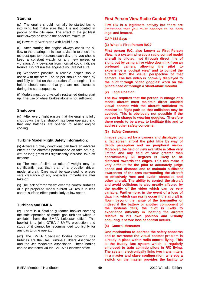## **Starting**

(p) The engine should normally be started facing into wind but make sure that it is not pointed at people or the pits area. The effect of the jet blast must always be kept to the absolute minimum.

(q) Beware of 'wet' starts with liquid fuels.

(r) After starting the engine always check the oil flow to the bearings. It is also advisable to check the exhaust gas temperature each day and you should keep a constant watch for any new noises or vibration. Any deviation from normal could indicate trouble. Do not run the engine if you are not sure.

(s) Whenever possible a reliable helper should assist with the start. The helper should be close by and fully briefed on the operation of the engine. The helper should ensure that you are not distracted during the start sequence.

(t) Models must be physically restrained during start up. The use of wheel brakes alone is not sufficient.

### **Shutdown**

(u) After every flight ensure that the engine is fully shut down, the fuel shut-off has been operated and that any hatches are opened to assist engine cooling.

### **Turbine Model Flight Safety Information:**

(v) Adverse runway conditions can have an adverse effect on the aircraft's performance on take-off. e.g. wet or long grass will significantly increase take-off distance.

(x) The rate of climb at take-off weight may be significantly less than that of a propeller driven model aircraft. Care must be exercised to ensure safe clearance of any obstacles immediately after take-off.

(y) The lack of "prop wash" over the control surfaces of a jet propelled model aircraft will result in less control surface effect particularly at low speed.

### **Turbines and BMFA**

(z) There is a detailed guidance booklet covering the safe operation of model gas turbines which is available from the BMFA Leicester office. This booklet is a joint GTBA / BMFA production and study of it cannot be recommended too highly for any gas turbine operator.

(az) The BMFA Specialist Bodies covering gas turbines are the Gas Turbine Builders Association and the Jet Modellers Association. These bodies can be contacted via the BMFA's Leicester office.

## **First Person View Radio Control (R/C)**

**FPV RC is a legitimate activity but there are limitations that you must observe to be both legal and insured.** 

#### **CAP 658 Says -**

**(1) What is First Person R/C?** 

**First person R/C, also known as First Person View, is a system whereby a radio control model aircraft is piloted, not through direct line of sight, but by using a live video downlink from an on-board camera allowing the pilot to experience a 'cockpit view' and to control the aircraft from the visual perspective of that camera. The live video is normally displayed to the pilot through 'video goggles' worn on the pilot's head or through a stand-alone monitor.** 

**(2) Legal Position** 

**The law requires that the person in charge of a model aircraft must maintain direct unaided visual contact with the aircraft sufficient to monitor its flight path so that collisions may be avoided. This is obviously not possible if the person in charge is wearing goggles. Therefore there needs to be a way to facilitate this and to address other safety concerns.** 

**(3) Safety Concerns** 

**Images captured by a camera and displayed on a flat screen afford the pilot little by way of depth perception and no peripheral vision. Moreover, the field of view available is often very limited and any field of view greater than approximately 60 degrees is likely to be distorted towards the edges. This can make it very difficult for the pilot to accurately judge speed and distance and to maintain sufficient awareness of the area surrounding the aircraft to effectively 'see and avoid' obstacles and other aircraft. The ability to control the aircraft and avoid collisions is also greatly affected by the quality of the video which can be very variable. Furthermore, in the event of a loss of data link, which can easily occur if the aircraft is flown beyond the range of the transmitter or indeed if the battery or another component of the systems fails, the pilot is likely to experience difficulty in locating the aircraft relative to his own position and visually acquiring it before loss of control occurs.** 

**(4) Control Measures** 

**One mechanism to address the safety concerns and to overcome the visual contact problem is already in place within radio control flying. This is the Buddy Box system which is regularly employed to train ab-initio pilots in R/C flying. The system electronically links two transmitters in a master and slave configuration, whereby a switch on the master provides the facility to**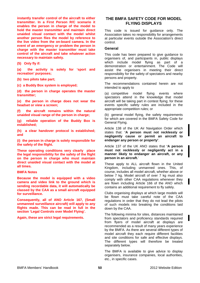**instantly transfer control of the aircraft to either transmitter. In a First Person R/C scenario it enables the person in charge of the model to hold the master transmitter and maintain direct unaided visual contact with the model whilst another person flies the model by reference to the live video from the on-board camera. In the event of an emergency or problem the person in charge with the master transmitter must take control of the aircraft and take whatever action necessary to maintain safety.** 

**(5) Only fly if:** 

**(a) the activity is solely for 'sport and recreation' purposes;** 

**(b) two pilots take part;** 

**(c) a Buddy Box system is employed;** 

**(d) the person in charge operates the master transmitter;** 

**(e) the person in charge does not wear the headset or view a screen;** 

**(f) the aircraft remains within the natural unaided visual range of the person in charge;** 

**(g) reliable operation of the Buddy Box is established;** 

**(h) a clear handover protocol is established; and** 

**(i) the person in charge is solely responsible for the safety of the flight.** 

**These operating conditions very clearly place the legal responsibility for the safety of the flight on the person in charge who must maintain direct unaided visual contact with the model at all times.** 

#### **BMFA Notes**

**Because the model is equipped with a video camera and video link to the ground which is sending recordable data, it will automatically be classed by the CAA as a small aircraft equipped for surveillance.** 

**Consequently, all of ANO Article 167, (Small unmanned surveillance aircraft) will apply to any flights made. This can be read in full in the section 'Legal Controls over Model Flying'.** 

**Again, these are strict legal requirements.** 

## **THE BMFA SAFETY CODE FOR MODEL FLYING DISPLAYS**

This code is issued for guidance only. The Association takes no responsibility for arrangements at particular events outside the Association's direct control.

#### **General**

This code has been prepared to give guidance to organisers of, and participants in, public displays which include model flying as part of a demonstration or entertainment. The Code will assist the organisers in meeting their direct responsibility for the safety of spectators and nearby persons and property.

The recommendations contained herein are not intended to apply to

(a) competitive model flying events where spectators attend in the knowledge that model aircraft will be taking part in contest flying; for these events specific safety rules are included in the appropriate competition rules; or

(b) general model flying, the safety requirements for which are covered in the BMFA Safety Code for General Flying.

Article 138 of the UK Air Navigation Order which states that: **'A person must not recklessly or negligently cause or permit an aircraft to endanger any person or property'**.

Article 137 of the UK ANO states that **'A person must not recklessly or negligently act in a manner likely to endanger an aircraft, or any person in an aircraft.**'

These apply to ALL aircraft flown in the United Kingdom, including unmanned ones. This, of course, includes all model aircraft, whether above or below 7 kg. Model aircraft of over 7 kg must also comply with other CAA regulations whenever they are flown including Article 166 of the ANO which contains an additional requirement to fly safely.

Clubs organising displays at which large models will be flown must take careful note of the CAA regulations in order that they do not lead the pilots of such models into breaking the conditions laid down by the CAA.

The following minima for sites, distances maintained from spectators and proficiency standards required from flyers of model aircraft at displays are recommended as a result of many years experience by the BMFA. As there are several different types of model aircraft they each require different facilities and site conditions for safe and effective displays. The different types will therefore be treated separately below.

The BMFA is available to give advice to display organisers, insurance companies, local authorities, etc., in specific cases.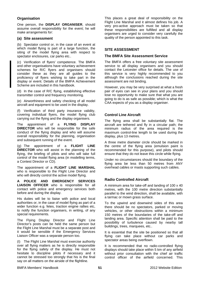### **Organisation**

One person, the **DISPLAY ORGANISER**, should assume overall responsibility for the event; he will make arrangements for:

#### **(a) Site assessment**

(b) Spectator control or, in the case of an event at which model flying is part of a large function, the siting of the model flying area with respect to spectator enclosures, car parks etc..

(c) Verification of flyers' competence. The BMFA and other organisations have voluntary achievement schemes for R/C flyers and organisers should consider these as they are all guides to the proficiency of flyers wishing to take part in the display or event. Details of the BMFA Achievement Scheme are included in this handbook.

(d) In the case of R/C flying, establishing effective transmitter control and frequency monitoring.

(e) Airworthiness and safety checking of all model aircraft and equipment to be used in the display.

(f) Verification of third party insurance validity, covering individual flyers, the model flying club carrying out the flying and the display organisers.

The appointment of a **FLYING DISPLAY DIRECTOR** who will be responsible for the safe conduct of the flying display and who will assume overall responsibility for the planning, organisation and subsequent running of the event.

(g) The appointment of a **FLIGHT LINE DIRECTOR** who will assist in the planning of the flying, the briefing of pilots and who will take full control of the model flying area (in modelling terms, a Contest Director or CD).

The appointment of a **FLIGHT LINE MARSHAL** who is responsible to the Flight Line Director and who will directly control the active model flying.

**A POLICE AND EMERGENCY SERVICES LIAISON OFFICER** who is responsible for all contact with police and emergency services both before and during the display.

His duties will be to liaise with police and local authorities or, in the case of model flying as part of a wider function e.g. fetes, traction engine rallies etc, to notify the function organisers, in writing, of any special requirements.

The Flying Display Director and Flight Line Director's posts can be held the same person but the Flight Line Marshal must be a separate post and it would be sensible if the Emergency Services Liaison Officer was a separate person too.

(I) The Flight Line Marshal must exercise authority over all flying matters as he is directly responsible for the flying safety of the display. He must not hesitate to discipline pilots if necessary and it cannot be stressed too strongly that his is the final say on all matters on the airside of the flightline.

This places a great deal of responsibility on the Flight Line Marshal and it almost defines his job. A very pro-active approach must be taken so that these responsibilities are fulfilled and all display organisers are urged to consider very carefully the quality of the person appointed to this task.

### **SITE ASSESSMENT**

#### **The BMFA Site Assessment Service**

The BMFA offers a free voluntary site assessment service to all display organisers and you should contact the Leicester office for details. The use of this service is very highly recommended to you although the conclusions reached during the site assessment are not binding.

However, you may be very surprised at what a fresh pair of eyes can see in your plans and you should lose no opportunity to make sure that what you are going to do is as safe as possible; which is what the CAA expects of you as a display organiser.

### **Control Line Aircraft**

The flying area shall be substantially flat. The aircraft are tethered and fly in a circular path; the minimum radius of the area required is the maximum control-line length to be used during the display, plus 13 metres.

A three metre diameter circle should be marked in the centre of the flying area (emulsion paint is recommended for this purpose), and pilots should ensure that they do not leave this circle while flying.

Under no circumstances should the boundary of the flying area be less than 50 metres from ANY overhead cables or masts supporting such cables.

## **Radio Controlled Aircraft**

A minimum area for take-off and landing of 100 x 40 metres, with the 100 metre direction substantially parallel to the wind direction, shall be available, with a tarmac or mown grass surface.

To the upwind and downwind sides of this area there should be no spectators, parked or moving vehicles, or other obstructions within a minimum 150 metres of the boundaries of the take-off and landing area. Specific attention shall be paid to the possibility of turbulence caused by nearby tall buildings, trees, marquees, etc..

It is essential that the site be positioned so that all flying can take place without car parks and spectator areas being overflown.

It is recommended that no radio-controlled flying displays should take place within 5 km of any airfield without prior consultation with the chief air traffic control officer of the airfield concerned. This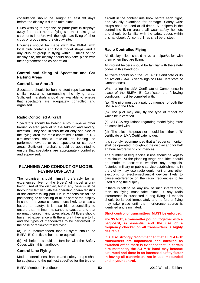consultation should be sought at least 30 days before the display is due to take place.

Clubs wishing to organise or participate in displays away from their normal flying site must take great care not to interfere with the legitimate flying of other clubs or groups near the display site.

Enquiries should be made (with the BMFA, with local club contacts and local model shops) and if any club or group is flying within 2 miles of the display site, the display should only take place with their agreement and co-operation.

### **Control and Siting of Spectator and Car Parking Areas**

### **Control Line Aircraft**

Spectators should be behind stout rope barriers or similar restraints surrounding the flying area. Sufficient marshals should be available to ensure that spectators are adequately controlled and organised.

### **Radio Controlled Aircraft**

Spectators should be behind a stout rope or other barrier located parallel to the take-off and landing direction. They should thus be on only one side of the flying area for radio-controlled aircraft. In NO circumstances should take-off or landing be performed towards or over spectator or car park areas. Sufficient marshals should be appointed to ensure that spectators are appropriately controlled and supervised.

## **PLANNING AND CONDUCT OF MODEL FLYING DISPLAYS**

The organiser should himself preferably be an experienced flyer of the type(s) of model aircraft being used at the display, but in any case must be thoroughly familiar with the operating characteristics of the aircraft taking part. He is responsible for the postponing or cancelling of all or part of the display in case of adverse circumstances likely to cause a hazard to safety. It is also his responsibility to ensure that minimum nuisance is caused, and that no unauthorised flying takes place. All flyers should have had experience with the aircraft they are to fly and the types of manoeuvres to be performed. In the case of radio-controlled flying;

(a) It is recommended that all flyers should be BMFA 'B' Certificate holders or equivalent.

(b) All helpers should be familiar with the Safety Codes within this handbook.

### **Control Line Flying**

Model, control-lines, handle and safety straps shall be subjected to the pull test specified for the type of aircraft in the contest rule book before each flight, and visually examined for damage. Safety wrist straps shall be used at all times. All helpers in the control-line flying area shall wear safety helmets and should be familiar with the safety codes within this handbook. All control lines shall be of steel.

## **Radio Controlled Flying**

All display pilots should have a helper/caller with them when they are flying.

All ground helpers should be familiar with the safety codes in this handbook.

All flyers should hold the BMFA 'B' Certificate or its equivalent (SAA Silver Wings or LMA Certificate of Competence).

When using the LMA Certificate of Competence in place of the BMFA 'B' Certificate, the following conditions must be complied with.

(a) The pilot must be a paid up member of both the BMFA and the LMA.

(b) The pilot may only fly the type of model for which he is certified.

(c) All CAA regulations regarding model flying must be complied with.

(d) The pilot's helper/caller should be either a 'B' certificate or LMA Certificate holder.

It is strongly recommended that a frequency monitor shall be operated throughout the display and for half an hour before flying commences.

The number of frequencies in use should be kept to a minimum. At the planning stage enquiries should be made to ascertain whether any hospitals, factories, military or public service establishments in the vicinity may use radio equipment or any other electronic or electromechanical devices likely to cause interference on the radio frequencies to be used during the display.

If there is felt to be any risk of such interference, then no flying must take place. If any radio interference is suspected during flying all models should be landed immediately and no further flying may take place until the interference source is identified and eliminated.

**Strict control of transmitters MUST be enforced.** 

**For 35 MHz, a transmitter pound, together with a pegboard, is essential and the use of a frequency checker on all transmitters is highly desirable.** 

**It is also strongly recommended that all 2.4 GHz transmitters are impounded and checked as switched off as there is evidence that, in certain circumstances, the 2.4 MHz band may become saturated and there is an increased safety factor in having all transmitters not in use impounded and in your control.** 

BMFA Members' Handbook 2012 Website Edition **52**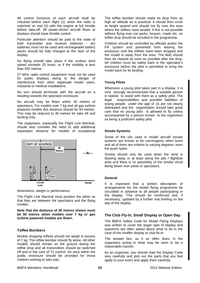All control functions of each aircraft shall be checked before each flight (1) when the radio is switched on and (2) with the engine at full throttle before take-off. All power-driven aircraft flown at displays should have throttle control.

Particular attention should be paid to the state of both transmitter and receiver batteries - dry batteries must not be used and rechargeable battery packs should be fully charged at the start of the display.

No flying should take place if the surface wind speed exceeds 25 knots, or if the visibility is less than 500 metres.

27 MHz radio control equipment must not be used for public displays owing to the danger of interference from other legitimate model users, industrial or medical installations.

No turn should terminate with the aircraft on a heading towards the spectator enclosure.

No aircraft may be flown within 30 metres of spectators. For models over 7 kg and all gas turbine powered models this distance should be 50 metres. This may be reduced to 30 metres for take off and landing only.

The organisers, especially the Flight Line Marshal, should also consider the need to add additional separation distance for models of exceptional



dimensions, weight or performance.

The Flight Line Marshal must position the pilots so that they are between the spectators and the flying models.

**Note that the distance of 30 metres shown must be 50 metres when models over 7 kg or gas turbine powered models are flown.** 

## **Toffee Bombers**

Models dropping toffees should not weigh in excess of 7 kg. The toffee bomber should fly alone. All other models should remain on the ground during the toffee drop and all transmitters should be switched off and in the care of Tx control. An area within the public enclosure should be provided for those children wishing to take part.

The toffee bomber should make its drop from as high an altitude as is practical. It should then circle at height upwind and should not fly over the area where the toffees have landed. If this is not possible without flying over car parks, houses, roads etc, no toffee drop should be included in the programme.

Children should be controlled by officials and/or the PA system and prevented from leaving the enclosure until the toffees have been dropped and the model is away from the area. The field should then be cleared as soon as possible after the drop. All children must be safely back in the spectator's enclosure before the pilot is permitted to bring the model back for its landing.

### **Young Pilots**

Whenever a young pilot takes part in a display, it is very strongly recommended that a suitable person is tasked to stand with them as a safety pilot. The legal responsibilities and possible liabilities of young people under the age of 15 are not clearly delineated and the organisation should take great care that no young pilot is allowed to fly unless accompanied by a person known to the organisers as being a proficient safety pilot.

#### **Smoke Systems**

Some of the oils used in model aircraft smoke systems are known to be carcinogenic when burnt and all of them are irritants to varying degrees, even the purer types.

Smoke should only be used when the wind is blowing away or at least along the pits / flightline area and there is no possibility of the smoke cloud being blown over pilots or spectators.

#### **General**

It is important that a written description of arrangements for the model flying programme be circulated in advance to all people participating in the display. This should be reinforced and, if necessary, updated by a further oral briefing on the day of the display.

## **The Club Fly-In, Small Display or Open Day**

The BMFA Safety Code for Model Flying Displays was written to cover the larger type of display and questions are often asked about what to do in the case of the smaller display or club fly-in.

The answer lies, as it so often does, in the organisers acting in what may be seen to be a reasonable manner.

As an organiser, you should read the Display Code very carefully and pick out the parts that you feel apply to your event and apply them carefully.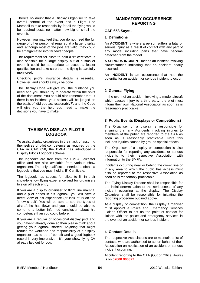There's no doubt that a Display Organiser to take overall control of the event and a Flight Line Marshall to take responsibility for all the flying would be required posts no matter how big or small the event is.

However, you may feel that you do not need the full range of other personnel required at a larger display and, although most of the jobs are valid, they could be amalgamated into far fewer people.

The requirement for pilots to hold a 'B' certificate is also sensible for a large display but at a smaller event it could be appropriate to accept a lesser qualification and take care that the flying is carefully monitored.

Checking pilot's insurance details is essential. However, and should always be done.

The Display Code will give you the guidance you need and you should try to operate within the spirit of the document. You should also remember that, if there is an incident, your actions will be judged on the basis of 'did you act reasonably?', and the Code will give you the help you need to make the decisions you have to make.

## **THE BMFA DISPLAY PILOT'S LOGBOOK**

To assist display organisers in their task of assuring themselves of pilot competence as required by the CAA in CAP 658, the BMFA has introduced a Display Pilot's Logbook scheme.

The logbooks are free from the BMFA Leicester office and are also available from various show organisers. The only qualification needed to obtain a logbook is that you must hold a 'B' Certificate.

The logbook has spaces for pilots to fill in their show-by-show flying experience and for organisers to sign off each entry.

If you are a display organiser or flight line marshal and a pilot hands in his logbook, you will have a direct view of his experience (or lack of it) on the 'show circuit'. You will be able to see the types of aircraft he has flown and you should be able to come to a better informed conclusion about his competence than you could before.

If you are a regular or occasional display pilot and you haven't already done so then please think about getting your logbook started. Anything that might reduce the workload and responsibility of a display organiser has to be of benefit and a good logbook record is very impressive - It's your show flying CV already laid out for you.

# **MANDATORY OCCURRENCE REPORTING**

### **CAP 658 Says:-**

#### **1 Definitions**

An **ACCIDENT** is where a person suffers a fatal or serious injury as a result of contact with any part of any model including parts that have become detached from the model.

A **SERIOUS INCIDENT** means an incident involving circumstances indicating that an accident nearly occurred.

An **INCIDENT** is an occurrence that has the potential for an accident or serious incident to occur.

### **2 General Flying**

In the event of an accident involving a model aircraft which causes injury to a third party, the pilot must inform their own National Association as soon as is reasonably practicable.

### **3 Public Events (Displays or Competitions)**

The Organiser of a display is responsible for ensuring that any Accidents involving injuries to members of the public are reported to the CAA as soon as is reasonably practicable. Note this includes injuries caused by ground special effects.

The Organiser of a display or competition is also responsible for reporting any accidents or serious incidents to their respective Association with information to the BMFA.

Incidents occurring near or behind the crowd line or in any area to which the public has access must also be reported to the respective Association as soon as is reasonably practicable.

The Flying Display Director shall be responsible for the initial determination of the seriousness of any incident occurring at the display. The Display Organiser shall be responsible for initiating the reporting procedure outlined above.

At a display or competition, the Display Organiser must appoint a Police and Emergency Services Liaison Officer to act as the point of contact for liaison with the police and emergency services in the event of an accident or serious incident.

### **4 Contact Details**

The respective Associations are to maintain a list of contacts who are authorised to act on behalf of their Association on notification of an accident or serious incident occurring.

Accident reporting to the CAA (Out of Office Hours) is on **07808 900327**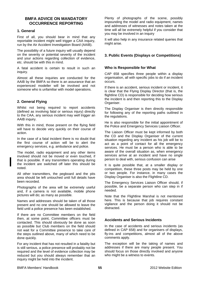## **BMFA ADVICE ON MANDATORY OCCURRENCE REPORTING**

### **1. General**

First of all, you should bear in mind that any reportable incident might well trigger a CAA inquiry, run by the Air Accident Investigation Board (AAIB).

The possibility of a future inquiry will usually depend on the severity or potential severity of the incident and your actions regarding collection of evidence, etc. should be with this in mind.

A fatal accident is certain to result in such an inquiry.

Almost all these inquiries are conducted for the AAIB by the BMFA so there is an assurance that an experienced modeller will be involved and not someone who is unfamiliar with model operations.

### **2. General Flying**

Whilst not being required to report accidents (defined as involving fatal or serious injury) directly to the CAA, any serious incident may well trigger an AAIB inquiry.

With this in mind, those present on the flying field will have to decide very quickly on their course of action.

In the case of a fatal incident there is no doubt that the first course of action will be to alert the emergency services, e.g. ambulance and police.

The model, radio equipment and any other items involved should not be moved or even touched, if that is possible. If any transmitters operating during the incident are switched off later this should be noted.

All other transmitters, the pegboard and the pits area should be left untouched until full details have been recorded.

Photographs of the area will be extremely useful and, if a camera is not available, mobile phone pictures will do; as many as possible.

Names and addresses should be taken of all those present and no one should be allowed to leave the field until a police presence has been established.

If there are no Committee members on the field then, at some point, Committee officers must be contacted. This should obviously be done as soon as possible but Club members on the field should not wait for a Committee presence to take care of the steps outlined above, many of which need to be done quickly.

For any incident that has not resulted in a fatality but is still serious, a police presence will probably not be required and the level of evidence collection may be reduced but you should always remember that an inquiry might be held into the incident.

Plenty of photographs of the scene, possibly impounding the model and radio equipment, names and addresses of witnesses and notes taken at the time will all be extremely helpful if you consider that you may be involved in an inquiry

It will also help in any insurance related queries that might arise.

## **3. Public Events (Displays or Competitions)**

### **Who is Responsible for What**

CAP 658 specifies three people within a display organisation, all with specific jobs to do if an incident occurs.

If there is an accident, serious incident or incident, it is clear that the Flying Display Director (that is, the flightline CD) is responsible for deciding how serious the incident is and then reporting this to the Display Organiser.

The Display Organiser is then directly responsible for following any of the reporting paths outlined in the regulations.

He is also responsible for the initial appointment of the Police and Emergency Services Liaison Officer.

The Liaison Officer must be kept informed by both the CD and the Display Organiser of the current situation regarding any incident as his job will be to act as a point of contact for all the emergency services. He must be a person who is able to be aware of the overall situation as, when emergency services arrive at an incident and have no single person to deal with, serious confusion can arise

It is quite possible that, at a smaller display or competition, these three posts may be held by one or two people. For instance, in many cases the Display Organiser is also the Flightline CD.

The Emergency Services Liaison Officer should, if possible, be a separate person who can step in if needed.

Note that the Flightline Marshal is not mentioned here. This is because that job requires constant vigilance and the person doing it should not be distracted.

### **Accidents and Serious Incidents**

In the case of accidents and serious incidents (as defined in CAP 658) and for organisers of displays, fly-ins and competitions, almost all of the above comments apply.

The exception will be the taking of names and addresses if there are many people present. You should focus on those directly involved and anyone who might be a witness to events.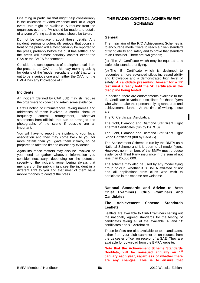One thing in particular that might help considerably is the collection of video evidence and, at a larger event, this might be available. A request from the organisers over the PA should be made and details of anyone offering such evidence should be taken.

Do not be complacent about these details. Any incident, serious or potentially serious, that occurs in front of the public will almost certainly be reported to the press, probably before the dust has settled, and the press will almost certainly contact either the CAA or the BMFA for comment.

Consider the consequences of a telephone call from the press to the CAA on a Monday morning asking for details of the 'model aeroplane crash' that turns out to be a serious one and neither the CAA nor the BMFA has any knowledge of it.

### **Incidents**

An incident (defined by CAP 658) may still require the organisers to collect and retain some evidence.

Careful noting of circumstances, taking names and addresses of those involved, a careful check of frequency control arrangement, whatever statements from officials that can be arranged and photographs of the scene if possible are all important.

You will have to report the incident to your local association and they may come back to you for more details than you gave them initially, so be prepared to take the time to collect any evidence.

Again insurance matters may also be involved so you need to gather whatever information you consider necessary, depending on the potential severity of the incident, remembering always that members of the public might see the incident in a different light to you and that most of them have mobile 'phones to contact the press.

# **THE RADIO CONTROL ACHIEVEMENT SCHEMES**

#### **General**

The main aim of the R/C Achievement Schemes is to encourage model flyers to reach a given standard of flying ability and safety and to prove that standard to an Examiner. There are two grades;

(a) The 'A' Certificate which may be equated to a 'safe solo' standard of flying.

(b) The 'B' Certificate which is designed to recognise a more advanced pilot's increased ability and knowledge and a demonstrated high level of safety. **A candidate presenting himself for a 'B' test must already hold the 'A' certificate in the discipline being tested.**

In addition, there are endorsements available to the 'B' Certificate in various disciplines for those flyers who wish to take their personal flying standards and achievements further. At the time of writing, these are,

The 'C' Certificate, Aerobatics.

The Gold, Diamond and Diamond Star Silent Flight Thermal Certificates (run by BARCS).

The Gold, Diamond and Diamond Star Silent Flight Slope Certificates (run by BARCS).

The Achievement Scheme is run by the BMFA as a National Scheme and it is open to all model flyers. However, non-members of the BMFA must produce evidence of Third Party insurance in the sum of not less than £5,000,000.

The scheme may also be used by any model flying group or club, whether it is BMFA affiliated or not and all applications from clubs who wish to participate in the scheme are welcome.

### **National Standards and Advice to Area Chief Examiners, Club Examiners and Candidates.**

### **The Achievement Scheme Standards Leaflets**

Leaflets are available to Club Examiners setting out the nationally agreed standards for the testing of candidates taking all of the available 'A' and 'B' certificates and 'C' Aerobatics.

These leaflets are also available to test candidates, either from your club examiner or on request from the Leicester office, on receipt of a SAE. They are available for download from the BMFA website.

**Note that the Achievement Scheme Standards Booklets, will be re-issued annually on 1st January each year, regardless of whether there are any changes. This is to ensure that**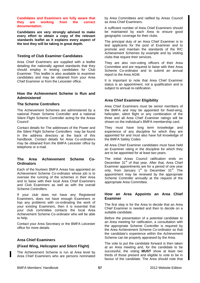#### **Candidates and Examiners are fully aware that they are working from the correct documentation.**

**Candidates are very strongly advised to make every effort to obtain a copy of the relevant standards leaflet as it explains every aspect of the test they will be taking in great depth.** 

### **Testing of Club Examiner Candidates**

Area Chief Examiners are supplied with a leaflet detailing the nationally agreed standards that they should employ in testing candidates for Club Examiner. This leaflet is also available to examiner candidates and may be obtained from your Area Chief Examiner or from the Leicester office.

### **How the Achievement Scheme is Run and Administered**

### **The Scheme Controllers**

The Achievement Schemes are administered by a national Power Scheme Controller and a national Silent Flight Scheme Controller acting for the Areas Council .

Contact details for The addresses of the Power and the Silent Flight Scheme Controllers may be found in the address directory at the back of this handbook. Contact details for Area Co-ordinators may be obtained from the BMFA Leicester office by telephone or e-mail.

### **The Area Achievement Scheme Co-Ordinators**

Each of the fourteen BMFA Areas has appointed an Achievement Scheme Co-ordinator whose job is to oversee the running of the schemes in their Area and to liaise with their local Area Chief Examiners and Club Examiners as well as with the overall Scheme Controllers.

If your club does not have any Registered Examiners, does not have enough Examiners or has any problems with co-ordinating the work of your existing Examiners, then it is essential that your club committee contacts the local Area Achievement Scheme Co-ordinator who will be able to help.

Contact your Area Secretary or the BMFA Leicester office for more details.

## **Area Chief Examiners**

### **(Fixed Wing, Helicopter and Silent Flight)**

The Achievement Scheme is run at Area level by Area Chief Examiners who are persons nominated by Area Committees and ratified by Areas Council as Area Chief Examiners.

A sufficient number of Area Chief Examiners should be maintained by each Area to ensure good geographic coverage for their clubs.

The principal duty of an Area Chief Examiner is to test applicants for the post of Examiner and to promote and maintain the standards of the R/C Achievement Schemes by example and by visiting clubs that require their services.

They are also non-voting officers of their Area Committee and are required to liaise with their Area Scheme Co-ordinator and to submit an annual report to the Area AGM.

It is important to note that Area Chief Examiner status is an appointment, not a qualification and is subject to annual re-ratification.

### **Area Chief Examiner Eligibility**

Area Chief Examiners must be senior members of the BMFA and may be appointed for fixed-wing, helicopter, silent flight or any combination of the three and all Area Chief Examiner ratings will be shown on the individual's BMFA membership card.

They must have long term knowledge and experience of any discipline for which they are appointed for and must also have full knowledge of the BMFA Safety Codes

All Area Chief Examiner candidates must have held an Examiner rating in the discipline for which they are to be appointed for at least two years.

The initial Areas Council ratification ends on December 31<sup>st</sup> of that year. After that, Area Chief Examiner appointments are for a period of one year only, from January  $1<sup>st</sup>$  to December  $31<sup>st</sup>$ . The appointment may be renewed by the appropriate Scheme Controller annually at the request of the appropriate Area Committee.

### **How an Area Appoints an Area Chief Examiner**

The first step is for the Area to decide that an Area Chief Examiner is needed and then to decide on a suitable candidate.

Before the presentation of a potential candidate to an Area meeting for ratification, a consultation with the appropriate Scheme Controller is required by the Area Achievement Scheme Co-ordinator so that the candidate's experience within the Achievement Scheme can be properly appraised by the Area.

The vote to put the candidate forward is then taken at an Area meeting and, for the candidate to be successful, the voting **MUST** show at least two thirds of those present and eligible to vote to be in favour of the candidate. The Area should note that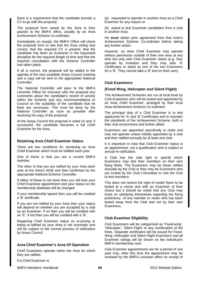there is a requirement that the candidate provide a CV to go with the proposal.

The proposal form raised by the Area is then passed to the BMFA office, usually by an Area Achievement Scheme Co-ordinator.

Immediately on receipt, the BMFA Office will check the proposal form to see that the Area voting was correct, that the required CV is present, that the candidate has been an Examiner in the requested discipline for the required length of time and that the required consultation with the Scheme Controller has taken place.

If all is correct, the proposal will be added to the agenda of the next available Areas Council meeting and a copy will be sent to the appropriate National Controller.

The National Controller will pass to the BMFA Leicester Office for inclusion with the proposal any comments about the candidate's record of activity within the Scheme and any recommendations to Council on the suitability of the candidate that he feels are necessary. This must be done by the National Controller as soon as possible after receiving his copy of the proposal.

At the Areas Council the proposal is voted on and, if successful, the candidate becomes a full Chief Examiner for his Area.

#### **Retaining Area Chief Examiner Status**

There are two conditions for remaining an Area Chief Examiner which must be fulfilled each year.

One of these is that you are a current BMFA member.

The other is that you are ratified by your Area each year at the Area's AGM and then confirmed by the appropriate National Scheme Controller.

If either of these is not done then you will lose your Chief Examiner appointment and your status on the membership database will be changed.

If your membership lapsed then you will be credited a 'B' certificate.

If you are not ratified by your Area then your status will depend on whether you are accepted by a club as an Examiner. If so then you will be credited with an 'E'. If not then you will be credited with a 'B'.

Regaining Chief Examiner status on re-joining or being re-ratified by your Area is not automatic and will be subject to the normal process of ratification by Areas Council.

### **Area Chief Examiner's Area Of Operation**

Chief Examiners operate within the Area for which they are ratified.

If a Chief Examiner is

(a) requested to operate in another Area as a Chief Examiner for any reason or

(b) asked to test Examiner candidates from a club in another Area

He **must** obtain prior agreement from that Area's Achievement Scheme Co-ordinator before taking any further action.

However, an Area Chief Examiner may operate without permission outside of their own area at any time but only with Club Examiner status (e.g. they operate by invitation and they may take 'A' Certificates or stand as one of the two Examiners for a 'B'. They cannot take a 'B' test on their own).

#### **Club Examiners**

#### **(Fixed Wing, Helicopter and Silent Flight)**

The Achievement Schemes are run at local level by Club Examiners who will be tested and appointed by an Area Chief Examiner, arranged by their local Area Achievement Scheme Co-ordinator.

The principal duty of a Club Examiner is to test applicants for 'A' and 'B' Certificates and to maintain the standards of the Achievement Scheme, both in their club environment and further afield.

Examiners are appointed specifically to clubs and may not operate unless initially appointed by a club and then ratified annually by at least one club.

It is important to note that Club Examiner status is an appointment, not a qualification and is subject to annual re-ratification.

A Club has the sole right to specify which Examiners may test their members on their own flying fields. The Examiners may be those ratified annually by the Club or they may be Examiners who are invited by the Club Committee to visit the Club to test members.

This does not restrict the right of model flyers to be tested at a venue and with an Examiner of their choice but it should be noted that any Club may insist on satisfying themselves regarding the flying proficiency of any member or visitor who has been tested away from the Club and not by their own **Examiners** 

### **Club Examiner Eligibility**

Club Examiners will be categorised as 'Fixed-wing', 'Helicopter', 'Silent Flight' or any combination of the three. Separate certificates will be issued for Fixed-Wing, Helicopter and Silent Flight Examiners and all Examiner ratings will be shown on the individual's BMFA membership card.

Club Examiner appointments are for a period of one year only. After this time the appointment may be renewed by the BMFA Leicester office on receipt of

BMFA Members' Handbook 2012 Website Edition **58**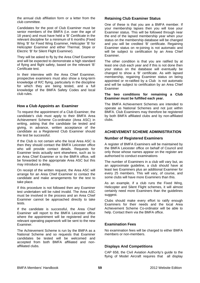the annual club affiliation form or a letter from the club committee.

Candidates for the post of Club Examiner must be senior members of the BMFA (i.e. over the age of 18 years) and must have held a 'B' Certificate in the relevant discipline for a minimum of 6 months (Fixed Wing 'B' for Fixed Wing Examiner, Helicopter 'B' for Helicopter Examiner and either Thermal, Slope or Electric 'B' for Silent Flight Examiner).

They will be asked to fly by the Area Chief Examiner and will be expected to demonstrate a high standard of flying and flight safety, based on the relevant 'B' Certificate test.

In their interview with the Area Chief Examiner, prospective examiners must also show a long-term knowledge of R/C flying, particularly in the discipline for which they are being tested, and a full knowledge of the BMFA Safety Codes and local club rules.

### **How a Club Appoints an Examiner**

To request the appointment of a Club Examiner, the candidate's club must apply to their BMFA Area Achievement Scheme Co-ordinator (Area ASC) in writing, asking that the candidate be tested and giving, in advance, written acceptance of the candidate as a Registered Club Examiner should the test be successful.

If the Club is not certain who the local Area ASC is then they should contact the BMFA Leicester office who will provide contact details. Requests for Examiner tests actually sent elsewhere, such as to an Area Chief Examiner or to the BMFA office, will be forwarded to the appropriate Area ASC but this may introduce a delay.

On receipt of the written request, the Area ASC will arrange for an Area Chief Examiner to contact the candidate and make arrangements for the test to take place.

If this procedure is not followed then any Examiner test undertaken will be ruled invalid. The Area ASC must be involved in the process and an Area Chief Examiner cannot be approached directly to take tests.

If the candidate is successful, the Area Chief Examiner will report to the BMFA Leicester office where the appointment will be registered and the relevant operating paperwork will be sent to the new Examiner.

The Achievement Scheme is run by the BMFA as a National Scheme and so requests that Examiner candidates be tested will be welcomed and accepted from both BMFA affiliated and nonaffiliated clubs.

### **Retaining Club Examiner Status**

One of these is that you are a BMFA member. If your membership lapses then you will lose your Examiner status. This will be followed through near the end of the lapsed membership year when your status on the membership database will be changed and you will be credited 'B' certificate. Regaining Examiner status on re-joining is not automatic and will be subject to certification by an Area Chief Examiner.

The other condition is that you are ratified by at least one club each year and if this is not done then your status on the database will eventually be changed to show a 'B' certificate. As with lapsed membership, regaining Examiner status on being appointed or re-ratified by a Club is not automatic and will be subject to certification by an Area Chief Examiner

#### **The two conditions for remaining a Club Examiner must be fulfilled each year.**

The BMFA Achievement Schemes are intended to operate as National Schemes and not just within BMFA. Club Examiners may therefore be registered by both BMFA affiliated clubs and by non-affiliated clubs.

### **ACHIEVEMENT SCHEME ADMINISTRATION**

#### **Number of Registered Examiners**

A register of BMFA Examiners will be maintained by the BMFA Leicester office on behalf of Council and only those whose names appear on the register are authorised to conduct examinations

The number of Examiners in a club will vary but, as an approximate guideline, a club should have at least two Examiners plus an additional Examiner for every 25 members. This will vary, of course, and some clubs will have more Examiners than this.

As an example, if a club runs the Fixed Wing, Helicopter and Silent Flight schemes, it will almost certainly need more Examiners than the guidelines suggest.

Clubs should make every effort to ratify enough Examiners for their needs and the local Area Achievement Scheme Co-ordinator will be able to help. Contact them via the BMFA office.

### **Examination Fees**

No examination fees will be charged to either BMFA members or non-members.

## **Displays And Competitions**

CAP 658, the Civil Aviation Authority's guide to the flying of Model Aircraft requires that all display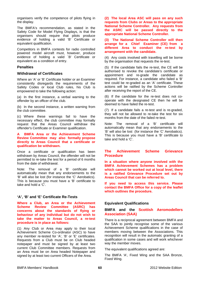organisers verify the competence of pilots flying in the display.

The BMFA's recommendation, as stated in the Safety Code for Model Flying Displays, is that the organisers should require that pilots produce evidence of holding a valid 'B' Certificate or equivalent qualification.

Competitors in BMFA contests for radio controlled powered model aircraft must, however, produce evidence of holding a valid `B' Certificate or equivalent as a condition of entry.

#### **Penalties**

#### **Withdrawal of Certificates**

Where an 'A' or 'B' Certificate holder or an Examiner consistently disregards the requirements of the Safety Codes or local Club rules, his Club is empowered to take the following action:

(a) In the first instance, a verbal warning to the offender by an officer of the club.

(b) In the second instance, a written warning from the club committee.

(c) Where these warnings fail to have the necessary effect, the club committee may formally request that the Areas Council withdraw the offender's Certificate or Examiner qualification.

**A BMFA Area or the Achievement Scheme Review Committee may also formally propose directly to Areas Council that a certificate or qualification be withdrawn.** 

Once a certificate or qualification has been withdrawn by Areas Council, the offender will not be permitted to re-take the test for a period of 6 months from the date of withdrawal.

Note: The removal of a 'B' certificate will automatically mean that any endorsements to the 'B' will also be lost (for instance the 'C' Aerobatics). This is because you must have a 'B' certificate to take and hold a 'C'.

### **'A', 'B' and 'E' Certificate Re-Tests**

**Where a Club, an Area or the Achievement Scheme Review Committee (ASRC) has concerns about the standards of flying or behaviour of any individual but do not wish to take the matter to Areas Council, a re-test procedure is in place as follows:** 

(1) Any Club or Area may apply to their local Achievement Scheme Co-ordinator (ASC) to have any member re-tested for 'A', 'B' or 'E' certificates. Requests from a Club must be on Club headed notepaper and must be signed by at least two current Club Committee members. Requests from an Area must be on Area headed Notepaper and signed by at least two current Officers of the Area.

**(2) The local Area ASC will pass on any such requests from Clubs or Areas to the appropriate National Scheme Controller. Any requests from the ASRC will be passed directly to the appropriate National Scheme Controller.** 

**(3) The National Scheme Controller will then arrange for a Chief Examiner (CE) from a different Area to conduct the re-test by arrangement with the candidate.** 

(4) Any costs involved with travelling will be borne by the organisation that requests the re-test.

(5) If the candidate fails the re-test, the CE will be authorised to revoke the candidate's certificate or appointment and re-grade the candidate as required. For instance, a candidate who failed a 'B' test could be re-graded as an 'A' certificate. These actions will be ratified by the Scheme Controller after receiving the report of the CE.

(6) If the candidate for the re-test does not cooperate with the designated CE then he will be deemed to have failed the re-test.

(7) If a candidate fails a re-test and is re-graded, they will not be allowed to re-take the test for six months from the date of the failed re-test.

Note: The removal of a 'B' certificate will automatically mean that any endorsements to the 'B' will also be lost (for instance the 'C' Aerobatics). This is because you must have a 'B' certificate to take and hold a 'C'.

### **The Achievement Scheme Grievance Procedure**

**In a situation where anyone involved with the BMFA Achievement Schemes has a problem which cannot be worked out at local level, there is a ratified Grievance Procedure set out by Areas Council that can be referred to.** 

**If you need to access this service. Please contact the BMFA Office for a copy of the leaflet which outlines the procedure.** 

### **Equivalent Qualifications**

### **BMFA and the Scottish Aeromodellers Association (SAA)**

There is a reciprocal agreement between BMFA and the SAA to jointly recognise some of the various Achievement Scheme qualifications in the case of members moving between the Associations. This recognition will result in the automatic granting of a qualification in some cases and will work whichever way the member moves.

The equivalent qualifications agreed are:

The BMFA 'A', Fixed Wing and the SAA Bronze, Fixed Wing.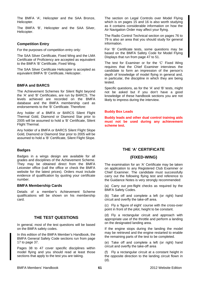The BMFA 'A', Helicopter and the SAA Bronze, Helicopter.

The BMFA 'B', Helicopter and the SAA Silver, Helicopter.

## **Competition Entry**

For the purposes of competition entry only:

The SAA Silver Certificate, Fixed Wing and the LMA Certificate of Proficiency are accepted as equivalent to the BMFA 'B' Certificate, Fixed Wing.

The SAA Silver Certificate Helicopter is accepted as equivalent BMFA 'B' Certificate, Helicopter.

## **BMFA and BARCS**

The Achievement Schemes for Silent flight beyond the 'A' and 'B' Certificates, are run by BARCS. The levels achieved are recorded on the BMFA database and the BMFA membership card as endorsements to the 'B' Certificate. Therefore:

Any holder of a BMFA or BARCS Silent Flight Thermal Gold, Diamond or Diamond Star prior to 2005 will be assumed to hold a 'B' Certificate, Silent Flight Thermal.

Any holder of a BMFA or BARCS Silent Flight Slope Gold, Diamond or Diamond Star prior to 2005 will be assumed to hold a 'B' Certificate, Silent Flight Slope.

## **Badges**

Badges in a wings design are available for all grades and disciplines of the Achievement Scheme. They may be obtained direct from the BMFA Leicester office (call the office or check the BMFA website for the latest prices). Orders must include evidence of qualification by quoting your certificate number.

### **BMFA Membership Cards**

Details of a member's Achievement Scheme qualifications will be shown on his membership card.

# **THE TEST QUESTIONS**

In general, most of the test questions will be based on the BMFA safety codes.

In this edition of the BMFA Member's Handbook, the BMFA General Safety Code sections run from page 17 to page 37.

Pages 38 to 47 cover specific disciplines within model flying and you should read at least those sections that apply to the test you are taking.

The section on Legal Controls over Model Flying which is on pages 15 and 16 is also worth studying as it contains considerable information on how the Air Navigation Order may affect your flying.

The Radio Control Technical section on pages 76 to 79 is also an area that you should study for general information.

For 'B' Certificate tests, some questions may be based on the BMFA Safety Code for Model Flying Displays that run from page 47 to 51.

The test for Examiner or for the 'C' Fixed Wing requires that the Chief Examiner interviews the candidate to form an impression of the person's depth of knowledge of model flying in general and, in particular, the discipline in which they are being tested.

Specific questions, as for the 'A' and 'B' tests, might not be asked but if you don't have a good knowledge of these handbook sections you are not likely to impress during the interview.

### **Buddy Box Leads**

**Buddy leads and other dual control training aids must not be used during any achievement scheme test.** 

# **THE 'A' CERTIFICATE**

# **(FIXED-WING)**

The examination for an 'A' Certificate may be taken on application to any Registered Club Examiner or Chief Examiner. The candidate must successfully carry out the following flying test and reference to the Guidance Notes is very strongly recommended:

(a) Carry out pre-flight checks as required by the BMFA Safety Codes.

(b) Take off and complete a left (or right) hand circuit and overfly the take-off area.

(c) Fly a 'figure of eight' course with the cross-over point in front of the pilot, height to be constant.

(d) Fly a rectangular circuit and approach with appropriate use of the throttle and perform a landing on the designated landing area.

If the engine stops during the landing the model may be retrieved and the engine restarted to enable the remaining parts of the test to be completed.

(e) Take off and complete a left (or right) hand circuit and overfly the take-off area

(f) Fly a rectangular circuit at a constant height in the opposite direction to the landing circuit flown in (d).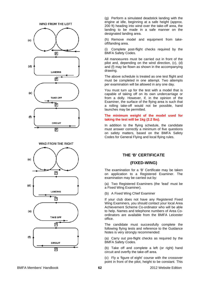





(g) Perform a simulated deadstick landing with the engine at idle, beginning at a safe height (approx. 200 ft) heading into wind over the take-off area, the landing to be made in a safe manner on the designated landing area.

(h) Remove model and equipment from takeoff/landing area.

(i) Complete post-flight checks required by the BMFA Safety Codes.

All manoeuvres must be carried out in front of the pilot and, depending on the wind direction, (c), (d) and (f) may be flown as shown in the accompanying drawing.

The above schedule is treated as one test flight and must be completed in one attempt. Two attempts per examination will be allowed in any one day.

You must turn up for the test with a model that is capable of taking off on its own undercarriage or from a dolly. However, if, in the opinion of the Examiner, the surface of the flying area is such that a rolling take-off would not be possible, hand launches may be permitted.

#### **The minimum weight of the model used for taking the test will be 1kg (2.2 lbs).**

In addition to the flying schedule, the candidate must answer correctly a minimum of five questions on safety matters, based on the BMFA Safety Codes for General Flying and local flying rules.

# **THE 'B' CERTIFICATE**

### **(FIXED-WING)**

The examination for a 'B' Certificate may be taken on application to a Registered Examiner. The examination may be carried out by:

(a) Two Registered Examiners (the 'lead' must be a Fixed Wing Examiner).

(b) A Fixed Wing Chief Examiner

If your club does not have any Registered Fixed Wing Examiners, you should contact your local Area Achievement Scheme Co-ordinator who will be able to help. Names and telephone numbers of Area Coordinators are available from the BMFA Leicester office.

The candidate must successfully complete the following flying tests and reference to the Guidance Notes is very strongly recommended:

(a) Carry out pre-flight checks as required by the BMFA Safety Codes.

(b) Take off and complete a left (or right) hand circuit and overfly the take-off area.

(c) Fly a 'figure of eight' course with the crossover point in front of the pilot, height to be constant. This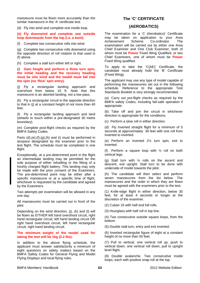manoeuvre must be flown more accurately than the similar manoeuvre in the 'A' certificate test.

(d) Fly into wind and complete one inside loop.

#### **(e) Fly downwind and complete one outside loop downwards from the top (i.e. a bunt).**

(f) Complete two consecutive rolls into wind.

(g) Complete two consecutive rolls downwind using the opposite direction of roll rotation to that used in (f) above.

(h) Complete a stall turn either left or right.

#### (i) **Gain height and perform a three turn spin, the initial heading and the recovery heading must be into wind and the model must fall into the spin (no 'flick' spin entry).**

(j) Fly a rectangular landing approach and overshoot from below 10 ft. Note that this manoeuvre is an aborted landing, not a low pass.

(k) Fly a rectangular circuit in the opposite direction to that in (j) at a constant height of not more than 40 feet.

(l) Fly a rectangular landing approach and land (wheels to touch within a pre-designated 30 metre boundary).

(m) Complete post-flight checks as required by the BMFA Safety Codes.

Parts  $(d),(e),(f),(g),(h)$  and  $(i)$  must be performed in airspace designated by the examiner prior to the test flight. The schedule must be completed in one flight.

Exceptionally, at a pre-determined point in the flight an intermediate landing may be permitted for the sole purpose of either refuelling or the fitting of a freshly charged flight battery. This landing may only be made with the prior consent of the Examiners. The pre-determined point may be either after a specific manoeuvre or at a specific time of flight, whichever is requested by the candidate and agreed by the Examiners.

Two attempts per examination will be allowed in any one day.

All manoeuvres must be carried out in front of the pilot.

Depending on the wind direction, (j), (k) and (l) will be flown as EITHER left hand overshoot circuit, right hand rectangular circuit, left hand landing circuit OR right hand overshoot circuit, left hand rectangular circuit, right hand landing circuit.

#### **The minimum weight of the model used for taking the test will be 1kg (2.2 lbs).**

In addition to the above flying schedule, the applicant must answer satisfactorily a minimum of eight questions on safety matters based on the BMFA Safety Codes for General Flying and Model Flying Displays and local flying rules.

# **The 'C' CERTIFICATE**

### **(AEROBATICS)**

The examination for a 'C (Aerobatics)' Certificate may be taken on application to your Area Achievement Scheme Co-ordinator. The examination will be carried out by either one Area Chief Examiner and One Club Examiner, both of whom must be **Power** Fixed Wing Qualified, or two Chief Examiners, one of whom must be **Power**  Fixed Wing qualified.

To apply to take the 'C(AE)' Certificate, the candidate must already hold the 'B' Certificate (Fixed Wing).

The applicant may use any type of model capable of performing the manoeuvres set out in the following schedule. Reference to the appropriate Test Standards Booklet is very strongly recommended.

(a) Carry out pre-flight checks as required by the BMFA safety Codes, including fail-safe operation if appropriate.

(b) Take off and join the circuit in whichever direction is appropriate for the conditions.

(c) Perform a slow roll in either direction.

(d) Fly Inverted straight flight for a minimum of 5 seconds at approximately 30 feet with one roll from inverted to inverted.

(e) Perform an inverted 2½ turn spin, exit to inverted.

(f) Perform a square loop with ½ roll on both vertical legs.

(g) Stall turn with ¼ rolls on the ascent and descent, exit upright. Stall turn to be done with underside of model towards the pilot.

(h) The candidate will then select and perform seven manoeuvres from the list below. The manoeuvres and the order in which they are flown must be agreed with the examiners prior to the test.

(1) Knife-edge flight in either direction, below 30 feet, for at least 4 seconds or longer at the discretion of the examiner.

(2) Cuban 16 with half and full rolls.

(3) Hourglass with half roll in top line.

(4) Two consecutive outside square loops, from the bottom.

(5) Double stall turn, entry and exit inverted.

(6) Inverted rectangular figure of eight at a constant height of no more than 50 feet.

(7) Pull to vertical, one vertical roll up, push to vertical down, one vertical roll down, pull to upright level flight.

(8) Double avalanche. Two consecutive inside loops, each with positive snap roll at the top.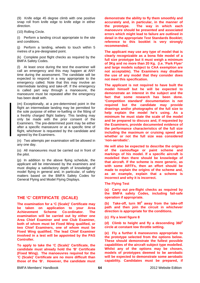(9) Knife edge 45 degree climb with one positive snap roll from knife edge to knife edge in either direction.

(10) Rolling Circle.

(i) Perform a landing circuit appropriate to the site and conditions.

(j) Perform a landing, wheels to touch within 5 metres of a pre-designated point.

(k) Complete post flight checks as required by the BMFA Safety Codes.

(l) At least once during the test the examiner will call an emergency and this may happen at ANY time during the assessment. The candidate will be expected to respond in a way appropriate to the emergency called. Note that this may involve an intermediate landing and take-off. If the emergency is called part way through a manoeuvre, the manoeuvre must be repeated after the emergency has been dealt with.

(m) Exceptionally, at a pre-determined point in the flight an intermediate landing may be permitted for the sole purpose of either re-fuelling or the fitting of a freshly charged flight battery. This landing may only be made with the prior consent of the Examiners. The pre-determined point may be either after a specific manoeuvre or at a specific time of flight, whichever is requested by the candidate and agreed by the Examiners.

(n) Two attempts per examination will be allowed in any one day.

(o) All manoeuvres must be carried out in front of the pilot.

(p) In addition to the above flying schedule, the applicant will be interviewed by the examiners and must display a satisfactory depth of knowledge of model flying in general and, in particular, of safety matters based on the BMFA Safety Codes for General Flying and Model Flying Displays.

# **THE 'C' CERTIFICATE (SCALE)**

**The examination for a 'C (Scale)' Certificate may be taken on application to your Area Achievement Scheme Co-ordinator. The examination will be carried out by either one Area Chief Examiner and one Club Examiner, both of whom must be Fixed Wing qualified, or two Chief Examiners, one of whom must be Fixed Wing qualified. The lead Chief Examiner involved in a test will be appointed by the PAS Controller.** 

**To apply to take the 'C (Scale)' Certificate, the candidate must already hold the 'B' Certificate (Fixed Wing). The manoeuvres required for the 'C (Scale)' Certificate are no more difficult than those of the 'B'. However, the candidate must**  **demonstrate the ability to fly them smoothly and accurately and, in particular, in the manner of the prototype. The way in which each manoeuvre should be presented and associated errors which might lead to failure are outlined in detail in the appropriate Test Standards Booklet; reference to this booklet is very strongly recommended.** 

**The applicant may use any type of model that is clearly recognizable as a bona fide model of a full size prototype but it must weigh a minimum of 3Kg and no more than 20 Kg. (i.e. 'Park Flyer' and large models subject to CAA exemption are not acceptable). The Examiners may disallow the use of any model that they consider does not meet this specification.** 

**The applicant is not required to have built the model himself but he will be expected to demonstrate an interest in the subject and the fact that some research has been done. 'Competition standard' documentation is not required but the candidate may provide drawings and/or photographs of the full size to help explain the model he's using. As a minimum he must state the scale of the model and be prepared to discuss and, if requested by the Examiners, provide documented evidence of the performance characteristics of the full size including the maximum or cruising speed and whether or not the full size was considered 'non-aerobatic'.** 

**He will also be expected to describe the origins of the camouflage or paint scheme and markings of his model. If a specific aircraft is modelled then there should be knowledge of that aircraft. If the scheme is more generic, as with some ARTFs, then an effort should be made to explain the origins of the scheme and, as an example, explain that a scheme is incorrect and why it is incorrect.** 

**The Flying Test** 

**(a) Carry out pre-flight checks as required by the BMFA safety Codes, including fail-safe operation if appropriate.** 

(b) Take-off, turn 90<sup>°</sup> away from the take-off **path and then join the circuit in whichever direction is appropriate for the conditions.** 

**(c) Fly a level figure 8** 

**(d)** Climb to height and fly a descending 360<sup>°</sup> **circle at constant low throttle setting.** 

**(e) Fly a further 6 manoeuvres appropriate to the prototype selected from the options below. These should demonstrate the fullest possible capabilities of the aircraft subject type modelled. Whilst any of the options may be chosen, models of prototypes deemed to be aerobatic will be expected to demonstrate some aerobatic capability. Candidates must be prepared, if**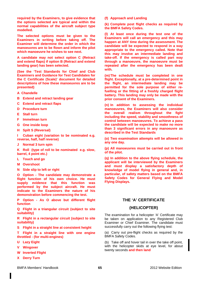**required by the Examiners, to give evidence that the options selected are typical and within the normal capabilities of the aircraft subject type modelled.** 

**The selected options must be given to the Examiners in writing before taking off. The Examiner will determine the order in which the manoeuvres are to be flown and inform the pilot which manoeuvre he wishes to see next.** 

**A candidate may not select option C (Retract and extend flaps) if option B (Retract and extend landing gear) has been selected.** 

**(See the 'Test Standards for Chief and Club Examiners and Guidance for Test Candidates for the C Certificate (Scale)' document for detailed descriptions of how these manoeuvres are to be presented)** 

- **A Chandelle**
- **B Extend and retract landing gear**
- **C Extend and retract flaps**
- **D Procedure turn**
- **E Stall turn**
- **F Immelman turn**
- **G One inside loop**
- **H Spilt S (Reversal)**

**I Cuban eight (variation to be nominated e.g. reverse, half, half reverse)** 

**J Normal 3 turn spin** 

**K Roll (type of roll to be nominated e.g. slow, barrel, 4 point etc.)** 

- **L Touch and go**
- **M Overshoot**
- **N Side slip to left or right**

**O Option - The candidate may demonstrate a flight function of his own choice. He must supply evidence that this function was performed by the subject aircraft. He must indicate to the Examiners the nature of his demonstration before commencing the test.** 

**P Option - As O above but different flight function** 

**Q Flight in a triangular circuit (subject to site suitability)** 

**R Flight in a rectangular circuit (subject to site suitability)** 

**S Flight in a straight line at consistent height** 

**T Flight in a straight line with one engine throttled - (for multi-engines)** 

- **U Lazy Eight**
- **Wingover**
- **W Inverted Flight**
- **X Derry Turn**

**(f) Approach and Landing** 

**(k) Complete post flight checks as required by the BMFA Safety Codes.** 

**(l) At least once during the test one of the Examiners will call an emergency and this may happen at ANY time during the assessment. The candidate will be expected to respond in a way appropriate to the emergency called. Note that this may involve an intermediate landing and take-off. If the emergency is called part way through a manoeuvre, the manoeuvre must be repeated after the emergency has been dealt with.** 

**(m) The schedule must be completed in one flight. Exceptionally, at a pre-determined point in the flight, an intermediate landing may be permitted for the sole purpose of either refuelling or the fitting of a freshly charged flight battery. This landing may only be made with the prior consent of the Examiners.** 

**(n) In addition to assessing the individual manoeuvres, the Examiners will also consider the overall realism throughout the fight including the speed, stability and smoothness of control between manoeuvres. To achieve a pass the candidate will be expected to make no more than 3 significant errors in any manoeuvre as described in the Test Standards** 

**(o) Two examination attempts will be allowed in any one day.** 

**(p) All manoeuvres must be carried out in front of the pilot.** 

**(q) In addition to the above flying schedule, the applicant will be interviewed by the Examiners and must display a satisfactory depth of knowledge of model flying in general and, in particular, of safety matters based on the BMFA Safety Codes for General Flying and Model Flying Displays.** 

### **THE 'A' CERTIFICATE**

### **(HELICOPTER)**

The examination for a helicopter 'A' Certificate may be taken on application to any Registered Club Examiner or Chief Examiner. The candidate must successfully carry out the following flying test:

(a) Carry out pre-flight checks as required by the BMFA Safety Codes.

(b) Take off and hover tail in over the take off point, with the helicopter skids at eye level, for about twenty seconds **and then land**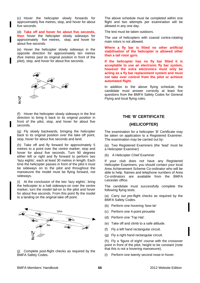(c) Hover the helicopter slowly forwards for approximately five metres, stop, and hover for about five seconds.

(d) **Take off and hover for about five seconds, then** hover the helicopter slowly sideways for approximately five metres, stop, and hover for about five seconds.

(e) Hover the helicopter slowly sideways in the opposite direction for approximately ten metres (five metres past its original position in front of the pilot), stop, and hover for about five seconds.



(f) Hover the helicopter slowly sideways in the first direction to bring it back to its original position in front of the pilot, stop, and hover for about five seconds.

(g) Fly slowly backwards, bringing the helicopter back to its original position over the take off point, stop, hover for about five seconds and land.

(h) Take off and fly forward for approximately 5 metres to a point over the centre marker, stop and hover for about five seconds. Turn 90 degrees either left or right and fly forward to perform two 'lazy eights', each at least 30 metres in length. Each time the helicopter passes in front of the pilot it must be sideways on to the pilot and throughout the manoeuvre the model must be flying forward, not sideways.

(i) At the conclusion of the two 'lazy eights', bring the helicopter to a halt sideways-on over the centre marker, turn the model tail-on to the pilot and hover for about five seconds. From this point fly the model to a landing on the original take off point.



(j) Complete post-flight checks as required by the BMFA Safety Codes.

The above schedule must be completed within one flight and two attempts per examination will be allowed in any one day.

The test must be taken outdoors.

The use of helicopters with coaxial contra-rotating main rotors is not allowed.

**Where a fly bar is fitted no other artificial stabilisation of the helicopter is allowed other than a tail rotor gyro.** 

**If the helicopter has no fly bar fitted it is acceptable to use an electronic fly bar system, however the extra electronics must only be acting as a fly bar replacement system and must not take over control from the pilot or achieve automated flight.**

In addition to the above flying schedule, the candidate must answer correctly at least five questions from the BMFA Safety Codes for General Flying and local flying rules.

## **THE 'B' CERTIFICATE**

### **(HELICOPTER)**

The examination for a helicopter 'B' Certificate may be taken on application to a Registered Examiner. The examination may be carried out by:

(a) Two Registered Examiners (the 'lead' must be a Helicopter Examiner)

(b) A Helicopter Chief Examiner

If your club does not have any Registered Helicopter Examiners, you should contact your local Area Achievement Scheme Co-ordinator who will be able to help. Names and telephone numbers of Area Co-ordinators are available from the BMFA Leicester office.

The candidate must successfully complete the following flying tests.

(a) Carry out pre-flight checks as required by the BMFA Safety Codes.

- (b) Perform one hovering 'bow tie'
- (c) Perform one 4-point pirouette
- (d) Perform one 'Top Hat'.
- (e) Take off and climb to a safe altitude.
- (f) Fly a left hand rectangular circuit.
- (g) Fly a right hand rectangular circuit.

(h) Fly a 'figure of eight' course with the crossover point in front of the pilot, height to be constant (note that this is not a hovering manoeuvre).

(i) Perform one twenty second nose-in hover.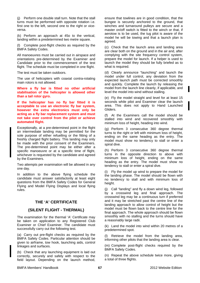(j) Perform one double stall turn. Note that the stall turns must be performed with opposite rotation i.e. first one to the left, second one to the right or viceversa.

(k) Perform an approach at 45o to the vertical, landing within a predetermined two metre square.

(l) Complete post-flight checks as required by the BMFA Safety Codes.

All manoeuvres must be carried out in airspace and orientations pre-determined by the Examiner and Candidate prior to the commencement of the test flight. The schedule must be completed in one flight.

The test must be taken outdoors.

The use of helicopters with coaxial contra-rotating main rotors is not allowed.

**Where a fly bar is fitted no other artificial stabilisation of the helicopter is allowed other than a tail rotor gyro.** 

**If the helicopter has no fly bar fitted it is acceptable to use an electronic fly bar system, however the extra electronics must only be acting as a fly bar replacement system and must not take over control from the pilot or achieve automated flight.** 

Exceptionally, at a pre-determined point in the flight an intermediate landing may be permitted for the sole purpose of either refuelling or the fitting of a freshly charged flight battery. This landing may only be made with the prior consent of the Examiners. The pre-determined point may be either after a specific manoeuvre or at a specific time of flight, whichever is requested by the candidate and agreed by the Examiners.

Two attempts per examination will be allowed in any one day.

In addition to the above flying schedule the candidate must answer satisfactorily at least eight questions from the BMFA Safety Codes for General Flying and Model Flying Displays and local flying rules.

## **THE 'A' CERTIFICATE**

### **(SILENT FLIGHT - THERMAL)**

The examination for the thermal 'A' Certificate may be taken on application to any Registered Club Examiner or Chief Examiner. The candidate must successfully carry out the following test.

(a) Carry out pre-flight checks as required by the BMFA Safety Codes. Particular attention should be given to airframe, tow hook, launching aids, control linkages and surfaces.

(b) Check that any launching equipment is laid out correctly, securely and safely with respect to the field layout. Depending on the launch method, ensure that towlines are in good condition, that the bungee is securely anchored to the ground, that winches and turnaround pulleys are secure and a master on/off switch is fitted to the winch or that, if aerotow is to be used, the tug pilot is aware of the model he will be towing and that a launch plan is agreed.

(c) Check that the launch area and landing area are clear both on the ground and in the air and, after complying with the site frequency control system, prepare the model for launch. If a helper is used to launch the model they should be fully briefed as to what is required.

(d) Clearly announce "launching" and launch the model under full control, any deviation from the expected launch path must be corrected smoothly and quickly. Complete the launch by releasing the model from the launch line cleanly, if applicable, and level the model into wind without stalling.

(e) Fly the model straight and level for at least 15 seconds while pilot and Examiner clear the launch area. This does not apply to Hand Launched Gliders.

(f) At the Examiners call the model should be stalled into wind and recovered smoothly with minimum loss of height, heading into wind.

(g) Perform 3 consecutive 360 degree thermal turns to the right or left with minimum loss of height, ending on the same heading as the entry. The model must show no tendency to stall or enter a spiral dive.

(h) Perform 3 consecutive 360 degree thermal turns in the opposite direction to above with minimum loss of height, ending on the same heading as the entry. The model must show no tendency to stall or enter a spiral dive.

(i) Fly the model up wind to prepare the model for the landing phase. The model should be flown with no tendency to stall and with minimum loss of height.

(j) Call "landing" and fly a down wind leg, followed by a crosswind leg and final approach. The crosswind leg may be a continuous turn if preferred and it may be stretched past the centre line of the landing approach to allow control of height but the model must be flown back to the centre line for the final approach. The whole approach should be flown smoothly with no stalling and the turns should have a reasonably large radii.

(k) Land the model into wind within 20 metres of a predetermined spot.

(l) Retrieve the model from the landing area, informing other pilots that the landing area is clear.

(m) Complete post-flight checks required by the BMFA Safety Codes.

(n) Repeat the above schedule twice more, giving a total of three flights.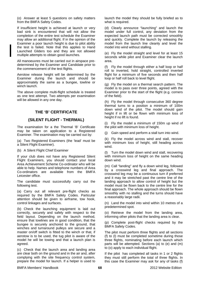(o) Answer at least 5 questions on safety matters from the BMFA Safety Codes.

If insufficient height is achieved at launch or very bad sink is encountered that will not allow the completion of the entire test schedule the Examiner may allow an additional flight. If in the opinion of the Examiner a poor launch height is due to pilot ability the test is failed. Note that this applies to Hand Launched Gliders too and they are not allowed multiple attempts to obtain good launches.

All manoeuvres must be carried out in airspace predetermined by the Examiner and Candidate prior to the commencement of the test flights.

Aerotow release height will be determined by the Examiner during the launch and should be approximately the same as a bungee, towline or winch launch.

The above complete multi-flight schedule is treated as one test attempt. Two attempts per examination will be allowed in any one day.

# **THE 'B' CERTIFICATE**

# **(SILENT FLIGHT - THERMAL)**

The examination for a the Thermal 'B' Certificate may be taken on application to a Registered Examiner. The examination may be carried out by:

(a) Two Registered Examiners (the 'lead' must be a Silent Flight Examiner).

(b) A Silent Flight Chief Examiner

If your club does not have any Registered Silent Flight Examiners, you should contact your local Area Achievement Scheme Co-ordinator who will be able to help. Names and telephone numbers of Area Co-ordinators are available from the BMFA Leicester office.

The candidate must successfully carry out the following test.

(a) Carry out all relevant pre-flight checks as required by the BMFA Safety Codes. Particular attention should be given to airframe, tow hook, control linkages and surfaces.

(b) Check the launching equipment is laid out correctly, securely and safely with respect to the field layout. Depending on the launch method, ensure that towlines are in good condition, that the bungee is securely anchored to the ground, that winches and turnaround pulleys are secure and a master on/off switch is fitted to the winch or that, if aerotow is to be used, the tug pilot is aware of the model he will be towing and that a launch plan is agreed.

(c) Check that the launch area and landing area are clear both on the ground and in the air and, after complying with the site frequency control system, prepare the model for launch. If a helper is used to launch the model they should be fully briefed as to what is required.

(d) Clearly announce "launching" and launch the model under full control, any deviation from the expected launch path must be corrected smoothly and quickly. Complete the launch by releasing the model from the launch line cleanly and level the model into wind without stalling.

(e) Fly the model straight and level for at least 15 seconds while pilot and Examiner clear the launch area.

(f) Fly the model through either a half loop or half roll to inverted, hold straight, controlled inverted flight for a minimum of five seconds and then half loop or half roll back to level flight.

(g) Fly the model on a thermal search pattern. The model is to pass over three points, agreed with the Examiner prior to the start of the flight (e.g. corners of the field).

(h) Fly the model through consecutive 360 degree thermal turns to a position a minimum of 100m down wind of the pilot. The model should gain height if in lift or be flown with minimum loss of height if no lift is found.

(i) Fly the model a minimum of 150m up wind of the pilot with minimum loss of height.

(j) Gain speed and perform a stall turn into wind.

(k) Fly the model across wind and stall, recover with minimum loss of height, still heading across wind.

(l) Turn the model down wind and stall, recovering with minimum loss of height on the same heading down wind.

(m) Call "landing" and fly a down wind leg, followed by a crosswind leg and final approach. The crosswind leg may be a continuous turn if preferred and it may be stretched past the centre line of the landing approach to allow control of height but the model must be flown back to the centre line for the final approach. The whole approach should be flown smoothly with no stalling and the turns should have a reasonably large radii.

(n) Land the model into wind within 10 metres of a predetermined spot.

(o) Retrieve the model from the landing area, informing other pilots that the landing area is clear.

(p) Complete post-flight checks required by the BMFA Safety Codes.

The pilot must perform three flights and all sections (f) to (l) must be completed sometime during those three flights, nominating before each launch which parts will be attempted. Sections (a) to (e) and (m) to (o) apply to each individual flight.

If the pilot has completed all tasks in 1 or 2 flights they must still perform the total of three flights. In this case the Examiner may ask for any of tasks (f)

BMFA Members' Handbook 2012 Website Edition **68**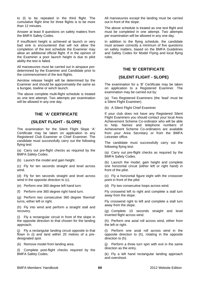to (l) to be repeated in the third flight. The cumulative flight time for three flights is to be more than 12 minutes.

Answer at least 8 questions on safety matters from the BMFA Safety Codes.

If insufficient height is achieved at launch or very bad sink is encountered that will not allow the completion of the test schedule the Examiner may allow an additional official flight. If in the opinion of the Examiner a poor launch height is due to pilot ability the test is failed.

All manoeuvres must be carried out in airspace predetermined by the Examiner and Candidate prior to the commencement of the test flights.

Aerotow release height will be determined by the Examiner and should be approximately the same as a bungee, towline or winch launch.

The above complete multi-flight schedule is treated as one test attempt. Two attempts per examination will be allowed in any one day.

# **THE 'A' CERTIFICATE**

## **(SILENT FLIGHT - SLOPE)**

The examination for the Silent Flight Slope 'A' Certificate may be taken on application to any Registered Club Examiner or Chief Examiner. The candidate must successfully carry out the following flying test:

(a) Carry out pre-flight checks as required by the BMFA Safety Codes.

(b) Launch the model and gain height.

(c) Fly for ten seconds straight and level across wind.

(d) Fly for ten seconds straight and level across wind in the opposite direction to (c).

(e) Perform one 360 degree left hand turn.

(f) Perform one 360 degree right hand turn.

(g) Perform two consecutive 360 degree 'thermal' turns, either left or right.

(h) Fly into wind and perform a straight stall and recovery.

(i) Fly a rectangular circuit in front of the slope in the opposite direction to that chosen for the landing approach.

(j) Fly a rectangular landing circuit opposite to that flown in (i) and land within 20 metres of a predesignated spot.

(k) Remove model from landing area.

(l) Complete post-flight checks required by the BMFA Safety Codes.

All manoeuvres except the landing must be carried out in front of the slope.

The above schedule is treated as one test flight and must be completed in one attempt. Two attempts per examination will be allowed in any one day.

In addition to the flying schedule, the candidate must answer correctly a minimum of five questions on safety matters, based on the BMFA Guidelines and Safety Codes for Model Flying and local flying rules.

### **THE 'B' CERTIFICATE**

## **(SILENT FLIGHT - SLOPE)**

The examination for a 'B' Certificate may be taken on application to a Registered Examiner. The examination may be carried out by:

(a) Two Registered Examiners (the 'lead' must be a Silent Flight Examiner).

(b) A Silent Flight Chief Examiner

If your club does not have any Registered Silent Flight Examiners you should contact your local Area Achievement Scheme Co-ordinator who will be able to help. Names and telephone numbers of Achievement Scheme Co-ordinators are available from your Area Secretary or from the BMFA Leicester office.

The candidate must successfully carry out the following flying test:

(a) Carry out pre-flight checks as required by the BMFA Safety Codes.

(b) Launch the model, gain height and complete one horizontal circuit (either left or right hand) in front of the pilot.

(c) Fly a horizontal figure eight with the crossover point in front of the pilot

(d) Fly two consecutive loops across wind.

Fly crosswind left to right and complete a stall turn away from the slope.

Fly crosswind right to left and complete a stall turn away from the slope.

(g) Complete 10 seconds straight and level inverted flight across wind.

(h) Perform one axial roll across wind, either from the left or right.

(i) Perform one axial roll across wind in the opposite direction to (h), rotating in the opposite direction to (h).

(j) Perform a three turn spin with exit in the same direction as the entry.

(k) Fly a left hand rectangular landing approach and overshoot.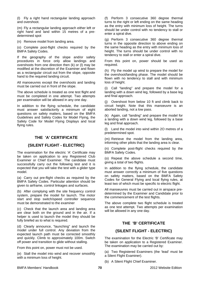(l) Fly a right hand rectangular landing approach and overshoot.

(m) Fly a rectangular landing approach either left or right hand and land within 15 metres of a predetermined spot

(n) Remove model from landing area.

(o) Complete post-flight checks required by the BMFA Safety Codes.

If the geography of the slope and/or safety procedures in force only allow landings and overshoots from one direction then (k) or (l) may be modified at the discretion of the Examiner and flown as a rectangular circuit out from the slope, opposite hand to the required landing circuit.

All manoeuvres except the overshoots and landing must be carried out in front of the slope.

The above schedule is treated as one test flight and must be completed in one attempt. Two attempts per examination will be allowed in any one day.

In addition to the flying schedule, the candidate must answer satisfactorily a minimum of eight questions on safety matters, based on the BMFA Guidelines and Safety Codes for Model Flying, the Safety Code for Model Flying Displays and local flying rules.

# **THE 'A' CERTIFICATE**

# **(SILENT FLIGHT - ELECTRIC)**

The examination for the electric 'A' Certificate may be taken on application to any Registered Club Examiner or Chief Examiner. The candidate must successfully carry out the following test and it is expected that you will take the test with a glider type model.

(a) Carry out pre-flight checks as required by the BMFA Safety Codes. Particular attention should be given to airframe, control linkages and surfaces.

(b) After complying with the site frequency control system, prepare the model for launch. The motor start and stop switch/speed controller sequence must be demonstrated to the examiner

(c) Check that the launch area and landing area are clear both on the ground and in the air. If a helper is used to launch the model they should be fully briefed as to what is required.

(d) Clearly announce, "launching" and launch the model under full control. Any deviation from the expected launch path must be corrected smoothly and quickly. Climb to approximately 100m. Switch off power and transition to glide without stalling.

From this point on, power must not be used.

(e) Stall the model into wind and recover smoothly with a minimum loss of height.

(f) Perform 3 consecutive 360 degree thermal turns to the right or left ending on the same heading as the entry with minimum loss of height. The turns should be under control with no tendency to stall or enter a spiral dive.

(g) Perform 3 consecutive 360 degree thermal turns in the opposite direction to above ending on the same heading as the entry with minimum loss of height. The turns should be under control with no tendency to stall or enter a spiral dive.

From this point on, power should be used as required.

(h) Fly the model up wind to prepare the model for the overshoot/landing phase. The model should be flown with no tendency to stall and with minimum loss of height.

(i) Call "landing" and prepare the model for a landing with a down wind leg, followed by a base leg and final approach.

(j) Overshoot from below 10 ft and climb back to circuit height. Note that this manoeuvre is an aborted landing, not a low pass.

(k) Again, call "landing" and prepare the model for a landing with a down wind leg, followed by a base leg and final approach.

(l) Land the model into wind within 2O metres of a predetermined spot.

(m) Retrieve the model from the landing area, informing other pilots that the landing area is clear.

(n) Complete post-flight checks required by the BMFA Safety Codes.

(o) Repeat the above schedule a second time, giving a total of two flights.

In addition to the flying schedule, the candidate must answer correctly a minimum of five questions on safety matters, based on the BMFA Safety Codes for General Flying and local flying rules, at least two of which must be specific to electric flight.

All manoeuvres must be carried out in airspace predetermined by the Examiner and Candidate prior to the commencement of the test flights.

The above complete two flight schedule is treated as one test attempt. Two attempts per examination will be allowed in any one day.

# **THE 'B' CERTIFICATE**

# **(SILENT FLIGHT - ELECTRIC)**

The examination for the Electric 'B' Certificate may be taken on application to a Registered Examiner. The examination may be carried out by:

(a) Two Registered Examiners (the 'lead' must be a Silent Flight Examiner).

(b) A Silent Flight Chief Examiner.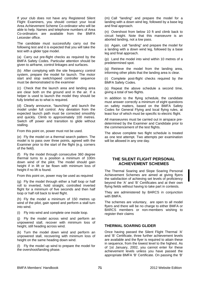If your club does not have any Registered Silent Flight Examiners, you should contact your local Area Achievement Scheme Co-ordinator who will be able to help. Names and telephone numbers of Area Co-ordinators are available from the BMFA Leicester office.

The candidate must successfully carry out the following test and it is expected that you will take the test with a glider type model.

(a) Carry out pre-flight checks as required by the BMFA Safety Codes. Particular attention should be given to airframe, control linkages and surfaces.

(b) After complying with the site frequency control system, prepare the model for launch. The motor start and stop switch/speed controller sequence must be demonstrated to the examiner

(c) Check that the launch area and landing area are clear both on the ground and in the air. If a helper is used to launch the model they should be fully briefed as to what is required.

(d) Clearly announce, "launching" and launch the model under full control. Any deviation from the expected launch path must be corrected smoothly and quickly. Climb to approximately 100 metres. Switch off power and transition to glide without stalling.

From this point on, power must not be used.

(e) Fly the model on a thermal search pattern. The model is to pass over three points, agreed with the Examiner prior to the start of the flight (e.g. corners of the field).

(f) Fly the model through consecutive 360 degree thermal turns to a position a minimum of 100m down wind of the pilot. The model should gain height if in lift or be flown with minimum loss of height if no lift is found.

From this point on, power may be used as required

(g) Fly the model through either a half loop or half roll to inverted, hold straight, controlled inverted flight for a minimum of five seconds and then half loop or half roll back to level flight.

(h) Fly the model a minimum of 150 metres up wind of the pilot, gain speed and perform a stall turn into wind.

(i) Fly into wind and complete one inside loop.

(j) Fly the model across wind and perform an unpowered stall, recover with minimum loss of height, still heading across wind.

(k) Turn the model down wind and perform an unpowered stall, recovering with minimum loss of height on the same heading down wind.

(l) Fly the model up wind to prepare the model for the overshoot/landing phase.

(m) Call "landing" and prepare the model for a landing with a down wind leg, followed by a base leg and final approach.

(n) Overshoot from below 10 ft and climb back to circuit height. Note that this manoeuvre is an aborted landing, not a low pass.

(o) Again, call "landing" and prepare the model for a landing with a down wind leg, followed by a base leg and final approach.

(p) Land the model into wind within 10 metres of a predetermined spot.

(q) Retrieve the model from the landing area, informing other pilots that the landing area is clear.

(r) Complete post-flight checks required by the BMFA Safety Codes.

(s) Repeat the above schedule a second time, giving a total of two flights.

In addition to the flying schedule, the candidate must answer correctly a minimum of eight questions on safety matters, based on the BMFA Safety Codes for General Flying and local flying rules, at least four of which must be specific to electric flight.

All manoeuvres must be carried out in airspace predetermined by the Examiner and Candidate prior to the commencement of the test flights.

The above complete two flight schedule is treated as one test attempt. Two attempts per examination will be allowed in any one day.

## **THE SILENT FLIGHT PERSONAL ACHIEVEMENT SCHEMES**

The Thermal Soaring and Slope Soaring Personal Achievement Schemes are aimed at giving flyers the satisfaction of achieving set levels of proficiency beyond the 'A' and 'B' Certificates and at their own flying fields without having to take part in contests.

They are administered by BARCS in conjunction with BMFA.

The schemes are voluntary, are open to all model flyers and there will be no charge to either BMFA or BARCS members or non-members wishing to register their claims

### **THERMAL SOARING GLIDER**

Once having passed the Silent Flight Thermal 'A' and 'B' Certificate, three further achievement levels are available and the flyer is required to attain these in sequence, from the lowest level to the highest. As of 1st January, 2002, you cannot enter for these achievement levels unless you have passed the appropriate BMFA 'B' Certificate. On passing the 'B'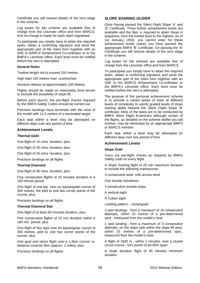Certificate you will receive details of the next stage in the scheme.

Log books for the scheme are available free of charge from the Leicester office and from BARCS. And no charge is made for each claim registered.

To participate you simply have to attain the required tasks, obtain a confirming signature and send the appropriate part of the claim form together with an SAE to BARCS Achievement Co-ordinator or to the BMFA's Leicester office. Each level must be notified before the next is attempted.

#### **General Rules**

Towline length not to exceed 150 metres.

High-start 150 metres max. unstretched.

Aerotow release at approximately 150 Metres.

Flights should be made on reasonably level terrain to exclude the possibility of slope lift.

Before each launch, the pre-flight checks required by the BMFA Safety Codes should be carried out.

Precision landings must terminate with the nose of the model with 12.5 metres of a nominated target.

Each task within a level may be attempted on different days over any period of time.

#### **Achievement Levels**

#### **Thermal Gold**

One flight of 15 mins. duration, plus

One flight of 20 mins. duration, plus

One flight of 25 mins. duration, plus

Precision landings on all flights

#### **Thermal Diamond**

One flight of 45 mins. duration, plus

Five consecutive flights of 10 minutes duration in a 150 minute period

One flight of one lap over an equiangular course of 300 metres, the pilot to visit two corner points of the course, plus

Precision landings on all flights

#### **Thermal Diamond Star**

One flight of at least 60 minutes duration, plus

Five consecutive flights of 15 min duration within a 180 min period, plus

One flight of four laps over an equiangular course of 300 metres, pilot to visit two corner points of the course, plus

One goal and return flight over a 1.5km course i.e. distance covered 3km (approx. 2 miles), plus

Precision landings on all flights

## **SLOPE SOARING GLIDER**

Once having passed the Silent Flight Slope 'A' and 'B' Certificate, Three further achievement levels are available and the flyer is required to attain these in sequence, from the lowest level to the highest. As of 1st January, 2002, you cannot enter for these achievement levels unless you have passed the appropriate BMFA 'B' Certificate. On passing the 'B' Certificate you will receive details of the next stage in the scheme.

Log books for the scheme are available free of charge from the Leicester office and from BARCS.

To participate you simply have to attain the required tasks, obtain a confirming signature and send the appropriate part of the claim form together with an SAE to the BARCS Achievement Co-ordinator or the BMFA's Leicester office. Each level must be notified before the next is attempted.

The purpose of this personal achievement scheme is to provide a varied series of tests at different levels of complexity to satisfy graded levels of slope soaring ability beyond the Silent Flight Slope 'B' certificate. Most of the tasks are to be conducted by BMFA Silent Flight Examiners although certain of the flights, as detailed on the scheme leaflet you will receive, may be witnessed by an appropriate BMFA or BARCS member.

Each task within a level may be attempted on different days over any period of time.

#### **Achievement Levels**

#### **Slope Gold**

Carry out pre-flight checks as required by BMFA Safety code on every flight

A Slope Soaring flight of 20 min maximum duration to include the following manoeuvres

3 consecutive axial rolls across wind

One double Immelman

3 consecutive outside loops

A vertical eight

A Cuban eight

Landing pattern – rectangular

3 spot landings , from a maximum of 10 consecutive attempts, within 15 metres of a pre-determined spot., measured from the model's nose

1 spot landing , from a maximum of 3 consecutive attempts, on the slope side within the slope lift area, within 20 metres of a pre-determined spot., measured from the model's nose

A flight of 1600 m , within 2 minutes, over a closed circuit course - turn points to be 80m apart

A slope duration flight of 45 minutes minimum duration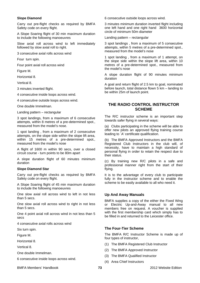## **Slope Diamond**

Carry out pre-flight checks as required by BMFA Safety code on every flight.

A Slope Soaring flight of 30 min maximum duration to include the following manoeuvres

Slow axial roll across wind to left immediately followed by slow axial roll to right.

3 consecutive axial rolls across wind

Four turn spin.

Four point axial roll across wind

Figure M.

Horizontal 8.

Vertical 8.

3 minutes inverted flight.

4 consecutive inside loops across wind.

4 consecutive outside loops across wind.

One double Immelman.

Landing pattern – rectangular

3 spot landings, from a maximum of 6 consecutive attempts, within 8 metres of a pre-determined spot., measured from the model's nose.

1 spot landing , from a maximum of 2 consecutive attempts, on the slope side within the slope lift area, within 15 metres of a pre-determined spot., measured from the model's nose

A flight of 1600 m within 90 secs, over a closed circuit course - turn points to be 80m apart

A slope duration flight of 60 minutes minimum duration

#### **Slope Diamond Star**

Carry out pre-flight checks as required by BMFA Safety code on every flight.

A Slope Soaring flight of 45 min maximum duration to include the following manoeuvres

One slow axial roll across wind to left in not less than 5 secs.

One slow axial roll across wind to right in not less than 5 secs.

One 4 point axial roll across wind in not less than 5 secs

4 consecutive axial rolls across wind

Six turn spin.

Figure M.

Horizontal 8.

Vertical 8.

One double Immelman.

6 consecutive inside loops across wind.

BMFA Members' Handbook 2012 Website Edition **73**

6 consecutive outside loops across wind.

3 minutes minimum duration inverted flight including one left hand and one right hand 3600 horizontal circle of minimum 50m diameter

Landing pattern – rectangular

3 spot landings , from a maximum of 5 consecutive attempts, within 5 metres of a pre-determined spot., measured from the model's nose

1 spot landing , from a maximum of 1 attempt, on the slope side within the slope lift area, within 10 metres of a pre-determined spot., measured from the model's nose

A slope duration flight of 90 minutes minimum duration

A goal and return flight of 2.5 km to goal, nominated before launch, total distance flown 5 km – landing to be within 25m of launch point.

# **THE RADIO CONTROL INSTRUCTOR SCHEME**

The R/C instructor scheme is an important step towards safer flying in several ways:

(a) Clubs participating in the scheme will be able to offer new pilots an approved flying training course leading to `A' certificate qualification.

(b) The BMFA Approved Instructors and the BMFA Registered Club Instructors in the club will, of necessity, have to maintain a high standard of personal flying in order to retain the respect due to their status.

(c) By training new R/C pilots in a safe and professional manner right from the start of their flying.

It is to the advantage of every club to participate fully in the instructor scheme and to enable the scheme to be easily available to all who need it.

#### **Up And Away Manuals**

BMFA supplies a copy of the either the Fixed Wing or Electric Up-and-Away manual to all new members free on request. A voucher is supplied with the first membership card which simply has to be filled in and returned to the Leicester office.

## **The Four-Tier Scheme**

The BMFA R/C Instructor Scheme is made up of four types of instructor,

- (1) The BMFA Registered Club Instructor
- (2) The BMFA Approved Instructor
- (3) The BMFA Qualified Instructor
- (4) Area Chief Instructors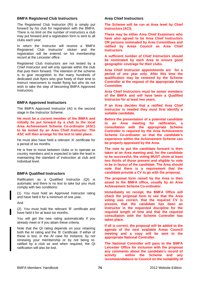## **BMFA Registered Club Instructors**

The Registered Club Instructor (RI) is simply put forward by his club for registration with the BMFA. There is no limit on the number of instructors a club may put forward and a registration form is sent to all clubs each year.

In return the instructor will receive a 'BMFA Registered Club Instructor' sticker and the registration will be entered on his membership record at the Leicester office.

Registered Club Instructors are not tested by a Chief Instructor and will only operate within the club that puts them forward. The intention of the scheme is to give recognition to the many hundreds of dedicated club flyers who give freely of their time to instruct newcomers to model flying but who do not wish to take the step of becoming BMFA Approved Instructors.

## **BMFA Approved Instructors**

The BMFA Approved Instructor (AI) is the second stage in the Instructor Scheme.

**He must be a current member of the BMFA and initially be put forward by a club to the local Area Achievement Scheme Co-ordinator (ASC) to be tested by an Area Chief Instructor. The ASC will then arrange for the test to take place.** 

He must also have held a relevant 'A' certificate for a period of six months.

He is free to move between clubs or to operate as country members and is expected to take the lead in maintaining the standard of instruction at club and individual level.

## **BMFA Qualified Instructors**

Ratification as a Qualified Instructor (QI) is automatic and there is no test to take but you must comply with two conditions:

(1) You must hold an Approved Instructor rating and have held it for a minimum of one year,

And

(2) You must hold the relevant 'B' certificate and have held it for at least six months.

You will get the new rating automatically if you already meet or if you attain these criteria.

Note that the QI rating depends on your retaining both the AI rating and the 'B' Certificate. If either of these is lost, in the AI case for instance, by not renewing your membership or by not being reratified by a club as and when required, the QI ratification will also be lost.

## **Area Chief Instructors**

**The Scheme will be run at Area level by Chief Instructors (ACI).** 

**These may be either Area Chief Examiners who have also agreed to be Area Chief Instructors OR persons nominated by Area Committees and ratified by Areas Council as Area Chief Instructors.** 

**A sufficient number of Chief Instructors should be nominated by each Area to ensure good geographic coverage for their clubs.** 

**Area Chief Instructor appointments are for a period of one year only. After this time the qualification may be renewed by the Scheme Controller at the request of the appropriate Area Committee** 

**Area Chief Instructors must be senior members of the BMFA and will have been a Qualified Instructor for at least two years.** 

**If an Area decides that a ratified Area Chief Instructor is needed they must first identify a suitable candidate.** 

**Before the presentation of a potential candidate to an Area meeting for ratification, a consultation with the appropriate Scheme Controller is required by the Area Achievement Scheme Co-ordinator so that the candidate's experience within the Achievement Scheme can be properly appraised by the Area.** 

**The vote to put the candidate forward is then taken at an Area meeting and, for the candidate to be successful, the voting MUST show at least two thirds of those present and eligible to vote to be in favour of the candidate. The Area should note that there is a requirement that the candidate provide a CV to go with the proposal.** 

**The proposal form raised by the Area is then assed to the BMFA office, usually by an Area Achievement Scheme Co-ordinator.** 

**Immediately on receipt, the BMFA Office will check the proposal form to see that the Area voting was correct, that the required CV is present, that the candidate has been an Instructor in the requested discipline for the required length of time and that the required consultation with the Scheme Controller has taken place.** 

**If all is correct, the proposal will be added to the agenda of the next available Areas Council meeting and a copy will be sent to the appropriate National Controller.** 

**The National Controller will pass to the BMFA Leicester Office for inclusion with the proposal any comments about the candidate's record of activity within the Scheme and any recommendations to Council on the suitability of**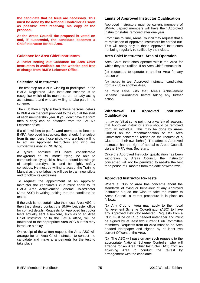**the candidate that he feels are necessary. This must be done by the National Controller as soon as possible after receiving his copy of the proposal.** 

**At the Areas Council the proposal is voted on and, if successful, the candidate becomes a Chief Instructor for his Area.** 

## **Guidance for Area Chief Instructors**

**A leaflet setting out Guidance for Area Chief Instructors is available on the website and free of charge from BMFA Leicester Office.** 

## **Selection of Instructors**

The first step for a club wishing to participate in the BMFA Registered Club Instructor scheme is to recognise which of its members are already acting as instructors and who are willing to take part in the scheme.

The club then simply submits those persons' details to BMFA on the form provided to the club at the start of each membership year. If you don't have the form then a copy can be obtained from the BMFA's Leicester office.

If a club wishes to put forward members to become BMFA Approved Instructors, they should first select from its members those pilots who are both willing to act as Approved Instructors and who are sufficiently skilled in R/C flying.

A typical nominee will have considerable background of R/C model flying, be able to communicate flying skills, have a sound knowledge of simple aerodynamics and be highly safety conscious. He must be willing to accept the Training Manual as the syllabus he will use to train new pilots and to follow its guidelines.

To request the appointment of an Approved Instructor the candidate's club must apply to its BMFA Area Achievement Scheme Co-ordinator (Area ASC) in writing, asking that the candidate be tested.

If the club is not certain who their local Area ASC is then they should contact the BMFA Leicester office for contact details. Requests for Approved Instructor tests actually sent elsewhere, such as to an Area Chief Instructor or to the BMFA office, will be forwarded to the appropriate Area ASC but this may introduce a delay.

On receipt of the written request, the Area ASC will arrange for an Area Chief Instructor to contact the candidate and make arrangements for the test to take place.

## **Limits of Approved Instructor Qualification**

Approved Instructors must be current members of BMFA. Lapsed members will have their Approved Instructor status removed after one year.

From time to time, Areas Council may request that a re-ratification of Approved Instructors be carried out. This will apply only to those Approved Instructors not being regularly re-ratified by their clubs.

## **Area Chief Instructors' Area of Operation**

Area Chief Instructors operate within the Area for which they are ratified. If an Area Chief Instructor is

(a) requested to operate in another Area for any reason or

(b) asked to test Approved Instructor candidates from a club in another Area,

he must liaise with that Area's Achievement Scheme Co-ordinator before taking any further action.

## **Withdrawal Of Approved Instructor Qualification**

It may be felt at some point, for a variety of reasons, that Approved Instructor status should be removed from an individual. This may be done by Areas Council on the recommendation of the Area Committee concerned (either on the request of a Club or on their own behalf). The affected Approved Instructor has the right of appeal to Areas Council, via the BMFA Hon. Secretary.

Once the Approved Instructor qualification has been withdrawn by Areas Council, the Instructor concerned will not be permitted to re-take the test for a period of 6 months from the date of withdrawal.

## **Approved Instructor Re-Tests**

Where a Club or Area has concerns about the standards of flying or behaviour of any Approved Instructor but do not wish to take the matter to Areas Council, a re-test procedure is in place as follows:

(1) Any Club or Area may apply to their local Achievement Scheme Co-ordinator (ASC) to have any Approved Instructor re-tested. Requests from a Club must be on Club headed notepaper and must be signed by at least two current Club Committee members. Requests from an Area must be on Area headed Notepaper and signed by at least two current Officers of the Area.

(2) The ASC will pass on any such requests to the appropriate National Scheme Controller who will arrange for an Area Chief Instructor (ACI) from an adjoining Area to conduct the re-test by arrangement with the candidate.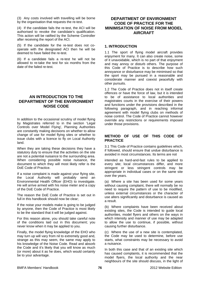(3) Any costs involved with travelling will be borne by the organisation that requests the re-test.

(4) If the candidate fails the re-test, the ACI will be authorised to revoke the candidate's qualification. This action will be ratified by the Scheme Controller after receiving the report of the ACI.

(5) If the candidate for the re-test does not cooperate with the designated ACI then he will be deemed to have failed the re-test.

(6) If a candidate fails a re-test he will not be allowed to re-take the test for six months from the date of the failed re-test.

# **AN INTRODUCTION TO THE DEPARTMENT OF THE ENVIRONMENT NOISE CODE**

In addition to the occasional scrutiny of model flying by Magistrates referred to in the section 'Legal Controls over Model Flying', Planning Authorities are constantly making decisions on whether to allow change of use for model flying sites or whether to issue clubs with a licence to fly on Local Authority land.

When they are taking these decisions they have a statutory duty to ensure that the activities on the site are not a potential nuisance to the surrounding area. When considering possible noise nuisance, the document to which they will most likely refer is the DoE Code of Practice.

If a noise complaint is made against your flying site, the Local Authority will probably send an Environmental Health Officer (EHO) to investigate. He will arrive armed with his noise meter and a copy of the DoE Code of Practice.

The reason the DoE Code of Practice is set out in full in this handbook should now be clear;

If the noise your models make is going to be judged by anyone, then the Code of Practice is most likely to be the standard that it will be judged against.

For this reason alone, you should take careful note of the conditions laid out in this document; you never know when it may be applied to you.

Finally, the model flying knowledge of the EHO who may turn up will vary from nil to extremely good and, strange as this may seem, the same may apply to his knowledge of the Noise Code. Read and absorb the Code and it's likely that you will know as much (or more) about it as he does, which would certainly be to your advantage.

# **DEPARTMENT OF ENVIRONMENT CODE OF PRACTICE FOR THE MINIMISATION OF NOISE FROM MODEL AIRCRAFT**

## **1. INTRODUCTION**

1.1 The sport of flying model aircraft provides enjoyment for many. It can also create noise, some of it unavoidable, which is no part of that enjoyment and may annoy or disturb others. The purpose of this Code of Practice is to describe how such annoyance or disturbance may be minimised so that the sport may be pursued in a reasonable and considerate manner and coexist peacefully with other pursuits.

1.2 The Code of Practice does not in itself create offences or have the force of law, but it is intended to be of assistance to local authorities and magistrates courts in the exercise of their powers and functions under the provisions described in the following paragraph, and in reaching informal agreement with model flying clubs on methods of noise control. The Code of Practice cannot however override any restrictions or requirements imposed under those provisions.

# **METHOD OF USE OF THIS CODE OF PRACTICE**

3.1 This Code of Practice contains guidelines which, if followed, should ensure that undue disturbance is avoided in most circumstances. Its terms are not

intended as hard-and-fast rules to be applied to every site; local circumstances differ, and more stringent or less stringent controls may be appropriate in individual cases or on the same site over the years.

(a) Where a site has been used for some years without causing complaint, there will normally be no need to require the pattern of use to be modified, unless external circumstances or the character of use alters significantly and disturbance is caused as a result.

(b) Where complaints have been received about existing sites, the Code is intended to guide local authorities, model flyers and others on the ways in which intensity and manner of use may be adapted to allow the use to continue, if possible, without causing further disturbance.

(c) Where the use of a new site is contemplated, the Code may be used to determine, before use starts, what constraints may be necessary to avoid a nuisance.

In both this case and that of an existing site which has caused complaints, it is recommended that the model flyers, the local authority and the near neighbours of the site should discuss, in the light of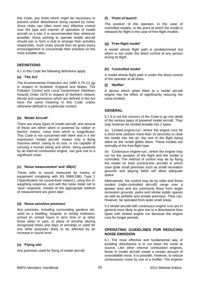this Code, any limits which might be necessary to prevent undue disturbance being caused by noise. Since clubs can often exert very effective control over the type and manner of operation of model aircraft on a site, it is recommended that, wherever possible, those wishing to operate model aircraft should join or form a club to arrange their activities responsibly. Such clubs should then be given every encouragement to concentrate their activities on the most suitable sites.

## **DEFINITIONS**

4.1 In this Code the following definitions apply:

#### **(a) 'The Act'**

The Environmental Protection Act 1990 S.79 (1) (g) in respect of Scotland, England and Wales. The Pollution Control and Local Government (Northern Ireland) Order 1978 in respect of Northern Ireland. Words and expressions which are defined in the Act have the same meaning in this Code unless otherwise defined in a particular context.

## **(b) 'Model Aircraft'**

There are many types of model aircraft, and several of these are either silent or powered by rubber or electric motors, noise from which is insignificant. This Code is not concerned with them and in it the expression 'model aircraft' means only a flying machine which, owing to its size, is not capable of carrying a human being and which, being powered by an internal combustion engine, can give rise to a significant noise.

#### **(c) 'Noise measurement' and 'dB(A)'**

These refer to sound measured by means of equipment complying with BS 5969:1981 Type 1 ('Specification for sound-level meters'), using the Aweighting response, and with the noise meter set to 'slow' response. Details of the appropriate method of measurement are given later.

#### **(d) 'Noise-sensitive premises'**

Any premises, including surrounding gardens etc. used as a dwelling, hospital, or similar institution, school (in school hours in term time or at other times when in use), or place of worship (during recognised times and days of worship) or used for any other purposes likely to be affected by an increase in sound level.

## **(e) 'Flying site'**

Any premises used for flying of model aircraft.

#### **(f) 'Point of launch'**

The position of the operator, in the case of controlled models, or the point at which the model is released for flight in the case of free-flight models.

## **(g) 'Free-flight model'**

A model whose flight path is predetermined but which is not under the direct control of any person during its flight.

## **(h) 'Controlled model'**

A model whose flight path is under the direct control of the operator at all times.

#### **(j) 'Muffler'**

A device which when fitted to a model aircraft engine has the effect of significantly reducing the noise emitted.

## **GENERAL**

5.1 It is not the concern of the Code to go into detail of the various types of powered model aircraft. They may however be divided broadly into 2 types:

(a) 'Limited engine-run', where the engine runs for a short time (seldom more than 10 seconds) to raise the model into the air, the rest of the flight being silent as the model glides down. These models are normally of the free-flight type.

(b) 'Continuous engine-run', where the engine may run for the duration of the flight and the model is controlled. The method of control may be by flying the model on lines (control-line aircraft) in which case quite small premises such as small recreation grounds and playing fields will allow adequate space.

Alternatively, the control may be by radio and those models (radio-controlled aircraft) range over a greater area and are commonly flown from larger recreation grounds, parks and similar public spaces as well as airfields and private premises. They can, however, be operated from quite small areas.

5.2 Model aircraft with continuous engine runs are in general more likely to give rise to a disturbance than types with limited engine run because the engine runs for longer periods.

## **OPERATING GUIDELINES FOR REDUCING NOISE EMISSION**

6.1 The most effective and fundamental way of avoiding disturbance is to cut down the noise at source. Like other internal combustion engines, those in model aircraft create a certain amount of unavoidable noise. It is possible, however, to reduce unnecessary noise by use of a muffler. The engines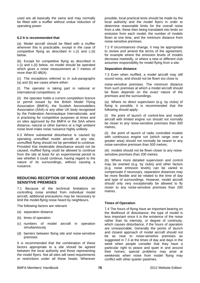used are all basically the same and may normally be fitted with a muffler without undue reduction of operating power.

#### **6.2 It is recommended that**

(a) Model aircraft should be fitted with a muffler wherever this is practicable, except in the case of competitive flying as described in c.(i) and c.(ii) below.

(b) Except for competitive flying as described in c.(i) and c.(ii) below, no model should be operated which gives a noise measurement at 7 metres of more than 82 dB(A).

(c) The exceptions referred to in sub-paragraphs (a) and (b) are cases where either:

(I) The operator is taking part in national or international competitions; or

(ii) the operator holds a current competition licence or permit issued by the British Model Flying Association (BMFA), the Scottish Aeromodellers Association (SAA) or any other UK body recognised by the Federation Aeronautique Internationale, and is practising for competitive purposes at times and on sites approved by the BMFA or the SAA where distance, natural or other barriers or a high ambient noise level make noise nuisance highly unlikely.

6.3 Where substantial disturbance is caused by operating unmuffled model aircraft at any site, unmuffled flying should not be permitted to continue. Provided that intolerable disturbance would not be caused, muffled flying could be allowed to continue from the site at least for an experimental period to see whether it could continue, having regard to the nature of its surroundings, without causing a nuisance.

## **REDUCING RECEPTION OF NOISE AROUND SENSITIVE PREMISES**

7.1 Because of the technical limitations on controlling noise emitted from individual model aircraft, additional precautions may be necessary to limit the model-flying noise heard by neighbours.

The following factors are relevant:

- (a) separation distance
- (b) times of operation
- (c) numbers of model aircraft in operation simultaneously
- (d) barriers between flying site and noise-sensitive premises

It is recommended that the combination of these factors appropriate to a site should be agreed between the local authority and those representing the model flyers. Not all sites will need requirements or restrictions under all these heads. Wherever possible, local practical tests should be made by the local authority and the model flyers in order to determine reasonable limits for the overall noise from a site, these then being translated into limits on emission from each model, the number of models flown at one time, and the minimum distance from noise-sensitive premises.

7.2 If circumstances change, it may be appropriate to review and amend the terms of the agreement, for example where the emission levels of models decrease markedly, or where a new or different club assumes responsibility for model flying from a site.

#### **Separation distance**

7.3 Even when muffled, a model aircraft may still sound noisy, and should not be flown too close to

noise-sensitive premises. The minimum distance from such premises at which a model aircraft should be flown depends on the exact nature of the premises and the surroundings.

(a) Where no direct supervision (e.g. by clubs) of flying is possible, it is recommended that the following should apply:

(I) the point of launch of control-line and model aircraft with limited engine run should not normally be closer to any noise-sensitive premises than 300 metres;

(ii) the point of launch of radio controlled models with continuous engine run (which range over a greater area) should not normally be nearer to any noise-sensitive premises than 500 metres;

(iii) models should not be flown closer to any noisesensitive premises than 200 metres.

(b) Where more detailed supervision and control may be exerted (e.g. by clubs) and other factors (e.g. noise emission levels) can be varied to compensate if necessary, separation distances may be more flexible and be related to the time of day and type of surroundings. However, model aircraft should only very exceptionally be allowed to fly closer to any noise-sensitive premises than 200 metres.

## **Times of Operation**

7.4 The hours of flying have an important bearing on the likelihood of disturbance; the type of model is less important since it is the existence of the noise rather than its intensity, or degree of continuity, which causes disturbance, if the hours of operation are unreasonable. Generally the points of launch and closest approach of model aircraft should not be as near to noise-sensitive premises as suggested in 7.3 at the times of day and days in the week when people consider that they have a particular right to peace and quiet in and around their homes; special problems may arise at weekends when noise from model flying may conflict with other quieter pastimes.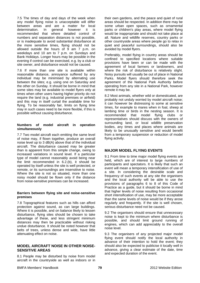7.5 The times of day and days of the week when any model flying noise is unacceptable will differ between areas and are a matter for local determination. In general however it is recommended that where detailed control of numbers and separation distances is not possible, or is inadequate to avoid substantial disturbance at the more sensitive times, flying should not be allowed outside the hours of 9 am 7 p.m. on weekdays and 10 am to 7 p.m. on Sundays and Bank Holidays. Longer hours may be possible in the evening if control can be exercised, e.g. by a club or site owner, and disturbance would not be caused.

7.6 If more than one site is available within reasonable distance, annoyance suffered by any individual may be minimised by alternating use between the sites; e.g. using one on Saturday and the other on Sunday. It should be borne in mind that some sites may be available to model flyers only at times when other users having higher priority do not require the land (e.g. industrial premises or airfield) and this may in itself curtail the available time for flying. To be reasonably fair, limits on flying time may in such cases need to be more flexible, if this is possible without causing disturbance.

#### **Numbers of model aircraft in operation simultaneously**

7.7 Two model aircraft each emitting the same level of noise may, if flown together, produce an overall noise level up to 3 dB(A) above that of the individual aircraft. The disturbance caused may be greater than is apparent from this simple change, owing to increased variations in sound level. If a particular type of model cannot reasonably avoid being near the limit recommended in 6.2.(b), it should be operated by itself unless the site is well protected, or remote, or its surroundings are insensitive to noise. Where the site is not so situated, more than one noisy model should be flown only if the distance from noise-sensitive premises can be increased.

#### **Barriers between flying site and noise-sensitive premises**

7.8 Topographical features such as hills can afford protection against sound, as can large buildings. Where it is possible, and on balance likely to lessen disturbance, flying sites should be chosen to take advantage of these, and less stringent minimum distances may then be practicable without risking undue disturbance. It should be noted however that belts of trees, unless dense and wide, have little attenuating effect on noise.

# **MODEL AIRCRAFT NOISE IN OTHER NOISE-SENSITIVE AREAS**

8.1 People may be disturbed by noise from model aircraft in the countryside as well as indoors or in their own gardens, and the peace and quiet of rural areas should be respected. In addition there may be some urban open spaces, such as ornamental parks or children's play areas, where model flying would be inappropriate and should not take place at all. Nature and wildlife reserves, country parks or other countryside areas where people go to relax in quiet and peaceful surroundings, should also be avoided by model flyers.

Preferably, model flying in country areas should be confined to specified locations where suitable provisions have been or can be made with the agreement of local farmers or landowners, and where the risk of disturbance is relatively slight. Noisy pursuits will usually be out of place in National Parks. Model flyers should therefore seek the agreement of the National Park Authority before operating from any site in a National Park, however remote it may be.

8.2 Most animals, whether wild or domesticated, are probably not unduly worried by model aircraft noise; it can however be distressing to some at sensitive times, for example to mares when in foal, sheep at lambing time or birds in the nesting season. It is recommended that model flying clubs or representatives should discuss with the owners of surrounding land, or local wildlife preservation bodies, any times and places where animals are likely to be unusually sensitive and would benefit from a temporary suspension or reduction of model flying activity.

# **MAJOR MODEL FLYING EVENTS**

9.1 From time to time major model flying events are held, which are of interest to large numbers of participants and spectators. It is likely that such an event will mean a temporary intensification of use of a site. In considering the desirable scale and frequency of such events at any site the organisers and the local authority will be able to use the provisions of paragraphs 6 to 8 of this Code of Practice as a guide, but it should be borne in mind that higher levels of noise resulting from occasional short intensification of use, may be more acceptable than the same levels of noise would be if they arose regularly and frequently. If the site is well chosen, serious disturbance need not be caused.

9.2 The organisers should ensure that unnecessary noise is kept to the minimum where disturbance is possible, and should limit ground running of engines, which can add appreciably to the overall noise level.

9.3 The organisers of any projected major model flying event should notify the local authority in advance of their intention to hold the event; they should also be expected to publicise it locally well in advance, giving a clear estimate of the date, time and expected duration of the event.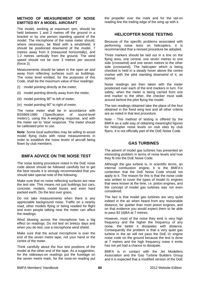## **METHOD OF MEASUREMENT OF NOISE EMITTED BY A MODEL AIRCRAFT**

The model, working at maximum rpm, should be held between 1 and 2 metres off the ground in a bracket or by one person standing upwind of the model. The microphone of the noise meter should, where necessary, be fitted with a windshield. It should be positioned downwind of the model, 7 metres away from it (measured horizontally), and 1.2 metres vertically from the ground. The wind speed should not be over 3 metres per second (force 2).

Measurements should be taken in the open air and away from reflecting surfaces such as buildings. The noise level emitted, for the purposes of this Code, shall be the maximum value of four readings:

- (I) model pointing directly at the meter,
- (ii) model pointing directly away from the meter,
- (iii) model pointing  $90^\circ$  to left of meter,
- (iv) model pointing  $90^\circ$  to right of meter.

The noise meter shall be in accordance with BS5969:1980 ('Specification of sound-level meters'), using the A-weighing response, and with the meter set to 'slow' response. The meter should be calibrated prior to use.

**Note**: Some local authorities may be willing to assist model flying clubs with noise measurements in order to establish the noise levels of aircraft being flown by club members.

# **BMFA ADVICE ON THE NOISE TEST**

The noise testing procedure noted in the DoE noise code above should be followed carefully but to get the best results it is strongly recommended that you should take special note of the following.

Make sure that no noise reflecting surfaces are near the test site. This means not just buildings but cars, concrete, models, model boxes and even hard packed earth. Do the test over grass.

Do not take measurements when there is any appreciable background noise. Traffic on a nearby road, other models flying or being readied for flight and even people talking near the meter can affect the readings.

Wind blowing across the microphone has a big effect on readings. Do not test on breezy days and when you do test, use a microphone wind shield.

Make sure that the actual microphone is over the end of the seven metre tape, not your hand or the centre of the meter.

Think carefully about the four test positions of the model at the other end of the tape. As a suggestion, for the sideways-on readings put the fuselage on the seven metre mark, for the nose-on reading put the propeller over the mark and for the tail-on reading line the trailing edge of the wing up with it.

## **HELICOPTER NOISE TESTING**

Because of the specific problems associated with performing noise tests on helicopters, it is recommended that a revised procedure be adopted.

Three markers should be laid out in a line on the flying area, one central, one seven metres to one side (crosswind) and one seven metres to the other side (crosswind). The helicopter which is being checked is held in a steady hover above the centre marker with the pilot standing downwind of it, as normal.

Noise readings are then taken with the meter positioned over each of the end markers in turn. For safety, when the meter is being carried from one end marker to the other, the checker must walk around behind the pilot flying the model.

The two readings obtained take the place of the four obtained in the fixed wing test and all other criteria are as noted in that test procedure.

Note - This method of testing is offered by the BMFA as a safe way of obtaining meaningful figures for helicopter noise levels on club sites by club flyers. It is not officially part of the DoE Noise Code.

# **GAS TURBINES**

The advent of model gas turbines has presented an interesting problem in terms of noise levels and how they fit into the DoE Noise Code.

Although the gas turbine is, in scientific terms, an internal combustion engine, it is the BMFA's contention that the DoE Noise Code should not apply to it. The reason for this is that the noise code was written to cover the types of model i/c engines that were known at the time, i.e. piston engines, and the concept of model gas turbines was not even considered.

The fact is that model gas turbines are very quiet indeed in the air when heard from any reasonable distance, far quieter than most piston engines, and on that evidence you would expect them to be able to pass 82 (d)BA at 7 metres.

However, most of the noise they emit is very high frequency and the higher the frequency of any noise, the better it dissipates with distance. Consequently the problem is that a very quiet gas turbine in the air will not pass the DoE i/c engine noise code on the ground because the test is done at 7 metres and the high frequency noise it emits has not yet had a chance to dissipate.

BMFA is in contact with the Jet Modellers Association and the Gas Turbine Builders Group and it is expected that a modified version of the DoE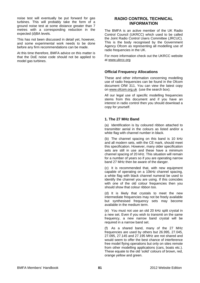noise test will eventually be put forward for gas turbines. This will probably take the form of a ground noise test at some distance greater than 7 metres with a corresponding reduction in the expected (d)BA levels.

This has not been discussed in detail yet, however, and some experimental work needs to be done before any firm recommendations can be made.

At this time therefore, BMFA advice on this matter is that the DoE noise code should not be applied to model gas turbines.

# **RADIO CONTROL TECHNICAL INFORMATION**

The BMFA is an active member of the UK Radio Control Council (UKRCC) which used to be called the Joint Radio Control Users Committee (JRCUC). This is the body recognised by the Government Agency Ofcom as representing all modelling use of radio frequencies in the UK.

For more information check out the UKRCC website at [www.ukrcc.org](http://www.ukrcc.org/)

# **Official Frequency Allocations**

These and other information concerning modelling use of radio frequencies can be found in the Ofcom document OfW 311. You can view the latest copy on [www.ofcom.org.uk](http://www.ofcom.org.uk/) (use the search box).

All our legal use of specific modelling frequencies stems from this document and if you have an interest in radio control then you should download a copy for yourself.

# **1. The 27 MHz Band**

(a) Identification is by coloured ribbon attached to transmitter aerial in the colours as listed and/or a white flag with channel number in black.

(b) The channel spacing on this band is 10 kHz and all modern sets, with the CE mark, should meet this specification. However, many older specification sets are still in use and these have a minimum channel spacing of 20 kHz. This situation will remain for a number of years so if you are operating narrow band 27 MHz then be aware of the danger.

(c) It is recommended that, with new equipment capable of operating on a 10kHz channel spacing, a white flag with black channel numeral be used to identify the channel you are using. If this coincides with one of the old colour frequencies then you should show that colour ribbon too.

(d) It is likely that crystals to meet the new intermediate frequencies may not be freely available but synthesised frequency sets may become available in the medium term.

(e) You must not use an old 20 kHz split crystal in a new set. Even if you wish to transmit on the same frequency, a new narrow band crystal will be required in a narrow band set.

(f) As a shared band, many of the 27 MHz frequencies are used by others but 26.995, 27.045, 27.095, 27.145 and 27.195 MHz are not shared and would seem to offer the best chance of interference free model flying operations but only on sites remote from other modelling applications (cars, boats etc.). These equate to the old 'solid' colours of brown, red, orange yellow and green.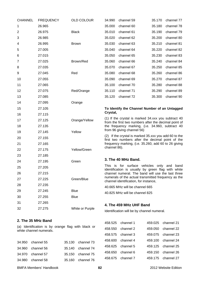| <b>CHANNEL</b>         | <b>FREQUENCY</b>         | <b>OLD COLOUR</b>                                  | 34.990<br>channel 59<br>35.170<br>channel 77                                                                 |
|------------------------|--------------------------|----------------------------------------------------|--------------------------------------------------------------------------------------------------------------|
| 1                      | 26.965                   |                                                    | 35.000<br>channel 60<br>35.180<br>channel 78                                                                 |
| $\overline{2}$         | 26.975                   | <b>Black</b>                                       | 35.010<br>channel 61<br>35.190<br>channel 79                                                                 |
| 3                      | 26.985                   |                                                    | 35.020<br>channel 62<br>35.200<br>channel 80                                                                 |
| 4                      | 26.995                   | <b>Brown</b>                                       | 35.030<br>channel 63<br>35.210<br>channel 81                                                                 |
| 5                      | 27.005                   |                                                    | 35.040<br>channel 64<br>35.220<br>channel 82                                                                 |
| 6                      | 27.015                   |                                                    | 35.050<br>channel 65<br>35.230<br>channel 83                                                                 |
| 7                      | 27.025                   | Brown/Red                                          | 35.060<br>channel 66<br>35.240<br>channel 84                                                                 |
| 8                      | 27.035                   |                                                    | 35.070<br>channel 67<br>35.250<br>channel 85                                                                 |
| 9                      | 27.045                   | Red                                                | 35.080<br>channel 68<br>35.260<br>channel 86                                                                 |
| 10                     | 27.055                   |                                                    | 35.090<br>channel 69<br>35.270<br>channel 87                                                                 |
| 11                     | 27.065                   |                                                    | 35.100<br>channel 70<br>35.280<br>channel 88                                                                 |
| 12                     | 27.075                   | Red/Orange                                         | 35.110<br>channel 71<br>35.290<br>channel 89                                                                 |
| 13                     | 27.085                   |                                                    | 35.120<br>channel 72<br>35.300<br>channel 90                                                                 |
| 14                     | 27.095                   | Orange                                             |                                                                                                              |
| 15                     | 27.105                   |                                                    | To Identify the Channel Number of an Untagged                                                                |
| 16                     | 27.115                   |                                                    | Crystal,                                                                                                     |
| 17                     | 27.125                   | Orange/Yellow                                      | (1) If the crystal is marked 34.xxx you subtract 40<br>from the first two numbers after the decimal point of |
| 18                     | 27.135                   |                                                    | the frequency marking, (i.e. 34.960, subtract 40                                                             |
| 19                     | 27.145                   | Yellow                                             | from 96 giving channel 56)                                                                                   |
| 20                     | 27.155                   |                                                    | (2) If the crystal is marked 35 xxx you add 60 to the<br>first two numbers after the decimal point of the    |
| 21                     | 27.165                   |                                                    | frequency marking, (i.e. 35.260, add 60 to 26 giving                                                         |
| 22                     | 27.175                   | Yellow/Green                                       | channel 86).                                                                                                 |
| 23                     | 27.185                   |                                                    |                                                                                                              |
| 24                     | 27.195                   | Green                                              | 3. The 40 MHz Band.                                                                                          |
| 25                     | 27.205                   |                                                    | This is for surface vehicles only and band<br>identification is usually by green flag with white             |
| 26                     | 27.215                   |                                                    | channel numeral. The band will use the last three                                                            |
| 27                     | 27.225                   | Green/Blue                                         | numerals of the actual transmitted frequency as the<br>channel identification, for instance,                 |
| 28                     | 27.235                   |                                                    | 40.665 MHz will be channel 665                                                                               |
| 29                     | 27.245                   | <b>Blue</b>                                        | 40.825 MHz will be channel 825                                                                               |
| 30                     | 27.255                   | <b>Blue</b>                                        |                                                                                                              |
| 31                     | 27.265                   |                                                    | 4. The 459 MHz UHF Band                                                                                      |
| 32                     | 27.275                   | White or Purple                                    | Identification will be by channel numeral.                                                                   |
|                        |                          |                                                    |                                                                                                              |
|                        | 2. The 35 MHz Band       |                                                    | channel 1<br>channel 21<br>458.525<br>459.025                                                                |
|                        |                          | (a) Identification is by orange flag with black or | 458.550<br>channel 2<br>channel 22<br>459.050                                                                |
|                        | white channel numerals.  |                                                    | channel 3<br>459.075<br>channel 23<br>458.575                                                                |
|                        |                          |                                                    | channel 4<br>459.100<br>channel 24<br>458.600                                                                |
| 34.950                 | channel 55               | 35.130<br>channel 73                               | channel 5<br>channel 25<br>458.625<br>459.125                                                                |
| 34.960                 | channel 56               | channel 74<br>35.140                               | channel 6<br>channel 26<br>458.650<br>459.150                                                                |
| 34.970<br><b>OA NO</b> | channel 57<br>chonnel EQ | channel 75<br>35.150<br>$25,460$ chonnel $76$      | 458.675<br>channel 7<br>channel 27<br>459.175                                                                |
|                        |                          |                                                    |                                                                                                              |

34.980 channel 58 35.160 channel 76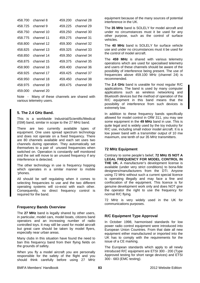| 458.700 | channel 8  | 459.200 | channel 28 |
|---------|------------|---------|------------|
| 458.725 | channel 9  | 459.225 | channel 29 |
| 458.750 | channel 10 | 459.250 | channel 30 |
| 458.775 | channel 11 | 459.275 | channel 31 |
| 458.800 | channel 12 | 459.300 | channel 32 |
| 458.825 | channel 13 | 459.325 | channel 33 |
| 458.850 | channel 14 | 459.350 | channel 34 |
| 458.875 | channel 15 | 459.375 | channel 35 |
| 458.900 | channel 16 | 459.400 | channel 36 |
| 458.925 | channel 17 | 459.425 | channel 37 |
| 458.950 | channel 18 | 459.450 | channel 38 |
| 458.975 | channel 19 | 459.475 | channel 39 |
| 459.000 | channel 20 |         |            |

Note - Many of these channels are shared with various telemetry users.

# **5. The 2.4 GHz Band.**

This is a worldwide Industrial/Scientific/Medical (ISM) band, similar in scope to the 27 MHz band.

There are two currently available types of equipment. One uses spread spectrum technology and does not operate on a fixed frequency. There are 80 channels available and each set uses two channels during operation. They automatically set themselves to a pair of unused frequencies when switched on. Operation is constantly self monitored and the set will move to an unused frequency if any interference is detected.

The other technology in use is frequency hopping which operates in a similar manner to mobile 'phones.

All should be self regulating when it comes to selecting frequencies to use and the two different operating systems will co-exist with each other. Consequently, no direct frequency control is required for the band.

## **Frequency Bands Overview**

The **27 MHz** band is legally shared by other users, in particular, model cars, model boats, citizens band operators and an increasing number of radio controlled toys. It may still be used for model aircraft but great care should be taken by model flyers, especially near urban areas.

Many clubs in this situation have found the need to ban this frequency band from their flying fields on the grounds of safety.

When you fly a model aircraft you are personally responsible for the safety of the flight and you should think carefully before using 27 MHz

equipment because of the many sources of potential interference in the UK.

The **35 MHz** band is SOLELY for model aircraft and under no circumstances must it be used for any other purpose, such as the control of surface vehicles.

The **40 MHz** band is SOLELY for surface vehicle use and under no circumstances must it be used for the control of model aircraft.

The **459 MHz** is shared with various telemetry operations which are used for specialised telemetry and users of these channels should be aware of the possibility of interference being present. The use of frequencies above 459.100 MHz (channel 24) is recommended.

The **2.4 GHz** band is useable for most regular R/C applications. The band is used by many computer applications such as wireless networking and Bluetooth devices but the method of operation of the R/C equipment in this band means that the possibility of interference from such devices is extremely low.

In addition to these frequency bands specifically allowed for model control in OfW 311, you may see some equipment in the **49 MHz** band in use. This is quite legal and is widely used by the toy industry for R/C use, including small indoor model aircraft. It is a low power band with a transmitter output of 10 mw maximum, one tenth of our 35 MHz transmitters.

## **72 MHz Equipment**

Contrary to some people's belief, **72 MHz IS NOT A LEGAL FREQUENCY FOR MODEL CONTROL IN THE UK.** A manufacturer's development license is available (under very strict conditions) to bona-fide designers/manufacturers from the DTI. Anyone using 72 MHz without such a current special licence is operating illegally and may face a fine and confiscation of the equipment. This licence is for genuine development work only and does NOT give the operator the right to use the frequency for normal R/C flying.

72 MHz is very widely used in the UK for communications purposes.

# **R/C Equipment Type Approval**

In October 1998, harmonised standards for low power radio control equipment were introduced into European Union Countries. From that date all new equipment either manufactured or imported into the UK has to comply with the requirements for the issue of a CE marking.

The European standards which apply to all newly introduced R/C equipment are ETSI 300 - 200 (Type Approved testing for short range devices) and ETSI 300 - 683 (EMC testing).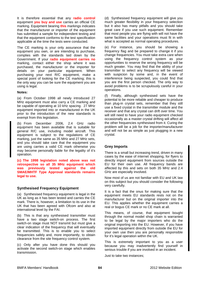It is therefore essential that any **radio control**  equipment **you buy and use** carries an official CE marking. Equipment bearing **this** markings indicates that the manufacturer or importer of the equipment has submitted a sample for independent testing and that the equipment conforms to the test specification applicable at the time the tests were conducted.

The CE marking is your only assurance that the equipment you own, or are intending to purchase, complies with the standards laid down by the Government. If your **radio equipment carries no** marking, contact either the shop where it was purchased, the manufacturer or the importer for details on your particular equipment. When purchasing your next R/C equipment, make a special point of looking for the CE marking; this is the only way you can be sure the equipment you are using is legal.

#### **Notes:**

(a) From October 1998 all newly introduced 27 MHz equipment must also carry a CE marking and be capable of operating at 10 kHz spacing. 27 MHz equipment imported into or manufactured in the UK prior to the introduction of the new standards is exempt from this legislation.

(b) From December 2006, 2.4 GHz radio equipment has been available that is suitable for general R/C use, including model aircraft. This equipment is subject to the regulations of CE marking, just the same as 35 MHz and 27 MHz sets, and you should take care that the equipment you are using carries a valid CE mark otherwise you may become personally liable for the legality of it's operation.

**(c) The 1998 legislation noted above was not retrospective so all 35 MHz equipment which was previously tested against the old SMAE/MHTF Type Approval standards remains legal to use.** 

## **Synthesised Frequency Equipment**

(a) Synthesised frequency equipment is legal in the UK as long as it has been tested and carries the CE mark. There is, however, a limitation to its use in the UK that has been agreed with Ofcom and also at international level by the FAI.

(b) This is that any synthesised transmitter must have a two stage switch-on process. The first switch-on stage must NOT transmit but must give a clear indication of the frequency that will eventually be transmitted. This is to enable you to select frequencies safely and, more importantly, to obtain clearance from the site frequency control system.

(c) Only after you have done this should you activate the second switch-on stage which enables transmission.

(d) Synthesised frequency equipment will give you much greater flexibility in your frequency selection but it also has many pitfalls and you should take great care if you use such equipment. Remember that most people you are flying with will not have the same facilities and your operations must fit in with what is accepted as normal operating procedures.

(e) For instance, you should be showing a frequency flag and be prepared to change it if you change frequencies. You must take extra care when using the frequency control system as your opportunities to reserve the wrong frequency will be much greater. You may find that the ability of your transmitter to select any frequency will be viewed with suspicion by some and, in the event of interference being suspected, you could find that you are the first person checked. The only way to avoid problems is to be scrupulously careful in your operations.

(f) Finally, although synthesised sets have the potential to be more reliable and cheaper to produce than plug-in crystal sets, remember that they still use a fixed crystal in the transmitter module and the receiver and that any crystal can drift over time. You will still need to have your radio equipment checked occasionally as a master crystal drifting will affect all the other frequencies synthesised from it. Curing the problem will be a job for the importer/manufacturer and will not be as simple as just plugging in a new crystal.

# **Grey Imports**

There is a small but increasing trend, driven in many cases by the ease of internet shopping, for flyers to directly import equipment from sources outside the EU for their own use. All frequency bands are affected by this and sets on both 35 MHz and 2.4 GHz are especially involved.

Now most of us are not familiar with EU and UK law on this subject but you should consider the following very carefully.

It is a fact that the onus for making sure that the equipment meets EU standards rests not on the manufacturer but on the original importer into the EU. This applies whether the equipment carries a real or bogus CE mark or no CE mark at all.

This means, of course, that equipment bought through the normal model shop chain is warranted to be legal by the major importers who do the original importing into the EU. However, if you have imported equipment directly from outside the EU for your own use then you are personally responsible for it's legal operation within the UK.

This is extremely important to you as a user because you may inadvertently find yourself in serious trouble if you are involved in an incident.

Just to take two instances;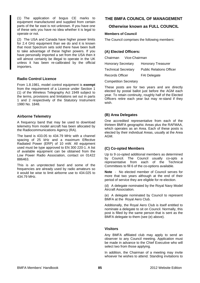(1) The application of bogus CE marks to equipment manufactured and supplied from certain parts of the far east is not unknown. If you have one of these sets you have no idea whether it is legal to operate or not.

(2) The USA and Canada have higher power limits for 2.4 GHz equipment than we do and it is known that most Spectrum sets sold there have been built to take advantage of these higher powers. If you have personally imported a set from the USA then it will almost certainly be illegal to operate in the UK unless it has been re-calibrated by the official importers.

# **Radio Control Licence**

From 1.8.1981, model control equipment is **exempt** from the requirement of a Licence under Section 1 (1) of the Wireless Telegraphy Act 1949 subject to the terms, provisions and limitations set out in parts 1 and 2 respectively of the Statutory Instrument 1980 No. 1848.

## **Airborne Telemetry**

A frequency band that may be used to download telemetry from model aircraft has been allocated by the Radiocommunications Agency (RA).

The band is 433.05 to 434.79 MHz with a channel spacing of 25 kHz and a maximum Effective Radiated Power (ERP) of 10 mW. All equipment used must be type approved to EN 300 220-1. A list of available equipment can be obtained from the Low Power Radio Association, contact on 01422 886463.

This is an unprotected band and some of the frequencies are already used by radio amateurs so it would be wise to limit airborne use to 434.025 to 434.79 MHz.

# **THE BMFA COUNCIL OF MANAGEMENT**

# **Otherwise known as FULL COUNCIL**

## **Members of Council**

The Council comprises the following members:

## **(A) Elected Officers:**

| Chairman                   | Vice-Chairman |                                 |
|----------------------------|---------------|---------------------------------|
| <b>Honorary Secretary</b>  |               | <b>Honorary Treasurer</b>       |
| <b>Technical Secretary</b> |               | <b>Public Relations Officer</b> |
| <b>Records Officer</b>     |               | <b>FAI Delegate</b>             |
|                            |               |                                 |

Competition Secretary

These posts are for two years and are directly elected by postal ballot just before the AGM each year. To retain continuity, roughly half of the Elected Officers retire each year but may re-stand if they wish.

## **(B) Area Delegates**

One accredited representative from each of the thirteen BMFA geographic Areas plus the RAFMAA, which operates as an Area. Each of these posts is elected by their individual Areas, usually at the Area AGM.

# **(C) Co-opted Members**

Up to 9 co-opted additional members as determined by Council. The Council usually co-opts a representative from each of the Technical Committees to fill 6 of the co-options available.

**Note** - No elected member of Council serves for more that two years although at the end of their period of service they are eligible for re-election.

(d) A delegate nominated by the Royal Navy Model Aircraft Association.

(e) A delegate nominated by Council to represent BMFA at the Royal Aero Club.

Additionally, the Royal Aero Club is itself entitled to nominate a delegate to sit on Council. Normally, this post is filled by the same person that is sent as the BMFA delegate to them (see (e) above).

## **Visitors**

Any BMFA affiliated club may apply to send an observer to any Council meeting. Application must be made in advance to the Chief Executive who will select two from those applying.

In addition, the Chairman of a meeting may invite whoever he wishes to attend. Standing invitations to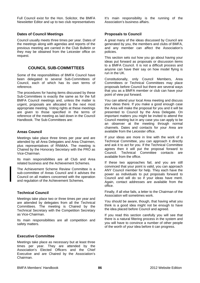Full Council exist for the Hon. Solicitor, the BMFA Newsletter Editor and up to two club representatives

## **Dates of Council Meetings**

Council usually meets three times per year. Dates of the meetings along with agendas and reports of the previous meeting are carried in the Club Bulletin or they may be obtained from the Leicester office on request.

## **COUNCIL SUB-COMMITTEES**

Some of the responsibilities of BMFA Council have been delegated to several Sub-Committees of Council, each of which has its own terms of reference.

The procedures for having items discussed by these Sub-Committees is exactly the same as for the full BMFA Council meetings and, unless the matter is urgent, proposals are allocated to the next most appropriate meeting. Voting rights at these meetings are given to those specified in the terms of reference of the meeting as laid down in the Council Handbook. The Sub-Committees are:

## **Areas Council**

Meetings take place three times per year and are attended by all Area Delegates and Area Chairmen, plus representatives of RNMAA. The meeting is Chaired by the Honorary Secretary with the PRO as Vice-Chairman.

Its main responsibilities are all Club and Area related business and the Achievement Schemes.

The Achievement Scheme Review Committee is a sub-committee of Areas Council and it advises the Council on all matters concerned with the operation and regulation of the Achievement Schemes.

## **Technical Council**

Meetings take place two or three times per year and are attended by delegates from all the Technical Committees. The meeting is Chaired by the Technical Secretary with the Competition Secretary as Vice-Chairman.

Its main responsibilities are all competition and safety matters.

## **Executive Committee**

Meetings take place as necessary but at least three times per year. They are attended by the Association's Elected Officers and the Chief Executive and are Chaired by the Association's Chairman.

It's main responsibility is the running of the Association's business affairs.

## **Proposals to Council**

A great many of the ideas discussed by Council are generated by you, the members and clubs of BMFA, and any member can affect the Association's policies.

This section sets out how you go about having your ideas put forward as proposals or discussion items to a BMFA Council. It is not a difficult process and anyone can have their say on how model flying is run in the UK.

Constitutionally, only Council Members, Area Committees or Technical Committees may place proposals before Council but there are several ways that you as a BMFA member or club can have your point of view put forward.

You can attend your local Area meeting and discuss your ideas there. If you make a good enough case the Area will make the proposal for you and it will be presented to Council by the Area Delegate. On important matters you might be invited to attend the Council meeting but in any case you can apply to be an observer at the meeting through normal channels. Dates and contacts for your Area are available from the Leicester office.

If your ideas are more in line with the work of a Technical Committee, you can approach it directly and ask it to act for you. If the Technical Committee agrees then it will put the proposal forward to Council. Technical Committee contacts are available from the office.

If these two approaches fail, and you are still convinced that your point is valid, you can approach ANY Council member for help. They each have the power as individuals to put proposals forward to Council and will do so if your ideas have merit. Again, contact addresses are available from the office.

Finally, if all else fails, a letter to the Chairman of the Association will sometimes work.

You should be aware, though, that having what you think is a good idea might not be enough to have the idea placed before Council and agreed.

If you read this section carefully you will see that there is a natural filtering process in the system and you will have to convince a number of other people of the worth of your idea before it can progress.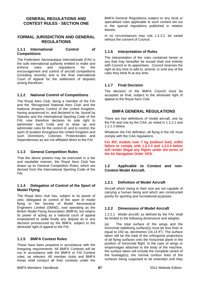# **GENERAL REGULATIONS AND CONTEST RULES - SECTION ONE**

## **FORMAL JURISDICTION AND GENERAL REGULATIONS**

## **1.1.1 International Control of Competitions**

The Federation Aeronautique Internationale (FAI) is the sole international authority entitled to make and enforce rules and regulations for the encouragement and control of aircraft competitions (including records) and is the final international Court of Appeal for the settlement of disputes arising therefrom.

## **1.1.2 National Control of Competitions**

The Royal Aero Club, being a member of the FAI and the 'Recognised National Aero Club' and the National Airsports Control of the United Kingdom, having acquiesced in, and declared to be, bound by Statutes and the International Sporting Code of the FAI, now therefore declares its sole right to administer such Code and to draw up and administer rules for the control of, and to control, the sport of aviation throughout the United Kingdom and such Dominions, Colonies, Protectorates and Dependencies as are not affiliated direct to the FAI.

## **1.1.3 General Competition Rules**

That the above powers may be exercised in a fair and equitable manner, the Royal Aero Club has drawn up its General Competition Rules, which are derived from the International Sporting Code of the FAI.

## **1.1.4 Delegation of Control of the Sport of Model Flying**

The Royal Aero club has, subject to its power of veto, delegated its control of the sport of model flying to the Society of Model Aeronautical Engineers Limited (SMAE), now operating as the British Model Flying Association (BMFA), but retains its power of acting as a national court of appeal empowered to settle finally any dispute as to any decision pronounced by the BMFA, subject to the aforesaid right of appeal to the FAI.

## **1.1.5 BMFA Contest Rules**

These have been prepared in accordance with the foregoing requirements: All BMFA Contests will be run in accordance with the BMFA or FAI Contest rules, as relevant. All member clubs and BMFA Areas shall conduct all their contests under the BMFA General Regulations subject to any local or specialised rules applicable to such contest set out in the special regulations published in relation thereto.

In no circumstances may rule 1.2.3.2. be varied without the consent of Council.

# **1.1.6 Interpretation of Rules**

The interpretation of the rules contained herein or any that may hereafter be issued shall rest entirely with Council or its appointees. Council reserves the right at any time to add to, amend, or omit any of the rules they think fit at any time.

# **1.1.7 Final Decision**

The decision of the BMFA Council must be accepted as final, subject to the aforesaid right of appeal to the Royal Aero Club.

# **BMFA GENERAL REGULATIONS**

There are two definitions of model aircraft, one by the FAI and one by the CAA, as noted in 1.2.2.1 and 1.2.2.3 below.

Whatever the FAI definition, all flying in the UK must comply with the CAA regulations.

**For R/C models over 7 kg (without fuel), wilful failure to comply with 1.2.2.3 and 1.2.2.4 below will render illegal any flights under the terms of the Air Navigation Order 1976.** 

# **1.2 Applicable to Contest and non-Contest Model Aircraft.**

# **1.2.1 Definition of Model Aircraft**

Aircraft which owing to their size are not capable of carrying a human being and which are constructed purely for sporting and recreational purposes.

# **1.2.2 Dimensions of Model Aircraft**

1.2.2.1 Model aircraft, as defined by the FAI, shall be limited to the following dimensions and weights.

(a) The total surface of the wings and the horizontal stabilising surface(s) must be less than or equal to 150 sq. decimetres  $(16.14 \text{ ft}^2)$ . The surface taken will be the total of the orthogonal projections of all flying surfaces onto the horizontal plane in the position of horizontal flight. In the case of wings or empennages attached to the body of the machine, the surface taken will include the complete centre of the fuselage(s), the normal contour lines of the surfaces being supposed to be extended until they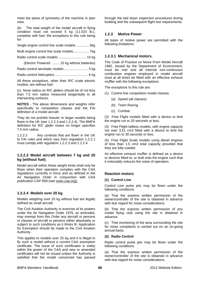meet the plane of symmetry of the machine in plan view.

(b) The total weight of the model aircraft in flying condition must not exceed 5 kg (11.023 lb.), complete with fuel, the exceptions to this rule being for:

Single engine control line scale models .............. 6kg

Multi engine control line scale models................. 7kg

Radio control scale models ............................. 15 kg

(Electric Powered .........15 kg without batteries)

Radio control aerobatic models.......................... 5 kg

Radio control helicopters .................................... 6 kg

All these exceptions, other than R/C scale electric models, are without fuel.

(c) Nose radius on R/C gliders should be of not less than 7.5 mm radius measured tangentially to all intersecting surfaces.

**NOTES** - The above dimensions and weights refer specifically to competition classes and the FAI definition of a model aircraft.

They do not prohibit heavier or larger models being flown in the UK (see 1.2.2.3 and 1.2.2.4). The BMFA definition for R/C glider noses no longer specifies 7.5 mm radius.

1.2.2.2 Any contests that are flown in the UK to FAI rules and which vary from regulation 1.2.2.1 must comply with regulation 1.2.2.3 and 1.2.2.4.

## **1.2.2.3 Model aircraft between 7 kg and 20 kg (without fuel)**

Model aircraft within these weight limits shall only be flown when their operation complies with the CAA regulations currently in force and as defined in the Air Navigation Order in conjunction with CAA publication CAP 658 (see [www.caa.org\);](http://www.caa.org);/)

# **1.2.2.4 Models over 20 kg**

Models weighing over 20 kg without fuel are legally defined as small aircraft.

The Civil Aviation Authority in exercise of its powers under the Air Navigation Order 1976, as amended, may exempt from this Order any aircraft or persons or classes of aircraft or persons either absolutely or subject to such conditions as it thinks fit. Application for Exemption should be made to the Civil Aviation Authority.

This applies to models over 20 kg and it is illegal to fly such a model without a current CAA exemption certificate. The issue of such certificates is solely within the power of the CAA and new or amended certificates will not be issued unless the Authority is satisfied that the model concerned has passed through the laid down inspection procedures during building and the subsequent flight test requirements.

# **1.2.3 Motive Power**

All types of motive power are permitted with the following limitations:

## **1.2.3.1 Mechanical motors.**

The Code of Practice on Noise From Model Aircraft 1982, issued by the Department of Environment, must be met and all internal non-continuous combustion engines employed in model aircraft must at all times be fitted with an effective exhaust muffler with the following exceptions:

The exceptions to this rule are:

- (1) Control line competition model classes:
	- (a) Speed (all classes)
	- (b) Team Racing
	- (c) Combat

(2) Free Flight models fitted with a device to limit the engine run to 20 seconds or less.

(3) Free Flight tailless models, with engine capacity not over 3.51 cm3 fitted with a device to limit the engine run to 30 seconds or less.

(4) Free Flight Scale models using diesel engines of less than 1.5 cm3 total capacity provided that they are fully cowled.

An effective exhaust muffler is defined as a device or devices fitted to, or built onto the engine such that it noticeably reduces the noise of operation.

## **Reaction motors**

#### **(1) Control Line**

Control Line pulse jets may be flown under the following conditions:

(a) That the express written permission of the owner/controller of the site is obtained in advance with due regard for noise considerations.

(b) That the express written permission of any model flying club using the site is obtained in advance.

(c) That monitoring of the area surrounding the site for noise complaints is carried out on an on-going annual basis.

## **(2) Radio Control**

Radio control pulse jets may be flown under the following conditions:

(a) That the express written permission of the owner/controller of the site is obtained in advance with due regard for noise considerations.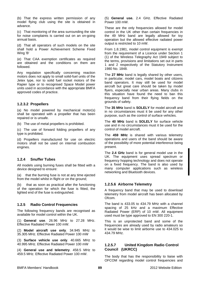(b) That the express written permission of any model flying club using the site is obtained in advance.

(c) That monitoring of the area surrounding the site for noise complaints is carried out on an on-going annual basis.

(d) That all operators of such models on the site shall hold a Power Achievement Scheme Fixed Wing 'B'

(e) That CAA exemption certificates as required are obtained and the conditions on them are followed.

Any regulation specifically concerning reaction motors does not apply to small solid-fuel units of the Jetex type, nor to solid fuel rocket motors of the Rapier type or to recognised Space Model power units used in accordance with the appropriate BMFA approved codes of practice.

## **1.2.3.2 Propellers**

(a) No model powered by mechanical motor(s) shall be operated with a propeller that has been repaired or is unsafe.

(b) The use of metal propellers is prohibited.

(c) The use of forward folding propellers of any type is prohibited.

(d) Propellers manufactured for use on electric motors shall not be used on internal combustion engines.

# **1.2.4 Snuffer Tubes**

All models using burning fuses shall be fitted with a device designed to ensure:

(a) that the burning fuse is not at any time ejected from the model whilst in flight or on the ground;

(b) that as soon as practical after the functioning of the operation for which the fuse is fitted, the lighted end of the fuse is extinguished.

# **1.2.5 Radio Control Frequencies**

The following frequency bands are recognised as available for model control within the UK.

(1) **General use**. 26.96 MHz to 27.28 MHz. Effective Radiated Power 100 mW.

(2) **Model aircraft use only**. 34.945 MHz to 35.305 MHz. Effective Radiated Power 100 mW

(3) **Surface vehicle use only**. 40.665 MHz to 40.995 MHz. Effective Radiated Power 100 mW

(4) **General use and telemetry**. 458.5 MHz to 459.5 MHz. Effective Radiated Power 100 mW.

(5) **General use.** 2.4 GHz. Effective Radiated Power 100 mW.

These are the only frequencies allowed for model control in the UK other than certain frequencies in the 49 MHz band are legally allowed for toy operation but the allowed effective radiated power output is restricted to 10 mW.

From 1.8.1981, model control equipment is exempt from the requirement of a Licence under Section 1 (1) of the Wireless Telegraphy Act 1949 subject to the terms, provisions and limitations set out in parts 1 and 2 respectively of the Statutory Instrument 1980 No. 1848.

The **27 MHz** band is legally shared by other users, in particular, model cars, model boats and citizens band operators. It may still be used for model aircraft but great care should be taken by model flyers, especially near urban areas. Many clubs in this situation have found the need to ban this frequency band from their flying fields on the grounds of safety.

The **35 MHz** band is **SOLELY** for model aircraft and in no circumstances must it be used for any other purpose, such as the control of surface vehicles.

The **40 MHz** band is **SOLELY** for surface vehicle use and in no circumstances must it be used for the control of model aircraft.

The **459 MHz** is shared with various telemetry operations and users of the band should be aware of the possibility of more potential interference being present.

The **2.4 GHz** band is for general model use in the UK. The equipment uses spread spectrum or frequency hopping technology and does not operate on a fixed frequency. The band is also used by many computer applications such as wireless networking and Bluetooth devices.

# **1.2.5.6 Airborne Telemetry**

A frequency band that may be used to download telemetry from model aircraft has been allocated by Ofcom.

The band is 433.05 to 434.79 MHz with a channel spacing of 25 kHz and a maximum Effective Radiated Power (ERP) of 10 mW. All equipment used must be type approved to EN 300 220-1.

This is an unprotected band and some of the frequencies are already used by radio amateurs so it would be wise to limit airborne use to 434.025 to 434.79 MHz.

# **1.2.5.7 United Kingdom Radio Control Council (UKRCC)**

The body that has the responsibility to liaise with OFCOM regarding model control frequencies and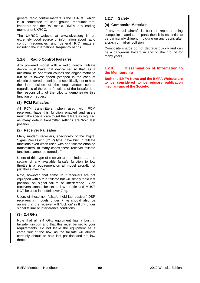general radio control matters is the UKRCC, which is a committee of user groups, manufacturers, importers and the R/C media. BMFA is a leading member of UKRCC.

The UKRCC website at www.ukrcc.org is an extremely good source of information about radio control frequencies and general R/C matters, including the international frequency bands.

## **1.2.6 Radio Control Failsafes**

Any powered model with a radio control failsafe device must have that device set so that, as a minimum, its operation causes the engine/motor to run at its lowest speed (stopped in the case of electric powered models) and specifically not to hold the last position of the engine/motor control regardless of the other functions of the failsafe. It is the responsibility of the pilot to demonstrate this function on request.

## **(1) PCM Failsafes**

All PCM transmitters, when used with PCM receivers, have this function enabled and users must take special care to set the failsafe as required as many default transmitter settings are 'hold last position'.

## **(2) Receiver Failsafes**

Many modern receivers, specifically of the Digital Signal Processing (DSP) type, have built in failsafe functions even when used with non-failsafe enabled transmitters. In many cases these receiver failsafe functions cannot be turned off.

Users of this type of receiver are reminded that the setting of any available failsafe function to low throttle is a requirement on all model aircraft, not just those over 7 kg.

Note, however, that some DSP receivers are not equipped with a true failsafe but will simply 'hold last position' on signal failure or interference. Such receivers cannot be set to low throttle and MUST NOT be used in models over 7 kg.

Users of these non-failsafe 'hold last position' DSP receivers in models under 7 kg should also be aware that the receiver will 'lock on' in flight under signal failure or interference conditions.

# **(3) 2.4 GHz**

Note that all 2.4 GHz equipment has a built in failsafe function and that this must be set to your requirements. Do not leave the equipment as it came 'out of the box' as the failsafe will almost certainly default to hold last position and not low throttle.

## **1.2.7 Safety**

### **(a) Composite Materials**

If any model aircraft is built or repaired using composite materials or parts then it is essential to be particularly diligent in picking up any debris after a crash or mid-air collision.

Composite shards do not degrade quickly and can be a dangerous hazard in and on the ground for many years

## **1.2.8 Dissemination of Information to the Membership**

**Both the BMFA News and the BMFA Website are to be considered to be primary publication mechanisms of the Society.**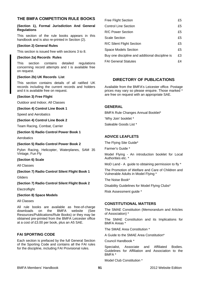# **THE BMFA COMPETITION RULE BOOKS**

#### **(Section 1), Formal Jurisdiction And General Regulations**

This section of the rule books appears in this handbook and is also re-printed in Section (2).

#### **(Section 2) General Rules**

This section is issued free with sections 3 to 8.

#### **(Section 2a) Records Rules**

This section contains detailed regulations concerning record attempts and t is available free on request.

#### **(Section 2b) UK Records List**

This section contains details of all ratified UK records including the current records and holders and it is available free on request.

#### **(Section 3) Free Flight**

Outdoor and Indoor, All Classes

#### **(Section 4) Control Line Book 1**

Speed and Aerobatics

#### **(Section 4) Control Line Book 2**

Team Racing, Combat, Carrier

#### **(Section 5) Radio Control Power Book 1**

Aerobatics

#### **(Section 5) Radio Control Power Book 2**

Pylon Racing, Helicopter, Waterplanes, SAM 35 Vintage, Fun Fly

#### **(Section 6) Scale**

All Classes

## **(Section 7) Radio Control Silent Flight Book 1**

**Gliders** 

## **(Section 7) Radio Control Silent Flight Book 2**

**Electroflight** 

## **(Section 8) Space Models**

All Classes

All rule books are available as free-of-charge downloads on the BMFA website (See Resources/Publications/Rule Books) or they may be obtained pre-printed from the BMFA Leicester office at a cost of £3.00 per book, plus an A5 SAE.

# **FAI SPORTING CODE**

Each section is prefaced by the full General Section of the Sporting Code and contains all the FAI rules for the discipline, including FAI Provisional rules.

| <b>Free Flight Section</b>                      | £5 |
|-------------------------------------------------|----|
| <b>Control Line Section</b>                     | £5 |
| <b>R/C Power Section</b>                        | £5 |
| <b>Scale Section</b>                            | £5 |
| R/C Silent Flight Section                       | £5 |
| Space Models Section                            | £5 |
| Buy one discipline and additional discipline is | £3 |
| <b>FAI General Statutes</b>                     | £4 |

# **DIRECTORY OF PUBLICATIONS**

Available from the BMFA's Leicester office. Postage prices may vary so please enquire. Those marked \* are free on request with an appropriate SAE.

## **GENERAL**

BMFA Rule Changes Annual Booklet\*

'Why Join' booklet \*

Saleable Goods List \*

## **ADVICE LEAFLETS**

The Flying Site Guide\*

Farmer's Guide \*

Model Flying - An introduction booklet for Local Authorities etc. \*

MoD Land - A guide to obtaining permission to fly \*

The Promotion of Welfare and Care of Children and Vulnerable Adults in Model Flying \*

The Noise Book\*

Disability Guidelines for Model Flying Clubs\*

Risk Assessment guide \*

## **CONSTITUTIONAL MATTERS**

The SMAE Constitution (Memorandum and Articles of Association) \*

The SMAE Constitution and its Implications for BMFA Areas \*

The SMAE Area Constitution \*

A Guide to the SMAE Area Constitution\*

Council Handbook \*

Specialist, Associate and Affiliated Bodies. Guidelines for Affiliation and Association to the BMFA \*

Model Club Constitution \*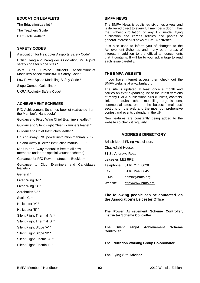## **EDUCATION LEAFLETS**

The Education Leaflet \* The Teachers Guide Dart Facts leaflet \*

# **SAFETY CODES**

Association for Helicopter Airsports Safety Code\*

British Hang and Paraglider Association/BMFA joint safety code for slope sites \*

Joint Gas Turbine Builders Association/Jet Modellers Association/BMFA Safety Code\*

Low Power Space Modelling Safety Code \*

Slope Combat Guidelines\*

UKRA Rocketry Safety Code\*

## **ACHIEVEMENT SCHEMES**

R/C Achievement Schemes booklet (extracted from the Member's Handbook)\*

Guidance to Fixed Wing Chief Examiners leaflet \*

Guidance to Silent Flight Chief Examiners leaflet \*

Guidance to Chief Instructors leaflet \*

Up And Away (R/C power instruction manual) - £2

Up and Away (Electric instruction manual) - £2

(An Up-and-Away manual is free to all new members under the special voucher scheme)

Guidance for R/C Power Instructors Booklet \*

Guidance to Club Examiners and Candidates leaflets -

General \*

Fixed Wing 'A' \*

Fixed Wing 'B' \*

Aerobatics 'C' \*

Scale 'C' \*

Helicopter 'A' \*

Helicopter 'B' \*

Silent Flight Thermal 'A' \*

Silent Flight Thermal 'B' \*

Silent Flight Slope 'A' \*

Silent Flight Slope 'B' \*

Silent Flight Electric 'A' \*

Silent Flight Electric 'B' \*

#### **BMFA NEWS**

The BMFA News is published six times a year and is delivered direct to every full member's door. It has the highest circulation of any UK model flying publication and carries articles and photos of general interest plus news of BMFA activities.

It is also used to inform you of changes to the Achievement Schemes and many other areas of interest in addition to the official announcements that it contains. It will be to your advantage to read each issue carefully.

## **THE BMFA WEBSITE**

If you have internet access then check out the BMFA website at www.bmfa.org.

The site is updated at least once a month and carries an ever expanding list of the latest versions of many BMFA publications plus clublists, contacts, links to clubs, other modelling organisations, commercial sites, one of the busiest 'small ads' sections on the web and the most comprehensive contest and events calendar in the UK.

New features are constantly being added to the website so check it regularly.

# **ADDRESS DIRECTORY**

British Model Flying Association, Chacksfield House, 31 St. Andrews Road, Leicester. LE2 8RE Telephone 0116 244 0028 Fax ` 0116 244 0645 E-Mail admin@bmfa.org Website [http://www.bmfa.org](http://www.bmfa.org/)

## **The following people can be contacted via the Association's Leicester Office**

**The Power Achievement Scheme Controller, Instructor Scheme Controller** 

**The Silent Flight Achievement Scheme Controller** 

**The Education Working Group Co-ordinator** 

**The Flying Site Advisor**